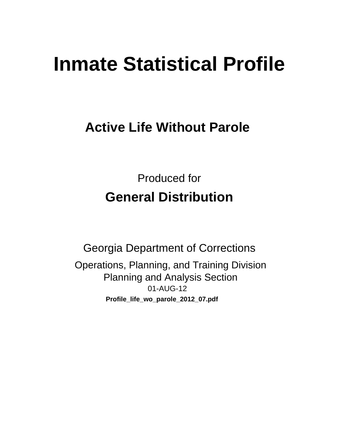# **Inmate Statistical Profile**

# **Active Life Without Parole**

**Produced for General Distribution** 

**Georgia Department of Corrections** Operations, Planning, and Training Division **Planning and Analysis Section** 01-AUG-12 Profile\_life\_wo\_parole\_2012\_07.pdf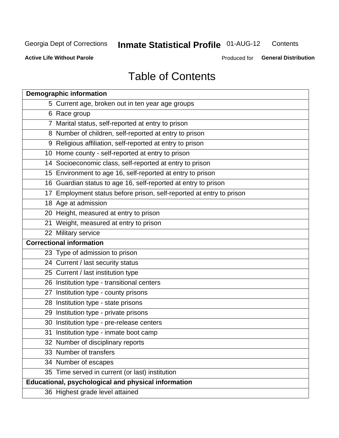#### **Inmate Statistical Profile 01-AUG-12** Contents

**Active Life Without Parole** 

Produced for General Distribution

# **Table of Contents**

| <b>Demographic information</b>                                       |
|----------------------------------------------------------------------|
| 5 Current age, broken out in ten year age groups                     |
| 6 Race group                                                         |
| 7 Marital status, self-reported at entry to prison                   |
| 8 Number of children, self-reported at entry to prison               |
| 9 Religious affiliation, self-reported at entry to prison            |
| 10 Home county - self-reported at entry to prison                    |
| 14 Socioeconomic class, self-reported at entry to prison             |
| 15 Environment to age 16, self-reported at entry to prison           |
| 16 Guardian status to age 16, self-reported at entry to prison       |
| 17 Employment status before prison, self-reported at entry to prison |
| 18 Age at admission                                                  |
| 20 Height, measured at entry to prison                               |
| 21 Weight, measured at entry to prison                               |
| 22 Military service                                                  |
| <b>Correctional information</b>                                      |
| 23 Type of admission to prison                                       |
| 24 Current / last security status                                    |
| 25 Current / last institution type                                   |
| 26 Institution type - transitional centers                           |
| 27 Institution type - county prisons                                 |
| 28 Institution type - state prisons                                  |
| 29 Institution type - private prisons                                |
| 30 Institution type - pre-release centers                            |
| 31 Institution type - inmate boot camp                               |
| 32 Number of disciplinary reports                                    |
| 33 Number of transfers                                               |
| 34 Number of escapes                                                 |
| 35 Time served in current (or last) institution                      |
| <b>Educational, psychological and physical information</b>           |
| 36 Highest grade level attained                                      |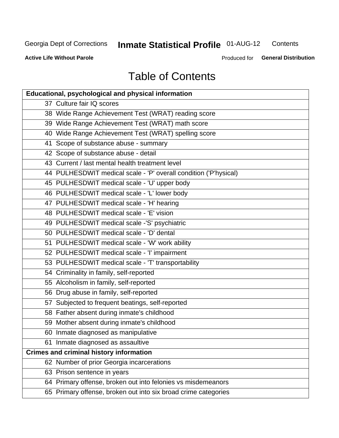#### **Inmate Statistical Profile 01-AUG-12** Contents

**Active Life Without Parole** 

Produced for General Distribution

# **Table of Contents**

| <b>Educational, psychological and physical information</b>       |  |
|------------------------------------------------------------------|--|
| 37 Culture fair IQ scores                                        |  |
| 38 Wide Range Achievement Test (WRAT) reading score              |  |
| 39 Wide Range Achievement Test (WRAT) math score                 |  |
| 40 Wide Range Achievement Test (WRAT) spelling score             |  |
| 41 Scope of substance abuse - summary                            |  |
| 42 Scope of substance abuse - detail                             |  |
| 43 Current / last mental health treatment level                  |  |
| 44 PULHESDWIT medical scale - 'P' overall condition ('P'hysical) |  |
| 45 PULHESDWIT medical scale - 'U' upper body                     |  |
| 46 PULHESDWIT medical scale - 'L' lower body                     |  |
| 47 PULHESDWIT medical scale - 'H' hearing                        |  |
| 48 PULHESDWIT medical scale - 'E' vision                         |  |
| 49 PULHESDWIT medical scale -'S' psychiatric                     |  |
| 50 PULHESDWIT medical scale - 'D' dental                         |  |
| 51 PULHESDWIT medical scale - 'W' work ability                   |  |
| 52 PULHESDWIT medical scale - 'I' impairment                     |  |
| 53 PULHESDWIT medical scale - 'T' transportability               |  |
| 54 Criminality in family, self-reported                          |  |
| 55 Alcoholism in family, self-reported                           |  |
| 56 Drug abuse in family, self-reported                           |  |
| 57 Subjected to frequent beatings, self-reported                 |  |
| 58 Father absent during inmate's childhood                       |  |
| 59 Mother absent during inmate's childhood                       |  |
| 60 Inmate diagnosed as manipulative                              |  |
| 61 Inmate diagnosed as assaultive                                |  |
| <b>Crimes and criminal history information</b>                   |  |
| 62 Number of prior Georgia incarcerations                        |  |
| 63 Prison sentence in years                                      |  |
| 64 Primary offense, broken out into felonies vs misdemeanors     |  |
| 65 Primary offense, broken out into six broad crime categories   |  |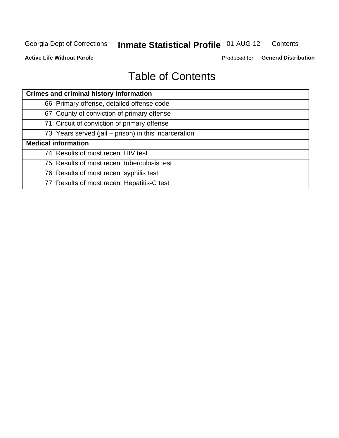#### **Inmate Statistical Profile 01-AUG-12** Contents

**Active Life Without Parole** 

Produced for General Distribution

# **Table of Contents**

| <b>Crimes and criminal history information</b>        |
|-------------------------------------------------------|
| 66 Primary offense, detailed offense code             |
| 67 County of conviction of primary offense            |
| 71 Circuit of conviction of primary offense           |
| 73 Years served (jail + prison) in this incarceration |
| <b>Medical information</b>                            |
| 74 Results of most recent HIV test                    |
| 75 Results of most recent tuberculosis test           |
| 76 Results of most recent syphilis test               |
| 77 Results of most recent Hepatitis-C test            |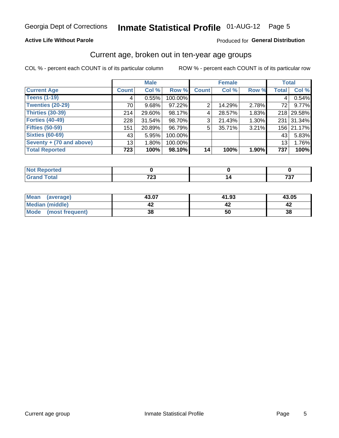#### **Active Life Without Parole**

#### Produced for General Distribution

### Current age, broken out in ten-year age groups

COL % - percent each COUNT is of its particular column

|                          |              | <b>Male</b> |         |              | <b>Female</b> |       | <b>Total</b> |            |
|--------------------------|--------------|-------------|---------|--------------|---------------|-------|--------------|------------|
| <b>Current Age</b>       | <b>Count</b> | Col %       | Row %   | <b>Count</b> | Col %         | Row % | <b>Total</b> | Col %      |
| <b>Teens (1-19)</b>      | 4            | 0.55%       | 100.00% |              |               |       | 4            | 0.54%      |
| <b>Twenties (20-29)</b>  | 70           | 9.68%       | 97.22%  | 2            | 14.29%        | 2.78% | 72           | 9.77%      |
| Thirties (30-39)         | 214          | 29.60%      | 98.17%  | 4            | 28.57%        | 1.83% |              | 218 29.58% |
| <b>Forties (40-49)</b>   | 228          | $31.54\%$   | 98.70%  | 3            | 21.43%        | 1.30% | 231          | 31.34%     |
| <b>Fifties (50-59)</b>   | 151          | 20.89%      | 96.79%  | 5            | 35.71%        | 3.21% |              | 156 21.17% |
| <b>Sixties (60-69)</b>   | 43           | 5.95%       | 100.00% |              |               |       | 43           | 5.83%      |
| Seventy + (70 and above) | 13           | 1.80%       | 100.00% |              |               |       | 13           | 1.76%      |
| <b>Total Reported</b>    | 723          | 100%        | 98.10%  | 14           | 100%          | 1.90% | 737          | 100%       |

| _____ | 700<br>--<br>$\cdot$ $ \cdot$ | $\rightarrow$ $\rightarrow$<br>$  -$ |
|-------|-------------------------------|--------------------------------------|

| <b>Mean</b><br>(average) | 43.07 | 41.93 | 43.05 |
|--------------------------|-------|-------|-------|
| Median (middle)          |       |       |       |
| Mode<br>(most frequent)  | 38    | 50    | 38    |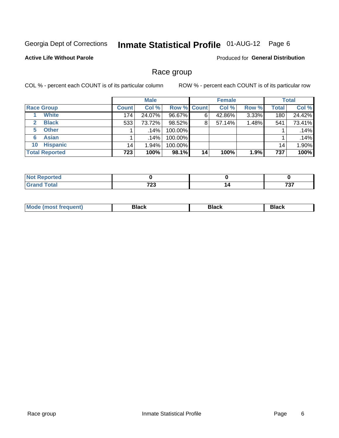# Inmate Statistical Profile 01-AUG-12 Page 6

#### **Active Life Without Parole**

Produced for General Distribution

### Race group

COL % - percent each COUNT is of its particular column

|                              |              | <b>Male</b> |                    |    | <b>Female</b> |       |              | <b>Total</b> |
|------------------------------|--------------|-------------|--------------------|----|---------------|-------|--------------|--------------|
| <b>Race Group</b>            | <b>Count</b> | Col %       | <b>Row % Count</b> |    | Col %         | Row % | <b>Total</b> | Col %        |
| <b>White</b>                 | 174          | 24.07%      | 96.67%             | 6  | 42.86%        | 3.33% | 180          | 24.42%       |
| <b>Black</b><br>$\mathbf{2}$ | 533          | 73.72%      | 98.52%             | 8  | 57.14%        | 1.48% | 541          | 73.41%       |
| <b>Other</b><br>5.           |              | .14%        | 100.00%            |    |               |       |              | .14%         |
| <b>Asian</b><br>6            |              | .14%        | 100.00%            |    |               |       |              | .14%         |
| <b>Hispanic</b><br>10        | 14           | $1.94\%$    | 100.00%            |    |               |       | 14           | 1.90%        |
| <b>Total Reported</b>        | 723          | 100%        | 98.1%              | 14 | 100%          | 1.9%  | 737          | 100%         |

| rreo                       |              |                   |
|----------------------------|--------------|-------------------|
| $\mathcal{L} = 4 \times 7$ | フヘヘ<br>1 L J | ラヘラ<br>וטו<br>___ |

| M | --- | $-1$ |
|---|-----|------|
|   |     |      |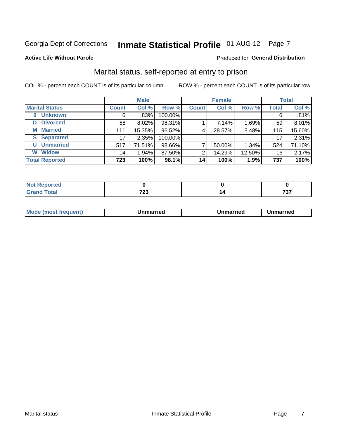# Inmate Statistical Profile 01-AUG-12 Page 7

#### **Active Life Without Parole**

#### **Produced for General Distribution**

### Marital status, self-reported at entry to prison

COL % - percent each COUNT is of its particular column

|                            |              | <b>Male</b> |         |              | <b>Female</b> |        |              | <b>Total</b> |
|----------------------------|--------------|-------------|---------|--------------|---------------|--------|--------------|--------------|
| <b>Marital Status</b>      | <b>Count</b> | Col %       | Row %   | <b>Count</b> | Col %         | Row %  | <b>Total</b> | Col %        |
| <b>Unknown</b><br>$\bf{0}$ | 6            | .83%        | 100.00% |              |               |        | 6            | .81%         |
| <b>Divorced</b><br>D       | 58           | $8.02\%$    | 98.31%  |              | 7.14%         | 1.69%  | 59           | 8.01%        |
| <b>Married</b><br>М        | 111          | 15.35%      | 96.52%  | 4            | 28.57%        | 3.48%  | 115          | 15.60%       |
| <b>Separated</b><br>S      | 17           | 2.35%       | 100.00% |              |               |        | 17           | 2.31%        |
| <b>Unmarried</b><br>U      | 517          | 71.51%      | 98.66%  | 7            | 50.00%        | 1.34%  | 524          | 71.10%       |
| <b>Widow</b><br>W          | 14           | 1.94%       | 87.50%  | 2            | 14.29%        | 12.50% | 16           | 2.17%        |
| <b>Total Reported</b>      | 723          | 100%        | 98.1%   | 14           | 100%          | 1.9%   | 737          | 100%         |

| .<br><u>nrtea</u><br>NOT<br>. <b>.</b> <u>.</u> |              |                |
|-------------------------------------------------|--------------|----------------|
| <b>Total</b>                                    | 700<br>_____ | $70-$<br>1 J I |

|--|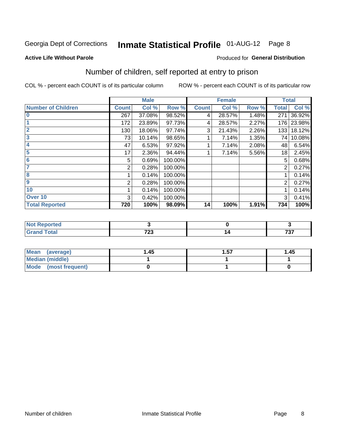# Inmate Statistical Profile 01-AUG-12 Page 8

#### **Active Life Without Parole**

#### **Produced for General Distribution**

### Number of children, self reported at entry to prison

COL % - percent each COUNT is of its particular column

|                           |              | <b>Male</b> |         |              | <b>Female</b> |       | <b>Total</b>   |        |
|---------------------------|--------------|-------------|---------|--------------|---------------|-------|----------------|--------|
| <b>Number of Children</b> | <b>Count</b> | Col %       | Row %   | <b>Count</b> | Col %         | Row % | <b>Total</b>   | Col %  |
| $\bf{0}$                  | 267          | 37.08%      | 98.52%  | 4            | 28.57%        | 1.48% | 271            | 36.92% |
|                           | 172          | 23.89%      | 97.73%  | 4            | 28.57%        | 2.27% | 176            | 23.98% |
| $\overline{2}$            | 130          | 18.06%      | 97.74%  | 3            | 21.43%        | 2.26% | 133            | 18.12% |
| 3                         | 73           | 10.14%      | 98.65%  |              | 7.14%         | 1.35% | 74 I           | 10.08% |
| 4                         | 47           | 6.53%       | 97.92%  |              | 7.14%         | 2.08% | 48             | 6.54%  |
| 5                         | 17           | 2.36%       | 94.44%  |              | 7.14%         | 5.56% | 18             | 2.45%  |
| $\overline{6}$            | 5            | 0.69%       | 100.00% |              |               |       | 5              | 0.68%  |
| 7                         | 2            | 0.28%       | 100.00% |              |               |       | 2              | 0.27%  |
| 8                         |              | 0.14%       | 100.00% |              |               |       |                | 0.14%  |
| $\boldsymbol{9}$          | 2            | 0.28%       | 100.00% |              |               |       | $\overline{2}$ | 0.27%  |
| 10                        |              | 0.14%       | 100.00% |              |               |       |                | 0.14%  |
| Over 10                   | 3            | 0.42%       | 100.00% |              |               |       | 3              | 0.41%  |
| <b>Total Reported</b>     | 720          | 100%        | 98.09%  | 14           | 100%          | 1.91% | 734            | 100%   |

| као  |               |            |
|------|---------------|------------|
| $-1$ | 700<br>$\sim$ | 707<br>וטו |

| Mean (average)       | 1.45 | 1.57 | 1.45 |
|----------------------|------|------|------|
| Median (middle)      |      |      |      |
| Mode (most frequent) |      |      |      |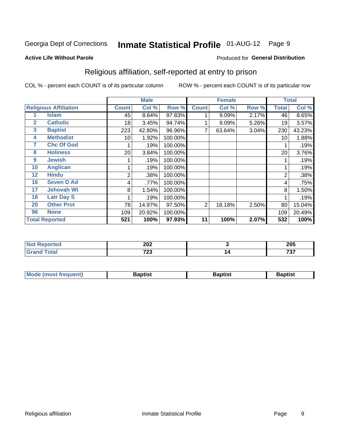# Inmate Statistical Profile 01-AUG-12 Page 9

#### **Active Life Without Parole**

#### Produced for General Distribution

### Religious affiliation, self-reported at entry to prison

COL % - percent each COUNT is of its particular column

|              |                              |              | <b>Male</b> |         |                | <b>Female</b> |       |       | <b>Total</b> |
|--------------|------------------------------|--------------|-------------|---------|----------------|---------------|-------|-------|--------------|
|              | <b>Religious Affiliation</b> | <b>Count</b> | Col %       | Row %   | <b>Count</b>   | Col %         | Row % | Total | Col %        |
|              | <b>Islam</b>                 | 45           | 8.64%       | 97.83%  |                | 9.09%         | 2.17% | 46    | 8.65%        |
| $\mathbf{2}$ | <b>Catholic</b>              | 18           | 3.45%       | 94.74%  |                | 9.09%         | 5.26% | 19    | 3.57%        |
| 3            | <b>Baptist</b>               | 223          | 42.80%      | 96.96%  |                | 63.64%        | 3.04% | 230   | 43.23%       |
| 4            | <b>Methodist</b>             | 10           | 1.92%       | 100.00% |                |               |       | 10    | 1.88%        |
| 7            | <b>Chc Of God</b>            |              | .19%        | 100.00% |                |               |       |       | .19%         |
| 8            | <b>Holiness</b>              | 20           | 3.84%       | 100.00% |                |               |       | 20    | 3.76%        |
| 9            | <b>Jewish</b>                |              | .19%        | 100.00% |                |               |       |       | .19%         |
| 10           | <b>Anglican</b>              |              | .19%        | 100.00% |                |               |       |       | .19%         |
| 12           | <b>Hindu</b>                 | 2            | .38%        | 100.00% |                |               |       | 2     | .38%         |
| 16           | <b>Seven D Ad</b>            | 4            | .77%        | 100.00% |                |               |       | 4     | .75%         |
| 17           | <b>Jehovah Wt</b>            | 8            | 1.54%       | 100.00% |                |               |       | 8     | 1.50%        |
| 18           | <b>Latr Day S</b>            |              | .19%        | 100.00% |                |               |       |       | .19%         |
| 20           | <b>Other Prot</b>            | 78           | 14.97%      | 97.50%  | $\overline{2}$ | 18.18%        | 2.50% | 80    | 15.04%       |
| 96           | <b>None</b>                  | 109          | 20.92%      | 100.00% |                |               |       | 109   | 20.49%       |
|              | <b>Total Reported</b>        | 521          | 100%        | 97.93%  | 11             | 100%          | 2.07% | 532   | 100%         |

| ı leu  | מחר         |           | 20E |
|--------|-------------|-----------|-----|
| .      | ZUZ         |           | ∠∪ง |
| ______ | 700<br>1 LJ | ıΖ<br>. . | 707 |

| <b>Mode (most frequent)</b> | 3aptist | Baptist | Baptist |
|-----------------------------|---------|---------|---------|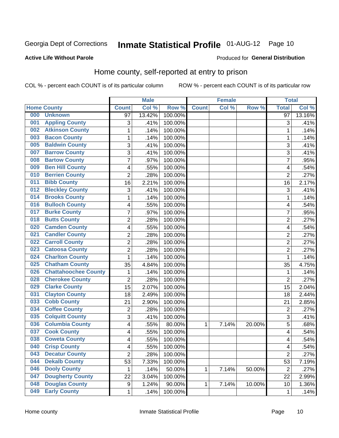# Inmate Statistical Profile 01-AUG-12 Page 10

#### **Active Life Without Parole**

#### Produced for General Distribution

### Home county, self-reported at entry to prison

COL % - percent each COUNT is of its particular column

|     |                             |                | <b>Male</b> |         |              | <b>Female</b> |        | <b>Total</b>   |        |
|-----|-----------------------------|----------------|-------------|---------|--------------|---------------|--------|----------------|--------|
|     | <b>Home County</b>          | <b>Count</b>   | Col %       | Row %   | <b>Count</b> | Col%          | Row %  | <b>Total</b>   | Col %  |
| 000 | <b>Unknown</b>              | 97             | 13.42%      | 100.00% |              |               |        | 97             | 13.16% |
| 001 | <b>Appling County</b>       | 3              | .41%        | 100.00% |              |               |        | 3              | .41%   |
| 002 | <b>Atkinson County</b>      | $\mathbf 1$    | .14%        | 100.00% |              |               |        | 1              | .14%   |
| 003 | <b>Bacon County</b>         | 1              | .14%        | 100.00% |              |               |        | 1              | .14%   |
| 005 | <b>Baldwin County</b>       | 3              | .41%        | 100.00% |              |               |        | 3              | .41%   |
| 007 | <b>Barrow County</b>        | 3              | .41%        | 100.00% |              |               |        | 3              | .41%   |
| 008 | <b>Bartow County</b>        | $\overline{7}$ | .97%        | 100.00% |              |               |        | 7              | .95%   |
| 009 | <b>Ben Hill County</b>      | 4              | .55%        | 100.00% |              |               |        | 4              | .54%   |
| 010 | <b>Berrien County</b>       | $\overline{2}$ | .28%        | 100.00% |              |               |        | $\overline{2}$ | .27%   |
| 011 | <b>Bibb County</b>          | 16             | 2.21%       | 100.00% |              |               |        | 16             | 2.17%  |
| 012 | <b>Bleckley County</b>      | 3              | .41%        | 100.00% |              |               |        | 3              | .41%   |
| 014 | <b>Brooks County</b>        | 1              | .14%        | 100.00% |              |               |        | 1              | .14%   |
| 016 | <b>Bulloch County</b>       | 4              | .55%        | 100.00% |              |               |        | 4              | .54%   |
| 017 | <b>Burke County</b>         | $\overline{7}$ | .97%        | 100.00% |              |               |        | 7              | .95%   |
| 018 | <b>Butts County</b>         | $\overline{2}$ | .28%        | 100.00% |              |               |        | $\overline{2}$ | .27%   |
| 020 | <b>Camden County</b>        | 4              | .55%        | 100.00% |              |               |        | 4              | .54%   |
| 021 | <b>Candler County</b>       | $\overline{2}$ | .28%        | 100.00% |              |               |        | $\overline{2}$ | .27%   |
| 022 | <b>Carroll County</b>       | $\overline{c}$ | .28%        | 100.00% |              |               |        | $\overline{2}$ | .27%   |
| 023 | <b>Catoosa County</b>       | $\overline{2}$ | .28%        | 100.00% |              |               |        | $\overline{2}$ | .27%   |
| 024 | <b>Charlton County</b>      | 1              | .14%        | 100.00% |              |               |        | 1              | .14%   |
| 025 | <b>Chatham County</b>       | 35             | 4.84%       | 100.00% |              |               |        | 35             | 4.75%  |
| 026 | <b>Chattahoochee County</b> | 1              | .14%        | 100.00% |              |               |        | 1              | .14%   |
| 028 | <b>Cherokee County</b>      | $\overline{2}$ | .28%        | 100.00% |              |               |        | $\overline{2}$ | .27%   |
| 029 | <b>Clarke County</b>        | 15             | 2.07%       | 100.00% |              |               |        | 15             | 2.04%  |
| 031 | <b>Clayton County</b>       | 18             | 2.49%       | 100.00% |              |               |        | 18             | 2.44%  |
| 033 | <b>Cobb County</b>          | 21             | 2.90%       | 100.00% |              |               |        | 21             | 2.85%  |
| 034 | <b>Coffee County</b>        | $\overline{2}$ | .28%        | 100.00% |              |               |        | $\overline{2}$ | .27%   |
| 035 | <b>Colquitt County</b>      | 3              | .41%        | 100.00% |              |               |        | 3              | .41%   |
| 036 | <b>Columbia County</b>      | 4              | .55%        | 80.00%  | 1            | 7.14%         | 20.00% | 5              | .68%   |
| 037 | <b>Cook County</b>          | 4              | .55%        | 100.00% |              |               |        | 4              | .54%   |
| 038 | <b>Coweta County</b>        | 4              | .55%        | 100.00% |              |               |        | 4              | .54%   |
| 040 | <b>Crisp County</b>         | 4              | .55%        | 100.00% |              |               |        | 4              | .54%   |
| 043 | <b>Decatur County</b>       | $\overline{2}$ | .28%        | 100.00% |              |               |        | $\overline{2}$ | .27%   |
| 044 | <b>Dekalb County</b>        | 53             | 7.33%       | 100.00% |              |               |        | 53             | 7.19%  |
| 046 | <b>Dooly County</b>         | 1              | .14%        | 50.00%  | 1            | 7.14%         | 50.00% | $\overline{2}$ | .27%   |
| 047 | <b>Dougherty County</b>     | 22             | 3.04%       | 100.00% |              |               |        | 22             | 2.99%  |
| 048 | <b>Douglas County</b>       | 9              | 1.24%       | 90.00%  | 1            | 7.14%         | 10.00% | 10             | 1.36%  |
| 049 | <b>Early County</b>         | 1              | .14%        | 100.00% |              |               |        | 1              | .14%   |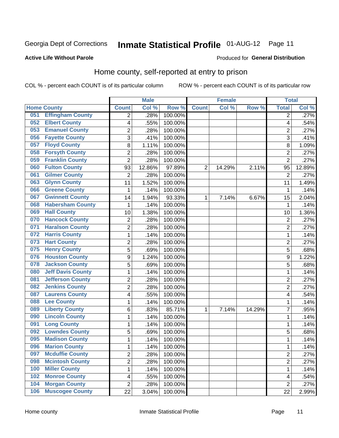# Inmate Statistical Profile 01-AUG-12 Page 11

#### **Active Life Without Parole**

#### Produced for General Distribution

### Home county, self-reported at entry to prison

COL % - percent each COUNT is of its particular column

|     |                          |                          | <b>Male</b> |         |                | <b>Female</b> |        | <b>Total</b>   |        |
|-----|--------------------------|--------------------------|-------------|---------|----------------|---------------|--------|----------------|--------|
|     | <b>Home County</b>       | <b>Count</b>             | Col %       | Row %   | <b>Count</b>   | Col%          | Row %  | <b>Total</b>   | Col %  |
| 051 | <b>Effingham County</b>  | 2                        | .28%        | 100.00% |                |               |        | 2              | .27%   |
| 052 | <b>Elbert County</b>     | $\overline{\mathbf{4}}$  | .55%        | 100.00% |                |               |        | 4              | .54%   |
| 053 | <b>Emanuel County</b>    | $\overline{c}$           | .28%        | 100.00% |                |               |        | $\overline{c}$ | .27%   |
| 056 | <b>Fayette County</b>    | 3                        | .41%        | 100.00% |                |               |        | 3              | $-41%$ |
| 057 | <b>Floyd County</b>      | 8                        | 1.11%       | 100.00% |                |               |        | 8              | 1.09%  |
| 058 | <b>Forsyth County</b>    | $\overline{2}$           | .28%        | 100.00% |                |               |        | $\overline{2}$ | .27%   |
| 059 | <b>Franklin County</b>   | $\overline{2}$           | .28%        | 100.00% |                |               |        | $\overline{2}$ | .27%   |
| 060 | <b>Fulton County</b>     | 93                       | 12.86%      | 97.89%  | $\overline{2}$ | 14.29%        | 2.11%  | 95             | 12.89% |
| 061 | <b>Gilmer County</b>     | $\overline{2}$           | .28%        | 100.00% |                |               |        | $\overline{2}$ | .27%   |
| 063 | <b>Glynn County</b>      | 11                       | 1.52%       | 100.00% |                |               |        | 11             | 1.49%  |
| 066 | <b>Greene County</b>     | 1                        | .14%        | 100.00% |                |               |        | 1              | .14%   |
| 067 | <b>Gwinnett County</b>   | 14                       | 1.94%       | 93.33%  | 1              | 7.14%         | 6.67%  | 15             | 2.04%  |
| 068 | <b>Habersham County</b>  | $\mathbf{1}$             | .14%        | 100.00% |                |               |        | 1              | .14%   |
| 069 | <b>Hall County</b>       | 10                       | 1.38%       | 100.00% |                |               |        | 10             | 1.36%  |
| 070 | <b>Hancock County</b>    | $\overline{2}$           | .28%        | 100.00% |                |               |        | $\overline{2}$ | .27%   |
| 071 | <b>Haralson County</b>   | $\overline{2}$           | .28%        | 100.00% |                |               |        | $\overline{2}$ | .27%   |
| 072 | <b>Harris County</b>     | $\mathbf{1}$             | .14%        | 100.00% |                |               |        | 1              | .14%   |
| 073 | <b>Hart County</b>       | $\overline{2}$           | .28%        | 100.00% |                |               |        | $\overline{2}$ | .27%   |
| 075 | <b>Henry County</b>      | 5                        | .69%        | 100.00% |                |               |        | 5              | .68%   |
| 076 | <b>Houston County</b>    | 9                        | 1.24%       | 100.00% |                |               |        | 9              | 1.22%  |
| 078 | <b>Jackson County</b>    | 5                        | .69%        | 100.00% |                |               |        | 5              | .68%   |
| 080 | <b>Jeff Davis County</b> | $\mathbf{1}$             | .14%        | 100.00% |                |               |        | 1              | .14%   |
| 081 | <b>Jefferson County</b>  | $\overline{2}$           | .28%        | 100.00% |                |               |        | $\overline{c}$ | .27%   |
| 082 | <b>Jenkins County</b>    | $\overline{2}$           | .28%        | 100.00% |                |               |        | $\overline{2}$ | .27%   |
| 087 | <b>Laurens County</b>    | $\overline{\mathcal{A}}$ | .55%        | 100.00% |                |               |        | 4              | .54%   |
| 088 | <b>Lee County</b>        | $\mathbf{1}$             | .14%        | 100.00% |                |               |        | 1              | .14%   |
| 089 | <b>Liberty County</b>    | 6                        | .83%        | 85.71%  | 1              | 7.14%         | 14.29% | 7              | .95%   |
| 090 | <b>Lincoln County</b>    | $\mathbf{1}$             | .14%        | 100.00% |                |               |        | 1              | .14%   |
| 091 | <b>Long County</b>       | $\mathbf{1}$             | .14%        | 100.00% |                |               |        | 1              | .14%   |
| 092 | <b>Lowndes County</b>    | 5                        | .69%        | 100.00% |                |               |        | 5              | .68%   |
| 095 | <b>Madison County</b>    | $\mathbf{1}$             | .14%        | 100.00% |                |               |        | 1              | .14%   |
| 096 | <b>Marion County</b>     | 1                        | .14%        | 100.00% |                |               |        | 1              | .14%   |
| 097 | <b>Mcduffie County</b>   | $\overline{2}$           | .28%        | 100.00% |                |               |        | $\overline{2}$ | .27%   |
| 098 | <b>Mcintosh County</b>   | $\overline{2}$           | .28%        | 100.00% |                |               |        | 2              | .27%   |
| 100 | <b>Miller County</b>     | $\mathbf 1$              | .14%        | 100.00% |                |               |        | $\mathbf{1}$   | .14%   |
| 102 | <b>Monroe County</b>     | $\overline{\mathcal{A}}$ | .55%        | 100.00% |                |               |        | 4              | .54%   |
| 104 | <b>Morgan County</b>     | $\overline{2}$           | .28%        | 100.00% |                |               |        | $\overline{2}$ | .27%   |
| 106 | <b>Muscogee County</b>   | 22                       | 3.04%       | 100.00% |                |               |        | 22             | 2.99%  |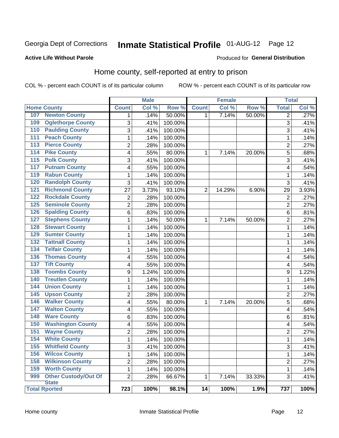# Inmate Statistical Profile 01-AUG-12 Page 12

#### **Active Life Without Parole**

#### **Produced for General Distribution**

### Home county, self-reported at entry to prison

COL % - percent each COUNT is of its particular column

|                  |                             |                | <b>Male</b> |         |              | <b>Female</b> |        | <b>Total</b>   |        |
|------------------|-----------------------------|----------------|-------------|---------|--------------|---------------|--------|----------------|--------|
|                  | <b>Home County</b>          | <b>Count</b>   | Col%        | Row %   | <b>Count</b> | Col %         | Row %  | <b>Total</b>   | Col %  |
| 107              | <b>Newton County</b>        | $\mathbf 1$    | .14%        | 50.00%  | 1            | 7.14%         | 50.00% | $\overline{2}$ | .27%   |
| 109              | <b>Oglethorpe County</b>    | 3              | .41%        | 100.00% |              |               |        | 3              | .41%   |
| 110              | <b>Paulding County</b>      | $\overline{3}$ | .41%        | 100.00% |              |               |        | 3              | $-41%$ |
| 111              | <b>Peach County</b>         | $\mathbf 1$    | .14%        | 100.00% |              |               |        | 1              | .14%   |
| 113              | <b>Pierce County</b>        | $\overline{c}$ | .28%        | 100.00% |              |               |        | $\overline{c}$ | .27%   |
| 114              | <b>Pike County</b>          | 4              | .55%        | 80.00%  | $\mathbf{1}$ | 7.14%         | 20.00% | 5              | .68%   |
| $\overline{115}$ | <b>Polk County</b>          | 3              | .41%        | 100.00% |              |               |        | 3              | .41%   |
| 117              | <b>Putnam County</b>        | 4              | .55%        | 100.00% |              |               |        | 4              | .54%   |
| 119              | <b>Rabun County</b>         | $\mathbf 1$    | .14%        | 100.00% |              |               |        | 1              | .14%   |
| 120              | <b>Randolph County</b>      | 3              | .41%        | 100.00% |              |               |        | 3              | .41%   |
| 121              | <b>Richmond County</b>      | 27             | 3.73%       | 93.10%  | 2            | 14.29%        | 6.90%  | 29             | 3.93%  |
| 122              | <b>Rockdale County</b>      | $\overline{c}$ | .28%        | 100.00% |              |               |        | $\overline{2}$ | .27%   |
| 125              | <b>Seminole County</b>      | $\overline{2}$ | .28%        | 100.00% |              |               |        | $\overline{2}$ | .27%   |
| 126              | <b>Spalding County</b>      | 6              | .83%        | 100.00% |              |               |        | 6              | .81%   |
| 127              | <b>Stephens County</b>      | $\mathbf{1}$   | .14%        | 50.00%  | 1            | 7.14%         | 50.00% | $\overline{2}$ | .27%   |
| 128              | <b>Stewart County</b>       | 1              | .14%        | 100.00% |              |               |        | 1              | .14%   |
| 129              | <b>Sumter County</b>        | $\mathbf 1$    | .14%        | 100.00% |              |               |        | 1              | .14%   |
| 132              | <b>Tattnall County</b>      | $\mathbf 1$    | .14%        | 100.00% |              |               |        | 1              | .14%   |
| 134              | <b>Telfair County</b>       | $\mathbf 1$    | .14%        | 100.00% |              |               |        | 1              | .14%   |
| 136              | <b>Thomas County</b>        | 4              | .55%        | 100.00% |              |               |        | 4              | .54%   |
| 137              | <b>Tift County</b>          | 4              | .55%        | 100.00% |              |               |        | 4              | .54%   |
| 138              | <b>Toombs County</b>        | 9              | 1.24%       | 100.00% |              |               |        | 9              | 1.22%  |
| 140              | <b>Treutlen County</b>      | $\mathbf 1$    | .14%        | 100.00% |              |               |        | 1              | .14%   |
| 144              | <b>Union County</b>         | 1              | .14%        | 100.00% |              |               |        | 1              | .14%   |
| 145              | <b>Upson County</b>         | $\overline{c}$ | .28%        | 100.00% |              |               |        | $\overline{c}$ | .27%   |
| 146              | <b>Walker County</b>        | 4              | .55%        | 80.00%  | 1            | 7.14%         | 20.00% | 5              | .68%   |
| 147              | <b>Walton County</b>        | 4              | .55%        | 100.00% |              |               |        | 4              | .54%   |
| 148              | <b>Ware County</b>          | 6              | .83%        | 100.00% |              |               |        | 6              | .81%   |
| 150              | <b>Washington County</b>    | 4              | .55%        | 100.00% |              |               |        | 4              | .54%   |
| 151              | <b>Wayne County</b>         | $\overline{2}$ | .28%        | 100.00% |              |               |        | $\overline{2}$ | .27%   |
| 154              | <b>White County</b>         | $\mathbf{1}$   | .14%        | 100.00% |              |               |        | 1              | .14%   |
| 155              | <b>Whitfield County</b>     | 3              | .41%        | 100.00% |              |               |        | 3              | .41%   |
| 156              | <b>Wilcox County</b>        | $\mathbf{1}$   | .14%        | 100.00% |              |               |        | 1              | .14%   |
| 158              | <b>Wilkinson County</b>     | $\overline{2}$ | .28%        | 100.00% |              |               |        | $\overline{2}$ | .27%   |
| 159              | <b>Worth County</b>         | $\mathbf{1}$   | .14%        | 100.00% |              |               |        | 1              | .14%   |
| 999              | <b>Other Custody/Out Of</b> | $\overline{2}$ | .28%        | 66.67%  | 1            | 7.14%         | 33.33% | 3              | .41%   |
|                  | <b>State</b>                |                |             |         |              |               |        |                |        |
|                  | <b>Total Rported</b>        | 723            | 100%        | 98.1%   | 14           | 100%          | 1.9%   | 737            | 100%   |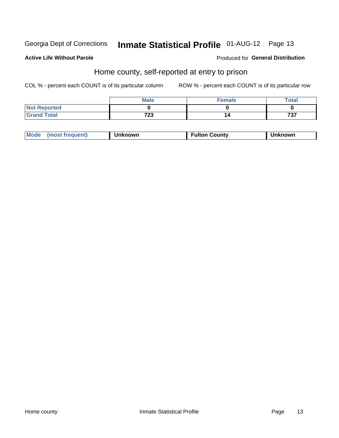# Inmate Statistical Profile 01-AUG-12 Page 13

#### **Active Life Without Parole**

#### Produced for General Distribution

### Home county, self-reported at entry to prison

COL % - percent each COUNT is of its particular column

|                     | <b>Male</b> | <b>Female</b> | Total |
|---------------------|-------------|---------------|-------|
| <b>Not Reported</b> |             |               |       |
| <b>Grand Total</b>  | 723         | 14            | 737   |

| Mode<br>(most frequent)<br>າknown | <b>Fulton County</b> | าknown |
|-----------------------------------|----------------------|--------|
|-----------------------------------|----------------------|--------|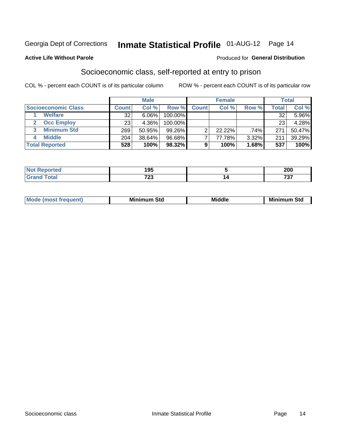### Inmate Statistical Profile 01-AUG-12 Page 14

#### **Active Life Without Parole**

#### Produced for General Distribution

### Socioeconomic class, self-reported at entry to prison

COL % - percent each COUNT is of its particular column

|                       | <b>Male</b>  |        | <b>Female</b> |              |        | <b>Total</b> |              |        |
|-----------------------|--------------|--------|---------------|--------------|--------|--------------|--------------|--------|
| Socioeconomic Class   | <b>Count</b> | Col %  | Row %         | <b>Count</b> | Col %  | Row %        | <b>Total</b> | Col %  |
| <b>Welfare</b>        | 32           | 6.06%  | 100.00%       |              |        |              | 32           | 5.96%  |
| <b>Occ Employ</b>     | 23           | 4.36%  | 100.00%       |              |        |              | 23           | 4.28%  |
| <b>Minimum Std</b>    | 269          | 50.95% | $99.26\%$     |              | 22.22% | .74%         | 271          | 50.47% |
| <b>Middle</b><br>4    | 204          | 38.64% | 96.68%        |              | 77.78% | 3.32%        | 211          | 39.29% |
| <b>Total Reported</b> | 528          | 100%   | 98.32%        | 9            | 100%   | 1.68%        | 537          | 100%   |

|      | $\overline{1}$<br>.<br>__ | $\sim$<br>ZUU |
|------|---------------------------|---------------|
| ____ | 700<br>ن ۽ ا              | $-$<br>, , ,  |

|  | M. | М.<br>.<br>ວເບ<br>___ | ---<br>Middle<br>____ | Mir<br>Std |
|--|----|-----------------------|-----------------------|------------|
|--|----|-----------------------|-----------------------|------------|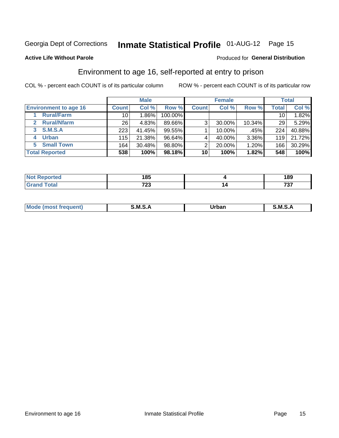## Inmate Statistical Profile 01-AUG-12 Page 15

#### **Active Life Without Parole**

#### Produced for General Distribution

### Environment to age 16, self-reported at entry to prison

COL % - percent each COUNT is of its particular column

|                                    |                 | <b>Male</b> |           |              | <b>Female</b> |        |                 | <b>Total</b> |
|------------------------------------|-----------------|-------------|-----------|--------------|---------------|--------|-----------------|--------------|
| <b>Environment to age 16</b>       | <b>Count</b>    | Col %       | Row %     | <b>Count</b> | Col %         | Row %  | <b>Total</b>    | Col %        |
| <b>Rural/Farm</b>                  | 10              | $1.86\%$    | 100.00%   |              |               |        | 10 <sub>1</sub> | 1.82%        |
| <b>Rural/Nfarm</b><br>$\mathbf{2}$ | 26 <sub>1</sub> | 4.83%       | 89.66%    | 3            | 30.00%        | 10.34% | 29              | 5.29%        |
| S.M.S.A<br>3                       | 223             | 41.45%      | 99.55%    |              | 10.00%        | .45%   | 224             | 40.88%       |
| <b>Urban</b><br>4                  | 115             | 21.38%      | $96.64\%$ |              | 40.00%        | 3.36%  | 119             | 21.72%       |
| 5 Small Town                       | 164             | 30.48%      | 98.80%    | っ            | 20.00%        | 1.20%  | 166             | 30.29%       |
| <b>Total Reported</b>              | 538             | 100%        | 98.18%    | 10           | 100%          | 1.82%  | 548             | 100%         |

| .<br>ים מ<br>ueo<br>$\sim$ | 4 O.E<br>טט             | 189      |
|----------------------------|-------------------------|----------|
|                            | 700<br>$\sim$ 20 $\sim$ | $-$<br>ັ |

| Mo | M | lulaam<br>Ua.<br>_____ | M |
|----|---|------------------------|---|
|    |   |                        |   |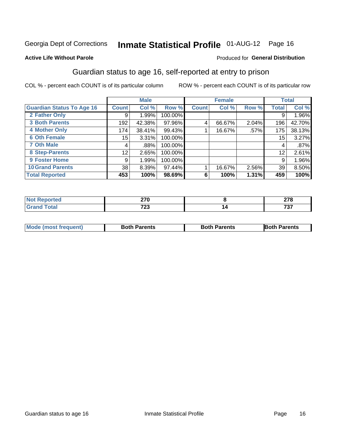# Inmate Statistical Profile 01-AUG-12 Page 16

#### **Active Life Without Parole**

#### Produced for General Distribution

### Guardian status to age 16, self-reported at entry to prison

COL % - percent each COUNT is of its particular column

|                                  |              | <b>Male</b> |         |              | <b>Female</b> |       |       | <b>Total</b> |
|----------------------------------|--------------|-------------|---------|--------------|---------------|-------|-------|--------------|
| <b>Guardian Status To Age 16</b> | <b>Count</b> | Col %       | Row %   | <b>Count</b> | Col %         | Row % | Total | Col %        |
| 2 Father Only                    | 9            | 1.99%       | 100.00% |              |               |       | 9     | 1.96%        |
| <b>3 Both Parents</b>            | 192          | 42.38%      | 97.96%  | 4            | 66.67%        | 2.04% | 196   | 42.70%       |
| <b>4 Mother Only</b>             | 174          | 38.41%      | 99.43%  |              | 16.67%        | .57%  | 175   | 38.13%       |
| <b>6 Oth Female</b>              | 15           | 3.31%       | 100.00% |              |               |       | 15    | 3.27%        |
| <b>7 Oth Male</b>                | 4            | .88%        | 100.00% |              |               |       | 4     | .87%         |
| 8 Step-Parents                   | 12           | 2.65%       | 100.00% |              |               |       | 12    | 2.61%        |
| <b>9 Foster Home</b>             | 9            | 1.99%       | 100.00% |              |               |       | 9     | 1.96%        |
| <b>10 Grand Parents</b>          | 38           | 8.39%       | 97.44%  |              | 16.67%        | 2.56% | 39    | 8.50%        |
| <b>Total Reported</b>            | 453          | 100%        | 98.69%  | 6            | 100%          | 1.31% | 459   | 100%         |

| reo | ^7^<br>$\angle$ iv<br>__ | ^7^<br>.<br>-- |
|-----|--------------------------|----------------|
|     | 700<br>. ZJ<br>$\sim$    | 707            |

| <b>Mode (most frequent)</b> | <b>Both Parents</b> | <b>Both Parents</b> | <b>Both Parents</b> |
|-----------------------------|---------------------|---------------------|---------------------|
|                             |                     |                     |                     |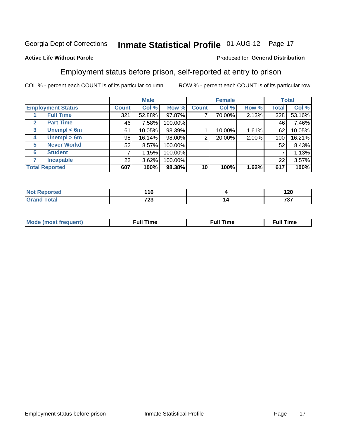# Inmate Statistical Profile 01-AUG-12 Page 17

#### **Active Life Without Parole**

#### Produced for General Distribution

### Employment status before prison, self-reported at entry to prison

COL % - percent each COUNT is of its particular column

|                                  |                 | <b>Male</b> |         |                | <b>Female</b> |       |       | <b>Total</b> |
|----------------------------------|-----------------|-------------|---------|----------------|---------------|-------|-------|--------------|
| <b>Employment Status</b>         | <b>Count</b>    | Col %       | Row %   | <b>Count</b>   | Col %         | Row % | Total | Col %        |
| <b>Full Time</b>                 | 321             | 52.88%      | 97.87%  | 7              | 70.00%        | 2.13% | 328   | 53.16%       |
| <b>Part Time</b><br>$\mathbf{2}$ | 46              | 7.58%       | 100.00% |                |               |       | 46    | 7.46%        |
| Unempl $<$ 6m<br>3               | 61              | 10.05%      | 98.39%  |                | 10.00%        | 1.61% | 62    | 10.05%       |
| Unempl > 6m<br>4                 | 98 <sub>1</sub> | 16.14%      | 98.00%  | $\overline{2}$ | 20.00%        | 2.00% | 100   | 16.21%       |
| <b>Never Workd</b><br>5          | 52              | 8.57%       | 100.00% |                |               |       | 52    | 8.43%        |
| <b>Student</b><br>6              | ⇁               | 1.15%       | 100.00% |                |               |       | ⇁     | 1.13%        |
| <b>Incapable</b>                 | 22              | 3.62%       | 100.00% |                |               |       | 22    | 3.57%        |
| <b>Total Reported</b>            | 607             | 100%        | 98.38%  | 10             | 100%          | 1.62% | 617   | 100%         |

| чес. | $\overline{\phantom{a}}$<br>. . v<br>$ -$ |   | ィっハ<br>14V |
|------|-------------------------------------------|---|------------|
|      | 700                                       | ı | ラヘラ        |
|      | ن ۽ ا                                     |   | ___        |

| Mc | ∴ull | ----<br>ıme<br>w |
|----|------|------------------|
|    |      |                  |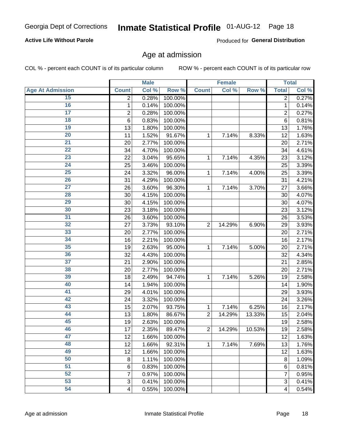#### **Active Life Without Parole**

Produced for General Distribution

### Age at admission

COL % - percent each COUNT is of its particular column

|                         |                 | <b>Male</b> |         |                | <b>Female</b> |        |                         | <b>Total</b> |
|-------------------------|-----------------|-------------|---------|----------------|---------------|--------|-------------------------|--------------|
| <b>Age At Admission</b> | <b>Count</b>    | Col %       | Row %   | <b>Count</b>   | Col %         | Row %  | <b>Total</b>            | Col %        |
| 15                      | 2               | 0.28%       | 100.00% |                |               |        | 2                       | 0.27%        |
| 16                      | 1               | 0.14%       | 100.00% |                |               |        | $\mathbf{1}$            | 0.14%        |
| $\overline{17}$         | 2               | 0.28%       | 100.00% |                |               |        | $\overline{2}$          | 0.27%        |
| 18                      | $6\phantom{1}6$ | 0.83%       | 100.00% |                |               |        | 6                       | 0.81%        |
| 19                      | 13              | 1.80%       | 100.00% |                |               |        | 13                      | 1.76%        |
| $\overline{20}$         | 11              | 1.52%       | 91.67%  | 1              | 7.14%         | 8.33%  | 12                      | 1.63%        |
| 21                      | 20              | 2.77%       | 100.00% |                |               |        | 20                      | 2.71%        |
| 22                      | 34              | 4.70%       | 100.00% |                |               |        | 34                      | 4.61%        |
| 23                      | 22              | 3.04%       | 95.65%  | 1              | 7.14%         | 4.35%  | 23                      | 3.12%        |
| 24                      | 25              | 3.46%       | 100.00% |                |               |        | 25                      | 3.39%        |
| $\overline{25}$         | 24              | 3.32%       | 96.00%  | 1              | 7.14%         | 4.00%  | 25                      | 3.39%        |
| 26                      | 31              | 4.29%       | 100.00% |                |               |        | 31                      | 4.21%        |
| $\overline{27}$         | 26              | 3.60%       | 96.30%  | 1              | 7.14%         | 3.70%  | 27                      | 3.66%        |
| 28                      | 30              | 4.15%       | 100.00% |                |               |        | 30                      | 4.07%        |
| 29                      | 30              | 4.15%       | 100.00% |                |               |        | 30                      | 4.07%        |
| 30                      | 23              | 3.18%       | 100.00% |                |               |        | 23                      | 3.12%        |
| 31                      | 26              | 3.60%       | 100.00% |                |               |        | 26                      | 3.53%        |
| 32                      | 27              | 3.73%       | 93.10%  | $\overline{2}$ | 14.29%        | 6.90%  | 29                      | 3.93%        |
| 33                      | 20              | 2.77%       | 100.00% |                |               |        | 20                      | 2.71%        |
| 34                      | 16              | 2.21%       | 100.00% |                |               |        | 16                      | 2.17%        |
| 35                      | 19              | 2.63%       | 95.00%  | 1              | 7.14%         | 5.00%  | 20                      | 2.71%        |
| 36                      | 32              | 4.43%       | 100.00% |                |               |        | 32                      | 4.34%        |
| $\overline{37}$         | 21              | 2.90%       | 100.00% |                |               |        | 21                      | 2.85%        |
| 38                      | 20              | 2.77%       | 100.00% |                |               |        | 20                      | 2.71%        |
| 39                      | 18              | 2.49%       | 94.74%  | 1              | 7.14%         | 5.26%  | 19                      | 2.58%        |
| 40                      | 14              | 1.94%       | 100.00% |                |               |        | 14                      | 1.90%        |
| 41                      | 29              | 4.01%       | 100.00% |                |               |        | 29                      | 3.93%        |
| 42                      | 24              | 3.32%       | 100.00% |                |               |        | 24                      | 3.26%        |
| 43                      | 15              | 2.07%       | 93.75%  | 1              | 7.14%         | 6.25%  | 16                      | 2.17%        |
| 44                      | 13              | 1.80%       | 86.67%  | $\overline{2}$ | 14.29%        | 13.33% | 15                      | 2.04%        |
| 45                      | 19              | 2.63%       | 100.00% |                |               |        | 19                      | 2.58%        |
| 46                      | 17              | 2.35%       | 89.47%  | $\overline{2}$ | 14.29%        | 10.53% | 19                      | 2.58%        |
| 47                      | 12              | 1.66%       | 100.00% |                |               |        | 12                      | 1.63%        |
| 48                      | 12              | 1.66%       | 92.31%  | 1              | 7.14%         | 7.69%  | 13                      | 1.76%        |
| 49                      | 12              | 1.66%       | 100.00% |                |               |        | 12                      | 1.63%        |
| 50                      | 8               | 1.11%       | 100.00% |                |               |        | 8                       | 1.09%        |
| $\overline{51}$         | $6\phantom{1}6$ | 0.83%       | 100.00% |                |               |        | 6                       | 0.81%        |
| 52                      | 7               | 0.97%       | 100.00% |                |               |        | 7                       | 0.95%        |
| 53                      | 3               | 0.41%       | 100.00% |                |               |        | 3                       | 0.41%        |
| 54                      | $\overline{4}$  | 0.55%       | 100.00% |                |               |        | $\overline{\mathbf{4}}$ | 0.54%        |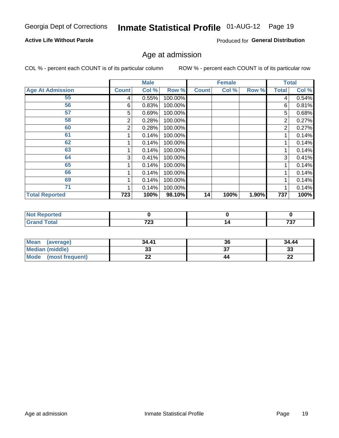#### **Active Life Without Parole**

Produced for General Distribution

### Age at admission

COL % - percent each COUNT is of its particular column

|                         |              | <b>Male</b> |         |              | <b>Female</b> |       |              | <b>Total</b> |
|-------------------------|--------------|-------------|---------|--------------|---------------|-------|--------------|--------------|
| <b>Age At Admission</b> | <b>Count</b> | Col %       | Row %   | <b>Count</b> | Col %         | Row % | <b>Total</b> | Col %        |
| 55                      | 4            | 0.55%       | 100.00% |              |               |       | 4            | 0.54%        |
| 56                      | 6            | 0.83%       | 100.00% |              |               |       | 6            | 0.81%        |
| 57                      | 5            | 0.69%       | 100.00% |              |               |       | 5            | 0.68%        |
| 58                      | 2            | 0.28%       | 100.00% |              |               |       | 2            | 0.27%        |
| 60                      | 2            | 0.28%       | 100.00% |              |               |       | 2            | 0.27%        |
| 61                      |              | 0.14%       | 100.00% |              |               |       |              | 0.14%        |
| 62                      |              | 0.14%       | 100.00% |              |               |       |              | 0.14%        |
| 63                      |              | 0.14%       | 100.00% |              |               |       |              | 0.14%        |
| 64                      | 3            | 0.41%       | 100.00% |              |               |       | 3            | 0.41%        |
| 65                      |              | 0.14%       | 100.00% |              |               |       |              | 0.14%        |
| 66                      |              | 0.14%       | 100.00% |              |               |       |              | 0.14%        |
| 69                      |              | 0.14%       | 100.00% |              |               |       |              | 0.14%        |
| 71                      |              | 0.14%       | 100.00% |              |               |       |              | 0.14%        |
| <b>Total Reported</b>   | 723          | 100%        | 98.10%  | 14           | 100%          | 1.90% | 737          | 100%         |

| <b>Not Reported</b> |              |         |
|---------------------|--------------|---------|
| <b>Total</b>        | 700<br>. د ت | <br>フヘフ |

| Mean<br>(average)       | 34.41 | 36 | 34.44    |
|-------------------------|-------|----|----------|
| <b>Median (middle)</b>  | uu    | ^7 | າາ<br>ುಎ |
| Mode<br>(most frequent) | --    | 44 | n.<br>LL |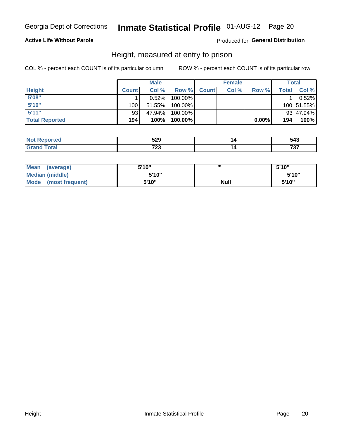#### **Active Life Without Parole**

#### Produced for General Distribution

### Height, measured at entry to prison

COL % - percent each COUNT is of its particular column

|                       |              | <b>Male</b> |         |              | <b>Female</b> |          |              | Total      |
|-----------------------|--------------|-------------|---------|--------------|---------------|----------|--------------|------------|
| <b>Height</b>         | <b>Count</b> | Col %       | Row %   | <b>Count</b> | Col %         | Row %    | <b>Total</b> | Col %      |
| 5'08''                |              | 0.52%       | 100.00% |              |               |          |              | 0.52%      |
| 5'10''                | 100          | 51.55%      | 100.00% |              |               |          |              | 100 51.55% |
| 5'11''                | 93           | 47.94%      | 100.00% |              |               |          |              | 93 47.94%  |
| <b>Total Reported</b> | 194          | 100%        | 100.00% |              |               | $0.00\%$ | 194          | 100%       |

| <b>Not</b><br>rted            | よつの<br>ວ∠ວ<br>- - | <b>P</b> 40<br><b>უ4კ</b> |
|-------------------------------|-------------------|---------------------------|
| <b>c</b> otal<br><b>Grand</b> | フへへ<br>ں ک        | 707                       |

| Mean<br>(average)              | 5'10" |             | 5'10"  |
|--------------------------------|-------|-------------|--------|
| Median (middle)                | 5'10" |             | 5'10'' |
| <b>Mode</b><br>(most frequent) | 5'10" | <b>Null</b> | 5'10"  |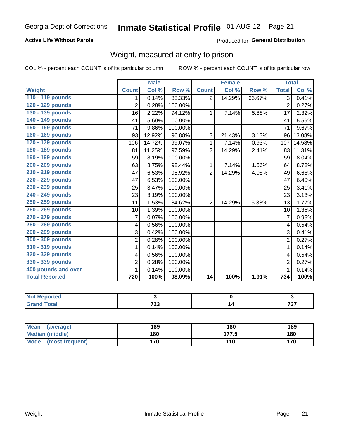#### **Active Life Without Parole**

#### Produced for General Distribution

### Weight, measured at entry to prison

COL % - percent each COUNT is of its particular column

|                       |                | <b>Male</b> |         |                | <b>Female</b> |        | <b>Total</b>   |        |
|-----------------------|----------------|-------------|---------|----------------|---------------|--------|----------------|--------|
| <b>Weight</b>         | <b>Count</b>   | Col %       | Row %   | <b>Count</b>   | Col %         | Row %  | <b>Total</b>   | Col %  |
| 110 - 119 pounds      | 1              | 0.14%       | 33.33%  | $\overline{2}$ | 14.29%        | 66.67% | $\overline{3}$ | 0.41%  |
| 120 - 129 pounds      | $\overline{2}$ | 0.28%       | 100.00% |                |               |        | $\overline{2}$ | 0.27%  |
| 130 - 139 pounds      | 16             | 2.22%       | 94.12%  | 1              | 7.14%         | 5.88%  | 17             | 2.32%  |
| 140 - 149 pounds      | 41             | 5.69%       | 100.00% |                |               |        | 41             | 5.59%  |
| 150 - 159 pounds      | 71             | 9.86%       | 100.00% |                |               |        | 71             | 9.67%  |
| 160 - 169 pounds      | 93             | 12.92%      | 96.88%  | 3              | 21.43%        | 3.13%  | 96             | 13.08% |
| 170 - 179 pounds      | 106            | 14.72%      | 99.07%  | 1              | 7.14%         | 0.93%  | 107            | 14.58% |
| 180 - 189 pounds      | 81             | 11.25%      | 97.59%  | $\overline{2}$ | 14.29%        | 2.41%  | 83             | 11.31% |
| 190 - 199 pounds      | 59             | 8.19%       | 100.00% |                |               |        | 59             | 8.04%  |
| 200 - 209 pounds      | 63             | 8.75%       | 98.44%  | 1              | 7.14%         | 1.56%  | 64             | 8.72%  |
| 210 - 219 pounds      | 47             | 6.53%       | 95.92%  | $\overline{2}$ | 14.29%        | 4.08%  | 49             | 6.68%  |
| 220 - 229 pounds      | 47             | 6.53%       | 100.00% |                |               |        | 47             | 6.40%  |
| 230 - 239 pounds      | 25             | 3.47%       | 100.00% |                |               |        | 25             | 3.41%  |
| 240 - 249 pounds      | 23             | 3.19%       | 100.00% |                |               |        | 23             | 3.13%  |
| 250 - 259 pounds      | 11             | 1.53%       | 84.62%  | $\overline{2}$ | 14.29%        | 15.38% | 13             | 1.77%  |
| 260 - 269 pounds      | 10             | 1.39%       | 100.00% |                |               |        | 10             | 1.36%  |
| 270 - 279 pounds      | 7              | 0.97%       | 100.00% |                |               |        | 7              | 0.95%  |
| 280 - 289 pounds      | 4              | 0.56%       | 100.00% |                |               |        | 4              | 0.54%  |
| 290 - 299 pounds      | 3              | 0.42%       | 100.00% |                |               |        | 3              | 0.41%  |
| 300 - 309 pounds      | $\overline{2}$ | 0.28%       | 100.00% |                |               |        | $\overline{2}$ | 0.27%  |
| 310 - 319 pounds      | 1              | 0.14%       | 100.00% |                |               |        | 1              | 0.14%  |
| 320 - 329 pounds      | 4              | 0.56%       | 100.00% |                |               |        | $\overline{4}$ | 0.54%  |
| 330 - 339 pounds      | $\overline{2}$ | 0.28%       | 100.00% |                |               |        | $\overline{2}$ | 0.27%  |
| 400 pounds and over   | 1              | 0.14%       | 100.00% |                |               |        | $\mathbf 1$    | 0.14%  |
| <b>Total Reported</b> | 720            | 100%        | 98.09%  | 14             | 100%          | 1.91%  | 734            | 100%   |

| <b>eported</b><br>N |     |     |
|---------------------|-----|-----|
| <b>otal</b>         | 700 | 707 |
| ---                 | ں ک |     |

| <b>Mean</b><br>(average) | 189 | 180   | 189 |
|--------------------------|-----|-------|-----|
| Median (middle)          | 180 | 177.5 | 180 |
| Mode<br>(most frequent)  | 170 | 110   | 170 |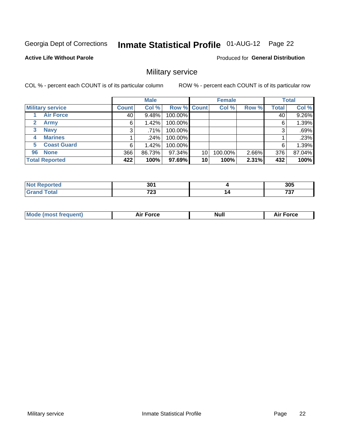# Inmate Statistical Profile 01-AUG-12 Page 22

#### **Active Life Without Parole**

#### Produced for General Distribution

### Military service

COL % - percent each COUNT is of its particular column

|              |                         |              | <b>Male</b> |         |             | <b>Female</b> |       |              | <b>Total</b> |
|--------------|-------------------------|--------------|-------------|---------|-------------|---------------|-------|--------------|--------------|
|              | <b>Military service</b> | <b>Count</b> | Col %       |         | Row % Count | Col %         | Row % | <b>Total</b> | Col %        |
|              | <b>Air Force</b>        | 40           | 9.48%       | 100.00% |             |               |       | 40           | 9.26%        |
| $\mathbf{2}$ | <b>Army</b>             | 6            | 1.42%       | 100.00% |             |               |       | 6            | 1.39%        |
| 3            | <b>Navy</b>             | 3            | .71%        | 100.00% |             |               |       | 3            | .69%         |
| 4            | <b>Marines</b>          |              | .24%        | 100.00% |             |               |       |              | .23%         |
| 5.           | <b>Coast Guard</b>      | 6            | 1.42%       | 100.00% |             |               |       | 6            | 1.39%        |
| 96           | <b>None</b>             | 366          | 86.73%      | 97.34%  | 10          | 100.00%       | 2.66% | 376          | 87.04%       |
|              | <b>Total Reported</b>   | 422          | 100%        | 97.69%  | 10          | 100%          | 2.31% | 432          | 100%         |

| rted        | ∘חכ<br>JU. | 305 |
|-------------|------------|-----|
| <b>otal</b> | 700        | 707 |
| --          | ب ک        | ، ب |

| <b>Null</b><br><b>Force</b> |
|-----------------------------|
|-----------------------------|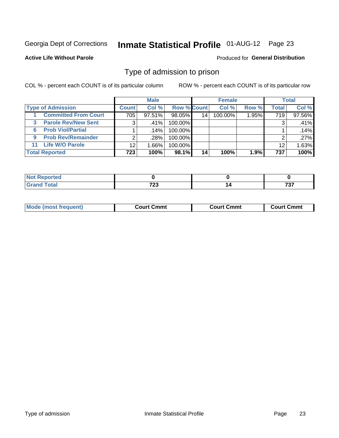# Inmate Statistical Profile 01-AUG-12 Page 23

**Active Life Without Parole** 

Produced for General Distribution

### Type of admission to prison

COL % - percent each COUNT is of its particular column

|                                 |                 | <b>Male</b> |                    |                 | <b>Female</b> |       |              | <b>Total</b> |
|---------------------------------|-----------------|-------------|--------------------|-----------------|---------------|-------|--------------|--------------|
| <b>Type of Admission</b>        | <b>Count</b>    | Col %       | <b>Row % Count</b> |                 | Col %         | Row % | <b>Total</b> | Col %        |
| <b>Committed From Court</b>     | 705             | $97.51\%$   | 98.05%             | 14 <sub>1</sub> | 100.00%       | 1.95% | 719          | 97.56%       |
| <b>Parole Rev/New Sent</b><br>3 | 3               | .41%        | 100.00%            |                 |               |       | 3            | .41%         |
| <b>Prob Viol/Partial</b><br>6.  |                 | .14%        | 100.00%            |                 |               |       |              | .14%         |
| <b>Prob Rev/Remainder</b><br>9  | 2               | .28%        | 100.00%            |                 |               |       | ⌒            | .27%         |
| <b>Life W/O Parole</b><br>11    | 12 <sup>°</sup> | 1.66%       | 100.00%            |                 |               |       | 12           | 1.63%        |
| <b>Total Reported</b>           | 723             | 100%        | 98.1%              | 14              | 100%          | 1.9%  | 737          | 100%         |

| <b>norted</b><br><b>NOT</b> |      |     |
|-----------------------------|------|-----|
| $T0$ tal                    | 700  | ラヘラ |
| <b>C.A.</b>                 | 1 LJ | .   |

| Mod<br>frequent)<br><b>TA IMOST 1.</b> | Court Cmmt<br>$\sim$ $\sim$ | วmmt<br>∴ourt | ∶ Cmmt<br>∴∩⊔rt∴ |
|----------------------------------------|-----------------------------|---------------|------------------|
|                                        |                             |               |                  |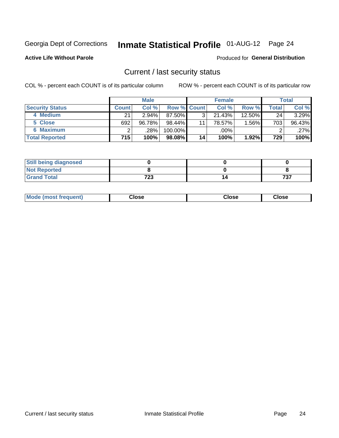# Inmate Statistical Profile 01-AUG-12 Page 24

**Active Life Without Parole** 

#### Produced for General Distribution

### Current / last security status

COL % - percent each COUNT is of its particular column

|                        |              | <b>Male</b> |                    |    | <b>Female</b> |           |       | <b>Total</b> |
|------------------------|--------------|-------------|--------------------|----|---------------|-----------|-------|--------------|
| <b>Security Status</b> | <b>Count</b> | Col %       | <b>Row % Count</b> |    | Col %         | Row %     | Total | Col %        |
| 4 Medium               | 21           | 2.94%       | 87.50%             | 3  | 21.43%        | $12.50\%$ | 24    | 3.29%        |
| 5 Close                | 692          | 96.78%      | $98.44\%$          | 11 | 78.57%        | 1.56%     | 703   | 96.43%       |
| <b>6 Maximum</b>       |              | $.28\%$     | 100.00%            |    | .00%          |           |       | .27%         |
| <b>Total Reported</b>  | 715          | 100%        | 98.08%             | 14 | 100%          | 1.92%     | 729   | 100%         |

| <b>Still being diagnosed</b> |           |            |
|------------------------------|-----------|------------|
| <b>Not Reported</b>          |           |            |
| <b>Grand Total</b>           | フクク<br>د∠ | ラヘラ<br>וטי |

| Mode (most frequent) | Close | Close | <b>Close</b> |
|----------------------|-------|-------|--------------|
|                      |       |       |              |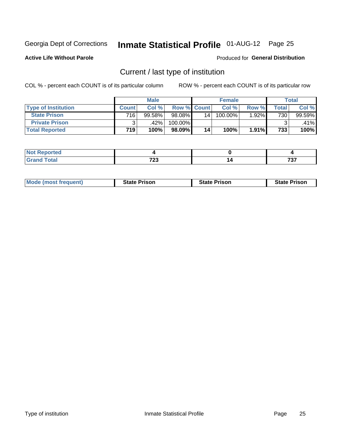# Inmate Statistical Profile 01-AUG-12 Page 25

**Active Life Without Parole** 

#### Produced for General Distribution

### Current / last type of institution

COL % - percent each COUNT is of its particular column

|                            |              | <b>Male</b> |                    |    | <b>Female</b> |          |       | <b>Total</b> |
|----------------------------|--------------|-------------|--------------------|----|---------------|----------|-------|--------------|
| <b>Type of Institution</b> | <b>Count</b> | Col %       | <b>Row % Count</b> |    | Col %         | Row %    | Total | Col %        |
| <b>State Prison</b>        | 716          | 99.58%      | $98.08\%$          | 14 | 100.00%       | 1.92%    | 730   | 99.59%       |
| <b>Private Prison</b>      |              | .42%        | 100.00%            |    |               |          |       | $.41\%$      |
| <b>Total Reported</b>      | 719          | 100%        | $98.09\%$          | 14 | 100%          | $1.91\%$ | 733   | 100%         |

| ortea |      |    |         |
|-------|------|----|---------|
| otal  | 700  | ۰. | $- - -$ |
| ---   | , 29 |    | . J     |

| <b>Mode (most frequent)</b> | <b>State Prison</b> | <b>State Prison</b> | <b>State Prison</b> |
|-----------------------------|---------------------|---------------------|---------------------|
|                             |                     |                     |                     |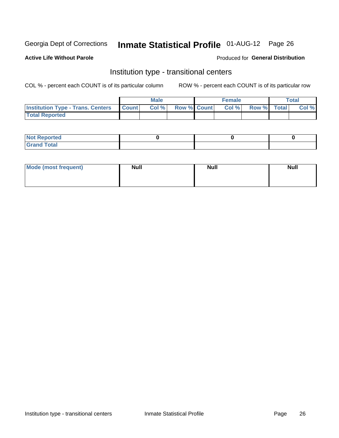# Inmate Statistical Profile 01-AUG-12 Page 26

#### **Active Life Without Parole**

#### Produced for General Distribution

### Institution type - transitional centers

COL % - percent each COUNT is of its particular column

|                                                | Male  |                    | <b>Female</b> |                   | Total |
|------------------------------------------------|-------|--------------------|---------------|-------------------|-------|
| <b>Institution Type - Trans. Centers Count</b> | Col % | <b>Row % Count</b> |               | Col % Row % Total | Col % |
| <b>Total Reported</b>                          |       |                    |               |                   |       |

| <b>Reported</b><br><b>NOT</b><br>$\sim$            |  |  |
|----------------------------------------------------|--|--|
| $f$ $f \circ f \circ f$<br>$C = 1$<br><b>TULAI</b> |  |  |

| Mode (most frequent) | <b>Null</b> | <b>Null</b> | <b>Null</b> |
|----------------------|-------------|-------------|-------------|
|                      |             |             |             |
|                      |             |             |             |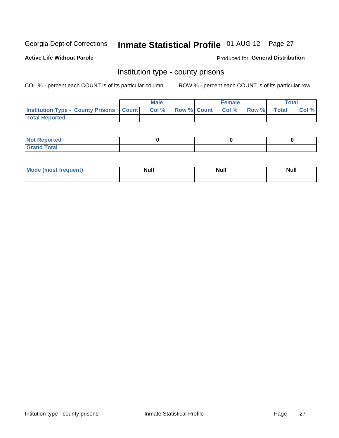# Inmate Statistical Profile 01-AUG-12 Page 27

**Active Life Without Parole** 

**Produced for General Distribution** 

### Institution type - county prisons

COL % - percent each COUNT is of its particular column

|                                                    | <b>Male</b> |                          | <b>Female</b> |             | <b>Total</b> |
|----------------------------------------------------|-------------|--------------------------|---------------|-------------|--------------|
| <b>Institution Type - County Prisons   Count  </b> | Col %       | <b>Row % Count Col %</b> |               | Row % Total | Col %        |
| <b>Total Reported</b>                              |             |                          |               |             |              |

| <b>Not Reported</b>   |  |  |
|-----------------------|--|--|
| <b>Total</b><br>Granc |  |  |

| <b>Mode</b>      | <b>Null</b> | <b>Null</b> | <b>Null</b> |
|------------------|-------------|-------------|-------------|
| (most freauent). |             |             |             |
|                  |             |             |             |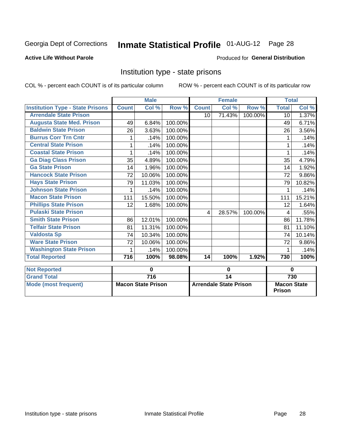# Inmate Statistical Profile 01-AUG-12 Page 28

#### **Active Life Without Parole**

#### Produced for General Distribution

### Institution type - state prisons

COL % - percent each COUNT is of its particular column

|                                         |              | <b>Male</b>               |         |              | <b>Female</b>                 |         | <b>Total</b>                        |        |
|-----------------------------------------|--------------|---------------------------|---------|--------------|-------------------------------|---------|-------------------------------------|--------|
| <b>Institution Type - State Prisons</b> | <b>Count</b> | Col %                     | Row %   | <b>Count</b> | Col %                         | Row %   | <b>Total</b>                        | Col %  |
| <b>Arrendale State Prison</b>           |              |                           |         | 10           | 71.43%                        | 100.00% | 10 <sup>1</sup>                     | 1.37%  |
| <b>Augusta State Med. Prison</b>        | 49           | 6.84%                     | 100.00% |              |                               |         | 49                                  | 6.71%  |
| <b>Baldwin State Prison</b>             | 26           | 3.63%                     | 100.00% |              |                               |         | 26                                  | 3.56%  |
| <b>Burrus Corr Trn Cntr</b>             | 1            | .14%                      | 100.00% |              |                               |         | 1                                   | .14%   |
| <b>Central State Prison</b>             |              | .14%                      | 100.00% |              |                               |         |                                     | .14%   |
| <b>Coastal State Prison</b>             |              | .14%                      | 100.00% |              |                               |         |                                     | .14%   |
| <b>Ga Diag Class Prison</b>             | 35           | 4.89%                     | 100.00% |              |                               |         | 35                                  | 4.79%  |
| <b>Ga State Prison</b>                  | 14           | 1.96%                     | 100.00% |              |                               |         | 14                                  | 1.92%  |
| <b>Hancock State Prison</b>             | 72           | 10.06%                    | 100.00% |              |                               |         | 72                                  | 9.86%  |
| <b>Hays State Prison</b>                | 79           | 11.03%                    | 100.00% |              |                               |         | 79                                  | 10.82% |
| <b>Johnson State Prison</b>             |              | .14%                      | 100.00% |              |                               |         |                                     | .14%   |
| <b>Macon State Prison</b>               | 111          | 15.50%                    | 100.00% |              |                               |         | 111                                 | 15.21% |
| <b>Phillips State Prison</b>            | 12           | 1.68%                     | 100.00% |              |                               |         | 12                                  | 1.64%  |
| <b>Pulaski State Prison</b>             |              |                           |         | 4            | 28.57%                        | 100.00% | 4                                   | .55%   |
| <b>Smith State Prison</b>               | 86           | 12.01%                    | 100.00% |              |                               |         | 86                                  | 11.78% |
| <b>Telfair State Prison</b>             | 81           | 11.31%                    | 100.00% |              |                               |         | 81                                  | 11.10% |
| <b>Valdosta Sp</b>                      | 74           | 10.34%                    | 100.00% |              |                               |         | 74                                  | 10.14% |
| <b>Ware State Prison</b>                | 72           | 10.06%                    | 100.00% |              |                               |         | 72                                  | 9.86%  |
| <b>Washington State Prison</b>          | 1            | .14%                      | 100.00% |              |                               |         | 1                                   | .14%   |
| <b>Total Reported</b>                   | 716          | 100%                      | 98.08%  | 14           | 100%                          | 1.92%   | 730                                 | 100%   |
| <b>Not Reported</b>                     |              | 0                         |         | $\bf{0}$     |                               |         | $\bf{0}$                            |        |
| <b>Grand Total</b>                      |              | $\overline{716}$          |         |              | $\overline{14}$               |         |                                     | 730    |
| <b>Mode (most frequent)</b>             |              | <b>Macon State Prison</b> |         |              | <b>Arrendale State Prison</b> |         | <b>Macon State</b><br><b>Prison</b> |        |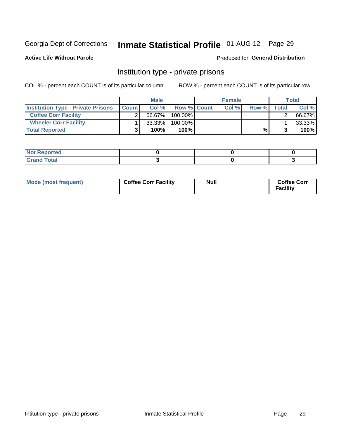# Inmate Statistical Profile 01-AUG-12 Page 29

**Active Life Without Parole** 

#### Produced for General Distribution

### Institution type - private prisons

COL % - percent each COUNT is of its particular column

|                                           |              | <b>Male</b> |                    | <b>Female</b> |       |       | <b>Total</b> |
|-------------------------------------------|--------------|-------------|--------------------|---------------|-------|-------|--------------|
| <b>Institution Type - Private Prisons</b> | <b>Count</b> | Col $%$     | <b>Row % Count</b> | Col%          | Row % | Total | Col %        |
| <b>Coffee Corr Facility</b>               |              | 66.67%      | $100.00\%$         |               |       |       | 66.67%       |
| <b>Wheeler Corr Facility</b>              |              | $33.33\%$   | $100.00\%$         |               |       |       | 33.33%       |
| <b>Total Reported</b>                     |              | 100%        | 100%               |               | %।    |       | 100%         |

| <b>Not Reported</b>     |  |  |
|-------------------------|--|--|
| <u>i Utal</u><br>------ |  |  |

| Mode (most frequent) | <b>Coffee Corr Facility</b> | <b>Null</b> | <b>Coffee Corr</b><br><b>Facility</b> |
|----------------------|-----------------------------|-------------|---------------------------------------|
|----------------------|-----------------------------|-------------|---------------------------------------|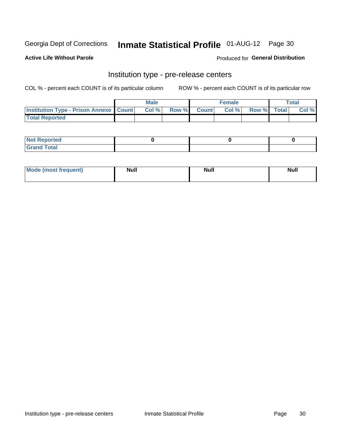# Inmate Statistical Profile 01-AUG-12 Page 30

**Active Life Without Parole** 

Produced for General Distribution

### Institution type - pre-release centers

COL % - percent each COUNT is of its particular column

|                                                    | <b>Male</b> |             | <b>Female</b> |             | <b>Total</b> |
|----------------------------------------------------|-------------|-------------|---------------|-------------|--------------|
| <b>Institution Type - Prison Annexe   Count   </b> | Col %       | Row % Count | Col %         | Row % Total | Col %        |
| <b>Total Reported</b>                              |             |             |               |             |              |

| <b>Reported</b><br>I NOT |  |  |
|--------------------------|--|--|
| <b>Total</b><br>$C$ ren  |  |  |

| $^{\circ}$ Mo<br>frequent)<br>⊥(most | <b>Null</b> | Noll<br><b>vull</b> | <b>Null</b> |
|--------------------------------------|-------------|---------------------|-------------|
|                                      |             |                     |             |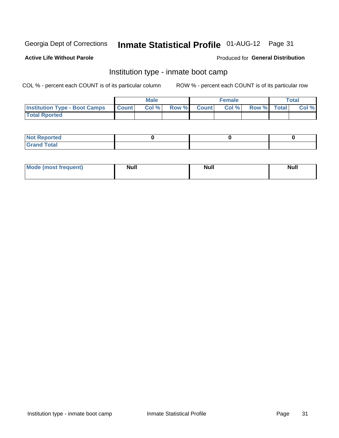# Inmate Statistical Profile 01-AUG-12 Page 31

#### **Active Life Without Parole**

#### **Produced for General Distribution**

### Institution type - inmate boot camp

COL % - percent each COUNT is of its particular column

|                                      |              | <b>Male</b> |               |              | <b>Female</b> |             | <b>Total</b> |
|--------------------------------------|--------------|-------------|---------------|--------------|---------------|-------------|--------------|
| <b>Institution Type - Boot Camps</b> | <b>Count</b> | Col %       | <b>Row %I</b> | <b>Count</b> | Col %         | Row % Total | Col %        |
| <b>Total Rported</b>                 |              |             |               |              |               |             |              |

| <b>Not Reported</b>            |  |  |
|--------------------------------|--|--|
| <b>Total</b><br>C <sub>r</sub> |  |  |

| <b>I Mode (most frequent)</b> | <b>Null</b> | <b>Null</b> | <b>Null</b> |
|-------------------------------|-------------|-------------|-------------|
|                               |             |             |             |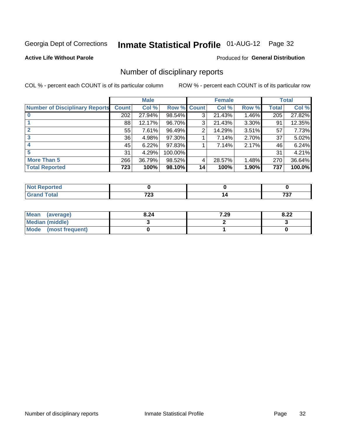# Inmate Statistical Profile 01-AUG-12 Page 32

#### **Active Life Without Parole**

#### Produced for General Distribution

### Number of disciplinary reports

COL % - percent each COUNT is of its particular column

|                                       |              | <b>Male</b> |         |              | <b>Female</b> |          |              | <b>Total</b> |
|---------------------------------------|--------------|-------------|---------|--------------|---------------|----------|--------------|--------------|
| <b>Number of Disciplinary Reports</b> | <b>Count</b> | Col %       | Row %   | <b>Count</b> | Col %         | Row %    | <b>Total</b> | Col %        |
|                                       | 202          | 27.94%      | 98.54%  | 3            | 21.43%        | 1.46%    | 205          | 27.82%       |
|                                       | 88           | 12.17%      | 96.70%  | 3            | 21.43%        | 3.30%    | 91           | 12.35%       |
|                                       | 55           | 7.61%       | 96.49%  | 2            | 14.29%        | 3.51%    | 57           | 7.73%        |
| 3                                     | 36           | 4.98%       | 97.30%  |              | 7.14%         | $2.70\%$ | 37           | 5.02%        |
|                                       | 45           | 6.22%       | 97.83%  |              | 7.14%         | 2.17%    | 46           | 6.24%        |
| 5                                     | 31           | 4.29%       | 100.00% |              |               |          | 31           | 4.21%        |
| <b>More Than 5</b>                    | 266          | 36.79%      | 98.52%  | 4            | 28.57%        | 1.48%    | 270          | 36.64%       |
| <b>Total Reported</b>                 | 723          | 100%        | 98.10%  | 14           | 100%          | 1.90%    | 737          | 100.0%       |

| <b>prted</b><br>NOT |               |             |
|---------------------|---------------|-------------|
| Total               | 700<br>$\sim$ | 707<br>, ., |

| Mean (average)         | 8.24 | 7.29 | റ ററ<br>O.ZZ |
|------------------------|------|------|--------------|
| <b>Median (middle)</b> |      |      |              |
| Mode (most frequent)   |      |      |              |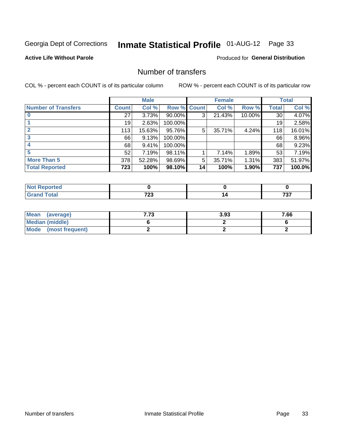# Inmate Statistical Profile 01-AUG-12 Page 33

#### **Active Life Without Parole**

#### **Produced for General Distribution**

### Number of transfers

COL % - percent each COUNT is of its particular column

|                            |         | <b>Male</b> |           |              | <b>Female</b> |        |              | <b>Total</b> |
|----------------------------|---------|-------------|-----------|--------------|---------------|--------|--------------|--------------|
| <b>Number of Transfers</b> | Count l | Col %       | Row %     | <b>Count</b> | Col %         | Row %  | <b>Total</b> | Col %        |
|                            | 27      | 3.73%       | $90.00\%$ | 3            | 21.43%        | 10.00% | 30           | 4.07%        |
|                            | 19      | 2.63%       | 100.00%   |              |               |        | 19           | 2.58%        |
|                            | 113     | 15.63%      | 95.76%    | 5            | 35.71%        | 4.24%  | 118          | 16.01%       |
| 3                          | 66      | 9.13%       | 100.00%   |              |               |        | 66           | 8.96%        |
|                            | 68      | 9.41%       | 100.00%   |              |               |        | 68           | 9.23%        |
| 5                          | 52      | 7.19%       | 98.11%    |              | 7.14%         | 1.89%  | 53           | 7.19%        |
| <b>More Than 5</b>         | 378     | 52.28%      | 98.69%    | 5            | 35.71%        | 1.31%  | 383          | 51.97%       |
| <b>Total Reported</b>      | 723     | 100%        | 98.10%    | 14           | 100%          | 1.90%  | 737          | 100.0%       |

| <b>prted</b><br>NOT |               |             |
|---------------------|---------------|-------------|
| Total               | 700<br>$\sim$ | 707<br>, ., |

| Mean (average)       | 7.73 | 3.93 | 7.66 |
|----------------------|------|------|------|
| Median (middle)      |      |      |      |
| Mode (most frequent) |      |      |      |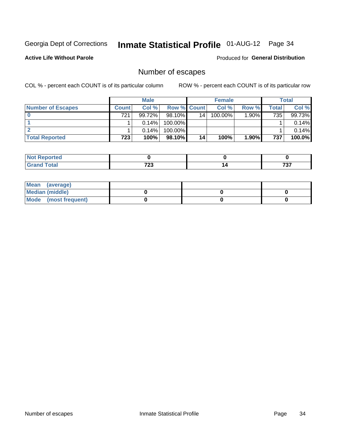# Inmate Statistical Profile 01-AUG-12 Page 34

**Active Life Without Parole** 

**Produced for General Distribution** 

### Number of escapes

COL % - percent each COUNT is of its particular column

|                          |                  | <b>Male</b> |                    |    | <b>Female</b> |       |       | Total  |
|--------------------------|------------------|-------------|--------------------|----|---------------|-------|-------|--------|
| <b>Number of Escapes</b> | <b>Count</b>     | Col%        | <b>Row % Count</b> |    | Col %         | Row % | Total | Col %  |
|                          | 721              | $99.72\%$   | $98.10\%$          | 14 | 100.00%       | 1.90% | 735   | 99.73% |
|                          |                  | $0.14\%$    | 100.00%            |    |               |       |       | 0.14%  |
|                          |                  | $0.14\%$    | 100.00%            |    |               |       |       | 0.14%  |
| <b>Total Reported</b>    | 723 <sub>1</sub> | 100%        | 98.10%             | 14 | 100%          | 1.90% | 737   | 100.0% |

| orted<br><b>AUT Reprint</b> |      |       |
|-----------------------------|------|-------|
| <b>fotal</b>                | 700  | -20-2 |
| Grand                       | , 20 | , , , |

| Mean (average)       |  |  |
|----------------------|--|--|
| Median (middle)      |  |  |
| Mode (most frequent) |  |  |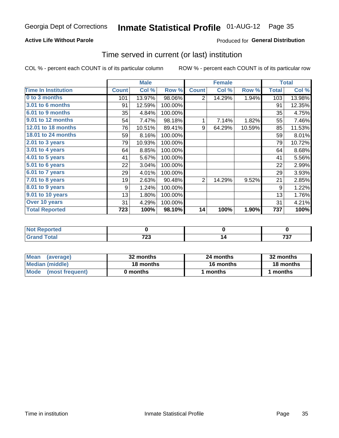#### **Active Life Without Parole**

#### **Produced for General Distribution**

### Time served in current (or last) institution

COL % - percent each COUNT is of its particular column

|                              |              | <b>Male</b> |         |                | <b>Female</b> |        |                  | <b>Total</b> |
|------------------------------|--------------|-------------|---------|----------------|---------------|--------|------------------|--------------|
| <b>Time In Institution</b>   | <b>Count</b> | Col %       | Row %   | <b>Count</b>   | Col %         | Row %  | <b>Total</b>     | Col %        |
| 0 to 3 months                | 101          | 13.97%      | 98.06%  | $\overline{2}$ | 14.29%        | 1.94%  | 103              | 13.98%       |
| 3.01 to 6 months             | 91           | 12.59%      | 100.00% |                |               |        | 91               | 12.35%       |
| 6.01 to 9 months             | 35           | 4.84%       | 100.00% |                |               |        | 35               | 4.75%        |
| 9.01 to 12 months            | 54           | 7.47%       | 98.18%  | 1              | 7.14%         | 1.82%  | 55               | 7.46%        |
| 12.01 to 18 months           | 76           | 10.51%      | 89.41%  | 9              | 64.29%        | 10.59% | 85               | 11.53%       |
| <b>18.01 to 24 months</b>    | 59           | 8.16%       | 100.00% |                |               |        | 59               | 8.01%        |
| $2.01$ to 3 years            | 79           | 10.93%      | 100.00% |                |               |        | 79               | 10.72%       |
| 3.01 to 4 years              | 64           | 8.85%       | 100.00% |                |               |        | 64               | 8.68%        |
| $4.01$ to 5 years            | 41           | 5.67%       | 100.00% |                |               |        | 41               | 5.56%        |
| $\overline{5.01}$ to 6 years | 22           | 3.04%       | 100.00% |                |               |        | 22               | 2.99%        |
| 6.01 to 7 years              | 29           | 4.01%       | 100.00% |                |               |        | 29               | 3.93%        |
| $7.01$ to 8 years            | 19           | 2.63%       | 90.48%  | $\overline{2}$ | 14.29%        | 9.52%  | 21               | 2.85%        |
| $8.01$ to 9 years            | 9            | 1.24%       | 100.00% |                |               |        | 9                | 1.22%        |
| 9.01 to 10 years             | 13           | 1.80%       | 100.00% |                |               |        | 13               | 1.76%        |
| Over 10 years                | 31           | 4.29%       | 100.00% |                |               |        | 31               | 4.21%        |
| <b>Total Reported</b>        | 723          | 100%        | 98.10%  | 14             | 100%          | 1.90%  | $\overline{737}$ | 100%         |

| <b>Reported</b><br><b>Not</b> |              |            |
|-------------------------------|--------------|------------|
| <b>Total</b>                  | フへへ<br>ن ۽ ا | ラヘラ<br>791 |

| <b>Mean</b><br>(average) | 32 months | 24 months | 32 months |  |
|--------------------------|-----------|-----------|-----------|--|
| Median (middle)          | 18 months | 16 months | 18 months |  |
| Mode (most frequent)     | 0 months  | 1 months  | 1 months  |  |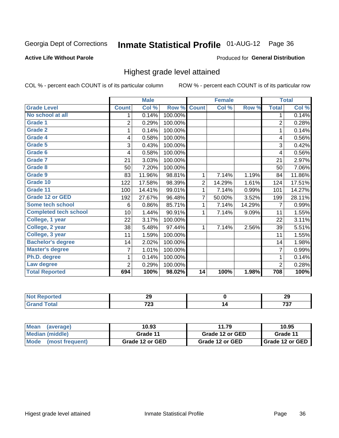# Inmate Statistical Profile 01-AUG-12 Page 36

#### **Active Life Without Parole**

#### Produced for General Distribution

### Highest grade level attained

COL % - percent each COUNT is of its particular column

|                              |                | <b>Male</b> |         |                | <b>Female</b> |        |                | <b>Total</b> |
|------------------------------|----------------|-------------|---------|----------------|---------------|--------|----------------|--------------|
| <b>Grade Level</b>           | <b>Count</b>   | Col %       | Row %   | <b>Count</b>   | Col %         | Row %  | <b>Total</b>   | Col %        |
| No school at all             | 1              | 0.14%       | 100.00% |                |               |        | 1              | 0.14%        |
| <b>Grade 1</b>               | $\overline{c}$ | 0.29%       | 100.00% |                |               |        | $\overline{2}$ | 0.28%        |
| <b>Grade 2</b>               | 1              | 0.14%       | 100.00% |                |               |        | 1              | 0.14%        |
| <b>Grade 4</b>               | 4              | 0.58%       | 100.00% |                |               |        | 4              | 0.56%        |
| Grade 5                      | 3              | 0.43%       | 100.00% |                |               |        | 3              | 0.42%        |
| Grade 6                      | 4              | 0.58%       | 100.00% |                |               |        | 4              | 0.56%        |
| <b>Grade 7</b>               | 21             | 3.03%       | 100.00% |                |               |        | 21             | 2.97%        |
| <b>Grade 8</b>               | 50             | 7.20%       | 100.00% |                |               |        | 50             | 7.06%        |
| <b>Grade 9</b>               | 83             | 11.96%      | 98.81%  | 1              | 7.14%         | 1.19%  | 84             | 11.86%       |
| Grade 10                     | 122            | 17.58%      | 98.39%  | $\overline{c}$ | 14.29%        | 1.61%  | 124            | 17.51%       |
| Grade 11                     | 100            | 14.41%      | 99.01%  | 1              | 7.14%         | 0.99%  | 101            | 14.27%       |
| <b>Grade 12 or GED</b>       | 192            | 27.67%      | 96.48%  | 7              | 50.00%        | 3.52%  | 199            | 28.11%       |
| <b>Some tech school</b>      | 6              | 0.86%       | 85.71%  | 1              | 7.14%         | 14.29% | 7              | 0.99%        |
| <b>Completed tech school</b> | 10             | 1.44%       | 90.91%  | 1              | 7.14%         | 9.09%  | 11             | 1.55%        |
| College, 1 year              | 22             | 3.17%       | 100.00% |                |               |        | 22             | 3.11%        |
| College, 2 year              | 38             | 5.48%       | 97.44%  | 1              | 7.14%         | 2.56%  | 39             | 5.51%        |
| College, 3 year              | 11             | 1.59%       | 100.00% |                |               |        | 11             | 1.55%        |
| <b>Bachelor's degree</b>     | 14             | 2.02%       | 100.00% |                |               |        | 14             | 1.98%        |
| <b>Master's degree</b>       | 7              | 1.01%       | 100.00% |                |               |        | 7              | 0.99%        |
| Ph.D. degree                 | 1              | 0.14%       | 100.00% |                |               |        | 1              | 0.14%        |
| Law degree                   | 2              | 0.29%       | 100.00% |                |               |        | $\overline{2}$ | 0.28%        |
| <b>Total Reported</b>        | 694            | 100%        | 98.02%  | 14             | 100%          | 1.98%  | 708            | 100%         |

| neo | חה           | 20          |
|-----|--------------|-------------|
| N   | 23           | LJ          |
|     | 700<br>1 L J | ラヘラ<br>, ., |

| l Mean<br>(average)            | 10.93           | 11.79           | 10.95                    |
|--------------------------------|-----------------|-----------------|--------------------------|
| Median (middle)                | Grade 11        | Grade 12 or GED | Grade 11                 |
| <b>Mode</b><br>(most frequent) | Grade 12 or GED | Grade 12 or GED | <b>I</b> Grade 12 or GED |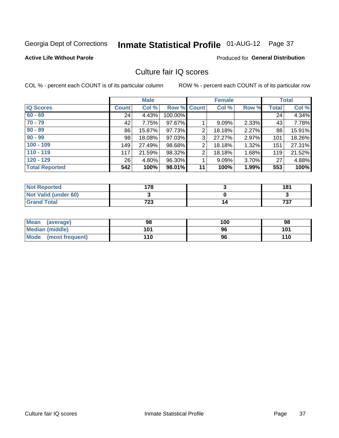## Inmate Statistical Profile 01-AUG-12 Page 37

#### **Active Life Without Parole**

#### **Produced for General Distribution**

## Culture fair IQ scores

COL % - percent each COUNT is of its particular column

|                       |              | <b>Male</b> |                    |                | <b>Female</b> |       |              | <b>Total</b> |
|-----------------------|--------------|-------------|--------------------|----------------|---------------|-------|--------------|--------------|
| <b>IQ Scores</b>      | <b>Count</b> | Col %       | <b>Row % Count</b> |                | Col %         | Row % | <b>Total</b> | Col %        |
| $60 - 69$             | 24           | 4.43%       | 100.00%            |                |               |       | 24           | 4.34%        |
| $70 - 79$             | 42           | 7.75%       | 97.67%             |                | 9.09%         | 2.33% | 43           | 7.78%        |
| $80 - 89$             | 86           | 15.87%      | 97.73%             | 2              | 18.18%        | 2.27% | 88           | 15.91%       |
| $90 - 99$             | 98           | 18.08%      | 97.03%             | 3              | 27.27%        | 2.97% | 101          | 18.26%       |
| $100 - 109$           | 149          | 27.49%      | 98.68%             | $\overline{2}$ | 18.18%        | 1.32% | 151          | 27.31%       |
| $110 - 119$           | 117          | 21.59%      | 98.32%             | 2              | 18.18%        | 1.68% | 119          | 21.52%       |
| $120 - 129$           | 26           | 4.80%       | 96.30%             |                | 9.09%         | 3.70% | 27           | 4.88%        |
| <b>Total Reported</b> | 542          | 100%        | 98.01%             | 11             | 100%          | 1.99% | 553          | 100%         |

| <b>Not Reported</b>         | 178 | 181          |
|-----------------------------|-----|--------------|
| <b>Not Valid (under 60)</b> |     |              |
| <b>Grand Total</b>          | 723 | フクフ<br>، د ، |

| <b>Mean</b><br>(average)       | 98  | 100 | 98  |
|--------------------------------|-----|-----|-----|
| Median (middle)                | 101 | 96  | 101 |
| <b>Mode</b><br>(most frequent) | 110 | 96  | 110 |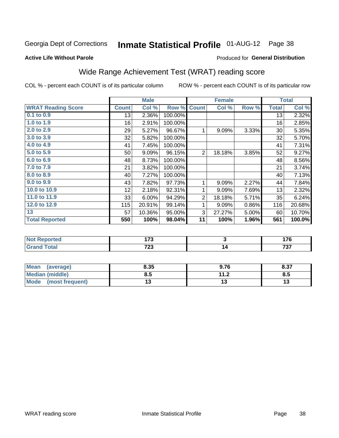## Inmate Statistical Profile 01-AUG-12 Page 38

#### **Active Life Without Parole**

#### **Produced for General Distribution**

## Wide Range Achievement Test (WRAT) reading score

COL % - percent each COUNT is of its particular column

|                           |              | <b>Male</b> |         |                | <b>Female</b> |       |              | <b>Total</b> |
|---------------------------|--------------|-------------|---------|----------------|---------------|-------|--------------|--------------|
| <b>WRAT Reading Score</b> | <b>Count</b> | Col %       | Row %   | <b>Count</b>   | Col %         | Row % | <b>Total</b> | Col %        |
| 0.1 to 0.9                | 13           | 2.36%       | 100.00% |                |               |       | 13           | 2.32%        |
| 1.0 to 1.9                | 16           | 2.91%       | 100.00% |                |               |       | 16           | 2.85%        |
| 2.0 to 2.9                | 29           | 5.27%       | 96.67%  | 1              | 9.09%         | 3.33% | 30           | 5.35%        |
| 3.0 to 3.9                | 32           | 5.82%       | 100.00% |                |               |       | 32           | 5.70%        |
| 4.0 to 4.9                | 41           | 7.45%       | 100.00% |                |               |       | 41           | 7.31%        |
| 5.0 to 5.9                | 50           | 9.09%       | 96.15%  | $\overline{2}$ | 18.18%        | 3.85% | 52           | 9.27%        |
| 6.0 to 6.9                | 48           | 8.73%       | 100.00% |                |               |       | 48           | 8.56%        |
| 7.0 to 7.9                | 21           | 3.82%       | 100.00% |                |               |       | 21           | 3.74%        |
| 8.0 to 8.9                | 40           | 7.27%       | 100.00% |                |               |       | 40           | 7.13%        |
| 9.0 to 9.9                | 43           | 7.82%       | 97.73%  | 1              | 9.09%         | 2.27% | 44           | 7.84%        |
| 10.0 to 10.9              | 12           | 2.18%       | 92.31%  | 1              | 9.09%         | 7.69% | 13           | 2.32%        |
| 11.0 to 11.9              | 33           | 6.00%       | 94.29%  | $\overline{2}$ | 18.18%        | 5.71% | 35           | 6.24%        |
| 12.0 to 12.9              | 115          | 20.91%      | 99.14%  | 1              | 9.09%         | 0.86% | 116          | 20.68%       |
| 13                        | 57           | 10.36%      | 95.00%  | 3              | 27.27%        | 5.00% | 60           | 10.70%       |
| <b>Total Reported</b>     | 550          | 100%        | 98.04%  | 11             | 100%          | 1.96% | 561          | 100.0%       |
| <del>.</del>              |              |             |         |                |               |       |              |              |

| <b>Reported</b><br>' NOT | יי<br>. | .   |
|--------------------------|---------|-----|
| $T0$ tal                 | 700     | 707 |
| $-$ Grs                  | ن ۽ ا   | י ט |

| <b>Mean</b><br>(average) | 8.35 | 9.76      | 8.37 |
|--------------------------|------|-----------|------|
| Median (middle)          | ช.ว  | 11 J<br>Z | 8.5  |
| Mode<br>(most frequent)  | . .  | ' v       | ויי  |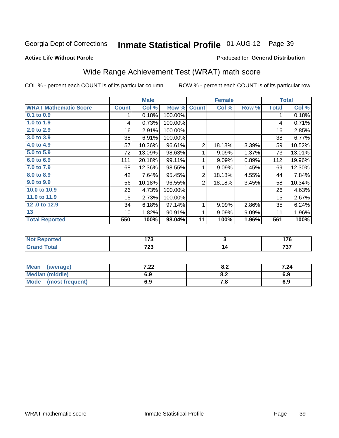## Inmate Statistical Profile 01-AUG-12 Page 39

**Active Life Without Parole** 

#### Produced for General Distribution

## Wide Range Achievement Test (WRAT) math score

COL % - percent each COUNT is of its particular column

|                              |              | <b>Male</b> |         |                | <b>Female</b>             |       |              | <b>Total</b> |
|------------------------------|--------------|-------------|---------|----------------|---------------------------|-------|--------------|--------------|
| <b>WRAT Mathematic Score</b> | <b>Count</b> | Col %       | Row %   | <b>Count</b>   | $\overline{\text{Col}}$ % | Row % | <b>Total</b> | Col %        |
| $0.1$ to $0.9$               | 1            | 0.18%       | 100.00% |                |                           |       | 1            | 0.18%        |
| 1.0 to 1.9                   | 4            | 0.73%       | 100.00% |                |                           |       | 4            | 0.71%        |
| 2.0 to 2.9                   | 16           | 2.91%       | 100.00% |                |                           |       | 16           | 2.85%        |
| 3.0 to 3.9                   | 38           | 6.91%       | 100.00% |                |                           |       | 38           | 6.77%        |
| 4.0 to 4.9                   | 57           | 10.36%      | 96.61%  | $\overline{2}$ | 18.18%                    | 3.39% | 59           | 10.52%       |
| 5.0 to 5.9                   | 72           | 13.09%      | 98.63%  | 1              | 9.09%                     | 1.37% | 73           | 13.01%       |
| 6.0 to 6.9                   | 111          | 20.18%      | 99.11%  | 1              | 9.09%                     | 0.89% | 112          | 19.96%       |
| 7.0 to 7.9                   | 68           | 12.36%      | 98.55%  | 1              | 9.09%                     | 1.45% | 69           | 12.30%       |
| 8.0 to 8.9                   | 42           | 7.64%       | 95.45%  | $\overline{2}$ | 18.18%                    | 4.55% | 44           | 7.84%        |
| 9.0 to 9.9                   | 56           | 10.18%      | 96.55%  | $\overline{2}$ | 18.18%                    | 3.45% | 58           | 10.34%       |
| 10.0 to 10.9                 | 26           | 4.73%       | 100.00% |                |                           |       | 26           | 4.63%        |
| 11.0 to 11.9                 | 15           | 2.73%       | 100.00% |                |                           |       | 15           | 2.67%        |
| 12.0 to 12.9                 | 34           | 6.18%       | 97.14%  | 1              | 9.09%                     | 2.86% | 35           | 6.24%        |
| $\overline{13}$              | 10           | 1.82%       | 90.91%  | 1              | 9.09%                     | 9.09% | 11           | 1.96%        |
| <b>Total Reported</b>        | 550          | 100%        | 98.04%  | 11             | 100%                      | 1.96% | 561          | 100%         |
|                              |              |             |         |                |                           |       |              |              |
| <b>Not Reported</b>          |              | 173         |         |                | 3                         |       |              | 176          |
| <b>Grand Total</b>           |              | 723         |         |                | $\overline{14}$           |       |              | 737          |
|                              |              |             |         |                |                           |       |              |              |

| Mean (average)         | ר ר<br>.22 | о о<br>o.z | 7.24 |
|------------------------|------------|------------|------|
| <b>Median (middle)</b> | 6.9        | o.z        | 6.9  |
| Mode (most frequent)   | 6.9        | 7. O       | 6.9  |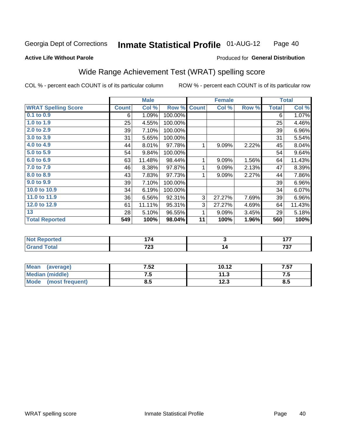#### **Inmate Statistical Profile 01-AUG-12** Page 40

#### **Active Life Without Parole**

#### Produced for General Distribution

## Wide Range Achievement Test (WRAT) spelling score

COL % - percent each COUNT is of its particular column

|                            |              | <b>Male</b> |         |                         | <b>Female</b>             |       |              | <b>Total</b> |
|----------------------------|--------------|-------------|---------|-------------------------|---------------------------|-------|--------------|--------------|
| <b>WRAT Spelling Score</b> | <b>Count</b> | Col %       | Row %   | <b>Count</b>            | $\overline{\text{Col}}$ % | Row % | <b>Total</b> | Col %        |
| $0.1$ to $0.9$             | 6            | 1.09%       | 100.00% |                         |                           |       | 6            | 1.07%        |
| 1.0 to 1.9                 | 25           | 4.55%       | 100.00% |                         |                           |       | 25           | 4.46%        |
| 2.0 to 2.9                 | 39           | 7.10%       | 100.00% |                         |                           |       | 39           | 6.96%        |
| 3.0 to 3.9                 | 31           | 5.65%       | 100.00% |                         |                           |       | 31           | 5.54%        |
| 4.0 to 4.9                 | 44           | 8.01%       | 97.78%  | 1                       | 9.09%                     | 2.22% | 45           | 8.04%        |
| 5.0 to 5.9                 | 54           | 9.84%       | 100.00% |                         |                           |       | 54           | 9.64%        |
| 6.0 to 6.9                 | 63           | 11.48%      | 98.44%  | 1                       | 9.09%                     | 1.56% | 64           | 11.43%       |
| 7.0 to 7.9                 | 46           | 8.38%       | 97.87%  | 1                       | 9.09%                     | 2.13% | 47           | 8.39%        |
| 8.0 to 8.9                 | 43           | 7.83%       | 97.73%  | 1                       | 9.09%                     | 2.27% | 44           | 7.86%        |
| 9.0 to 9.9                 | 39           | 7.10%       | 100.00% |                         |                           |       | 39           | 6.96%        |
| 10.0 to 10.9               | 34           | 6.19%       | 100.00% |                         |                           |       | 34           | 6.07%        |
| 11.0 to 11.9               | 36           | 6.56%       | 92.31%  | 3                       | 27.27%                    | 7.69% | 39           | 6.96%        |
| 12.0 to 12.9               | 61           | 11.11%      | 95.31%  | 3                       | 27.27%                    | 4.69% | 64           | 11.43%       |
| 13                         | 28           | 5.10%       | 96.55%  | 1                       | 9.09%                     | 3.45% | 29           | 5.18%        |
| <b>Total Reported</b>      | 549          | 100%        | 98.04%  | 11                      | 100%                      | 1.96% | 560          | 100%         |
|                            |              |             |         |                         |                           |       |              |              |
| <b>Not Reported</b>        |              | 174         |         | $\overline{\mathbf{3}}$ |                           |       |              | 177          |
| <b>Grand Total</b>         |              | 723         |         |                         | 14                        |       |              | 737          |

| <b>Mean</b><br>(average) | 7.52 | 10.12 | 7.57 |
|--------------------------|------|-------|------|
| Median (middle)          | .    | 11.3  | .    |
| Mode<br>(most frequent)  | ช.ว  | 12.3  | 8.5  |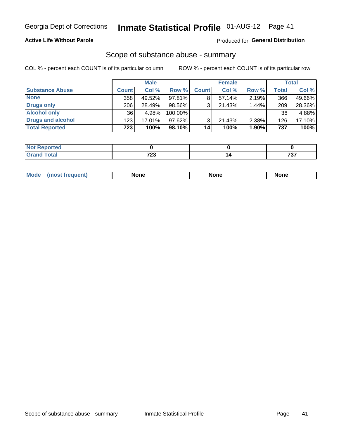#### **Active Life Without Parole**

### **Produced for General Distribution**

### Scope of substance abuse - summary

COL % - percent each COUNT is of its particular column

|                        |              | <b>Male</b> |         |              | <b>Female</b> |          |       | <b>Total</b> |
|------------------------|--------------|-------------|---------|--------------|---------------|----------|-------|--------------|
| <b>Substance Abuse</b> | <b>Count</b> | Col %       | Row %   | <b>Count</b> | Col %         | Row %    | Total | Col %        |
| <b>None</b>            | 358          | 49.52%      | 97.81%  |              | $57.14\%$     | $2.19\%$ | 366   | 49.66%       |
| <b>Drugs only</b>      | 206          | 28.49%      | 98.56%  |              | 21.43%        | 1.44%    | 209   | 28.36%       |
| <b>Alcohol only</b>    | 36           | 4.98%       | 100.00% |              |               |          | 36    | 4.88%        |
| Drugs and alcohol      | 123          | $17.01\%$   | 97.62%  |              | $21.43\%$     | 2.38%    | 126   | 17.10%       |
| <b>Total Reported</b>  | 723          | 100%        | 98.10%  | 14           | 100%          | 1.90%    | 737   | 100%         |

| -NO1<br>rtea<br>(210IO) |              |     |
|-------------------------|--------------|-----|
| <b>Total</b>            | $\mathbf{a}$ | ラヘラ |
| <b>Grand</b>            | $-$          |     |

| Mode<br>None<br>None<br>None<br>quenu |
|---------------------------------------|
|---------------------------------------|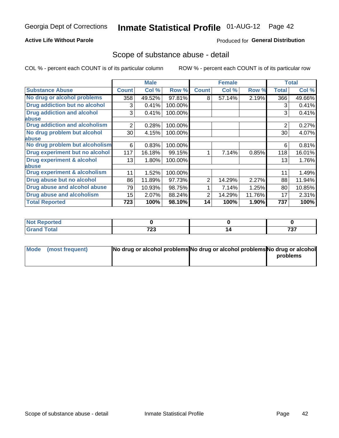#### **Active Life Without Parole**

### **Produced for General Distribution**

### Scope of substance abuse - detail

COL % - percent each COUNT is of its particular column

|                                      |                 | <b>Male</b> |         |              | <b>Female</b> |        |                | <b>Total</b> |
|--------------------------------------|-----------------|-------------|---------|--------------|---------------|--------|----------------|--------------|
| <b>Substance Abuse</b>               | <b>Count</b>    | Col %       | Row %   | <b>Count</b> | Col %         | Row %  | Total          | Col %        |
| No drug or alcohol problems          | 358             | 49.52%      | 97.81%  | 8            | 57.14%        | 2.19%  | 366            | 49.66%       |
| Drug addiction but no alcohol        | 3               | 0.41%       | 100.00% |              |               |        | 3              | 0.41%        |
| <b>Drug addiction and alcohol</b>    | 3               | 0.41%       | 100.00% |              |               |        | 3              | 0.41%        |
| abuse                                |                 |             |         |              |               |        |                |              |
| <b>Drug addiction and alcoholism</b> | 2               | 0.28%       | 100.00% |              |               |        | $\overline{2}$ | 0.27%        |
| No drug problem but alcohol          | 30              | 4.15%       | 100.00% |              |               |        | 30             | 4.07%        |
| abuse                                |                 |             |         |              |               |        |                |              |
| No drug problem but alcoholism       | 6               | 0.83%       | 100.00% |              |               |        | 6              | 0.81%        |
| Drug experiment but no alcohol       | 117             | 16.18%      | 99.15%  |              | 7.14%         | 0.85%  | 118            | 16.01%       |
| <b>Drug experiment &amp; alcohol</b> | 13 <sup>1</sup> | 1.80%       | 100.00% |              |               |        | 13             | 1.76%        |
| abuse                                |                 |             |         |              |               |        |                |              |
| Drug experiment & alcoholism         | 11              | 1.52%       | 100.00% |              |               |        | 11             | 1.49%        |
| Drug abuse but no alcohol            | 86              | 11.89%      | 97.73%  | 2            | 14.29%        | 2.27%  | 88             | 11.94%       |
| Drug abuse and alcohol abuse         | 79              | 10.93%      | 98.75%  |              | 7.14%         | 1.25%  | 80             | 10.85%       |
| <b>Drug abuse and alcoholism</b>     | 15              | 2.07%       | 88.24%  | 2            | 14.29%        | 11.76% | 17             | 2.31%        |
| <b>Total Reported</b>                | 723             | 100%        | 98.10%  | 14           | 100%          | 1.90%  | 737            | 100%         |

| portea        |      |                                     |
|---------------|------|-------------------------------------|
| $\sim$ $\sim$ | 700  | $\overline{\phantom{m}}\phantom{a}$ |
| _____         | 1 LJ | ,,,                                 |

| Mode (most frequent) | No drug or alcohol problems No drug or alcohol problems No drug or alcohol |          |
|----------------------|----------------------------------------------------------------------------|----------|
|                      |                                                                            | problems |
|                      |                                                                            |          |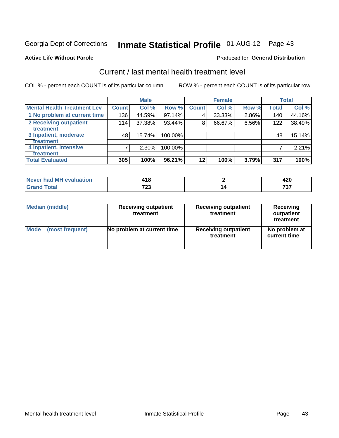## Inmate Statistical Profile 01-AUG-12 Page 43

#### **Active Life Without Parole**

#### **Produced for General Distribution**

## Current / last mental health treatment level

COL % - percent each COUNT is of its particular column

|                                    |              | <b>Male</b> |         |              | <b>Female</b> |       |              | <b>Total</b> |
|------------------------------------|--------------|-------------|---------|--------------|---------------|-------|--------------|--------------|
| <b>Mental Health Treatment Lev</b> | <b>Count</b> | Col%        | Row %   | <b>Count</b> | Col%          | Row % | <b>Total</b> | Col %        |
| 1 No problem at current time       | 136          | 44.59%      | 97.14%  | 4            | 33.33%        | 2.86% | 140          | 44.16%       |
| 2 Receiving outpatient             | 114          | 37.38%      | 93.44%  | 8            | 66.67%        | 6.56% | 122          | 38.49%       |
| <b>Treatment</b>                   |              |             |         |              |               |       |              |              |
| 3 Inpatient, moderate              | 48           | 15.74%      | 100.00% |              |               |       | 48           | 15.14%       |
| <b>Treatment</b>                   |              |             |         |              |               |       |              |              |
| 4 Inpatient, intensive             | 7            | $2.30\%$    | 100.00% |              |               |       |              | 2.21%        |
| <b>Treatment</b>                   |              |             |         |              |               |       |              |              |
| <b>Total Evaluated</b>             | 305          | 100%        | 96.21%  | $12 \,$      | 100%          | 3.79% | 317          | 100%         |

| Never had MH evaluation | 4 Q<br>10 |               |
|-------------------------|-----------|---------------|
|                         | 700<br>د. | -20-2<br>, ., |

| <b>Median (middle)</b> | <b>Receiving outpatient</b><br>treatment | <b>Receiving outpatient</b><br>treatment | <b>Receiving</b><br>outpatient<br>treatment |  |
|------------------------|------------------------------------------|------------------------------------------|---------------------------------------------|--|
| <b>Mode</b>            | No problem at current time               | <b>Receiving outpatient</b>              | No problem at                               |  |
| (most frequent)        |                                          | treatment                                | current time                                |  |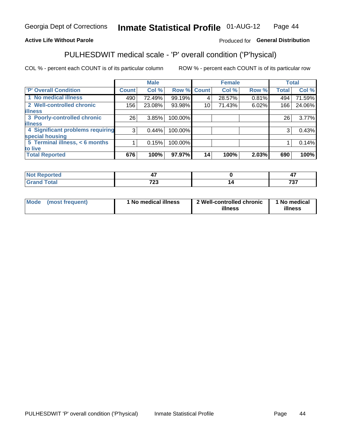#### Inmate Statistical Profile 01-AUG-12 Page 44

#### **Active Life Without Parole**

#### Produced for General Distribution

## PULHESDWIT medical scale - 'P' overall condition ('P'hysical)

COL % - percent each COUNT is of its particular column

|                                  |              | <b>Male</b> |                    |    | <b>Female</b> |       |                 | <b>Total</b> |
|----------------------------------|--------------|-------------|--------------------|----|---------------|-------|-----------------|--------------|
| <b>P' Overall Condition</b>      | <b>Count</b> | Col %       | <b>Row % Count</b> |    | Col %         | Row % | <b>Total</b>    | Col %        |
| 1 No medical illness             | 490          | 72.49%      | 99.19%             |    | 28.57%        | 0.81% | 494             | 71.59%       |
| 2 Well-controlled chronic        | 156          | 23.08%      | 93.98%             | 10 | 71.43%        | 6.02% | 166             | 24.06%       |
| <b>illness</b>                   |              |             |                    |    |               |       |                 |              |
| 3 Poorly-controlled chronic      | 26           | 3.85%       | 100.00%            |    |               |       | 26 <sub>1</sub> | 3.77%        |
| <b>illness</b>                   |              |             |                    |    |               |       |                 |              |
| 4 Significant problems requiring | 3            | 0.44%       | 100.00%            |    |               |       | 3               | 0.43%        |
| special housing                  |              |             |                    |    |               |       |                 |              |
| 5 Terminal illness, $<$ 6 months |              | 0.15%       | 100.00%            |    |               |       |                 | 0.14%        |
| to live                          |              |             |                    |    |               |       |                 |              |
| <b>Total Reported</b>            | 676          | 100%        | 97.97%             | 14 | 100%          | 2.03% | 690             | 100%         |

| rtea<br>                              |              | $\overline{\phantom{0}}$<br>$\epsilon$<br>т. |
|---------------------------------------|--------------|----------------------------------------------|
| $C = 4 - 7$<br><b>TULAI</b><br>------ | フヘク<br>1 L J | 707<br>וט ו                                  |

| Mode (most frequent) | 1 No medical illness | 2 Well-controlled chronic<br>illness | 1 No medical<br>illness |
|----------------------|----------------------|--------------------------------------|-------------------------|
|                      |                      |                                      |                         |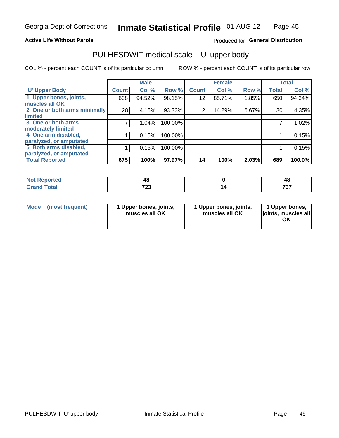#### **Active Life Without Parole**

### Produced for General Distribution

## PULHESDWIT medical scale - 'U' upper body

COL % - percent each COUNT is of its particular column

|                              |              | <b>Male</b> |         |                | <b>Female</b> |       |              | <b>Total</b> |
|------------------------------|--------------|-------------|---------|----------------|---------------|-------|--------------|--------------|
| <b>U' Upper Body</b>         | <b>Count</b> | Col %       | Row %   | <b>Count</b>   | Col %         | Row % | <b>Total</b> | Col %        |
| 1 Upper bones, joints,       | 638          | 94.52%      | 98.15%  | 12             | 85.71%        | 1.85% | 650          | 94.34%       |
| muscles all OK               |              |             |         |                |               |       |              |              |
| 2 One or both arms minimally | 28           | 4.15%       | 93.33%  | $\overline{2}$ | 14.29%        | 6.67% | 30           | 4.35%        |
| limited                      |              |             |         |                |               |       |              |              |
| 3 One or both arms           | 7            | 1.04%       | 100.00% |                |               |       |              | 1.02%        |
| moderately limited           |              |             |         |                |               |       |              |              |
| 4 One arm disabled,          |              | 0.15%       | 100.00% |                |               |       |              | 0.15%        |
| paralyzed, or amputated      |              |             |         |                |               |       |              |              |
| 5 Both arms disabled,        |              | 0.15%       | 100.00% |                |               |       |              | 0.15%        |
| paralyzed, or amputated      |              |             |         |                |               |       |              |              |
| <b>Total Reported</b>        | 675          | 100%        | 97.97%  | 14             | 100%          | 2.03% | 689          | 100.0%       |

| <b>Not Reported</b> |             | 4C        |
|---------------------|-------------|-----------|
| <b>Grand Total</b>  | 700<br>1 LJ | -~<br>, J |

|  | Mode (most frequent) | 1 Upper bones, joints,<br>muscles all OK | 1 Upper bones, joints,<br>muscles all OK | 1 Upper bones,<br>ljoints, muscles all<br>ОK |
|--|----------------------|------------------------------------------|------------------------------------------|----------------------------------------------|
|--|----------------------|------------------------------------------|------------------------------------------|----------------------------------------------|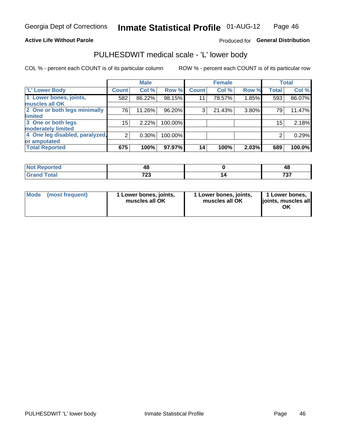#### **Active Life Without Parole**

### Produced for General Distribution

## PULHESDWIT medical scale - 'L' lower body

COL % - percent each COUNT is of its particular column

|                                |                 | <b>Male</b> |         |              | <b>Female</b> |       |                 | <b>Total</b> |
|--------------------------------|-----------------|-------------|---------|--------------|---------------|-------|-----------------|--------------|
| 'L' Lower Body                 | <b>Count</b>    | Col %       | Row %   | <b>Count</b> | Col %         | Row % | <b>Total</b>    | Col %        |
| 1 Lower bones, joints,         | 582             | 86.22%      | 98.15%  | 11           | 78.57%        | 1.85% | 593             | 86.07%       |
| muscles all OK                 |                 |             |         |              |               |       |                 |              |
| 2 One or both legs minimally   | 76              | 11.26%      | 96.20%  | 3            | 21.43%        | 3.80% | 79              | 11.47%       |
| limited                        |                 |             |         |              |               |       |                 |              |
| 3 One or both legs             | 15 <sub>2</sub> | 2.22%       | 100.00% |              |               |       | 15 <sub>1</sub> | 2.18%        |
| moderately limited             |                 |             |         |              |               |       |                 |              |
| 4 One leg disabled, paralyzed, | $\overline{2}$  | 0.30%       | 100.00% |              |               |       | 2               | 0.29%        |
| or amputated                   |                 |             |         |              |               |       |                 |              |
| <b>Total Reported</b>          | 675             | 100%        | 97.97%  | 14           | 100%          | 2.03% | 689             | 100.0%       |

| <b>Not Reported</b> |            | 40        |
|---------------------|------------|-----------|
| <b>Grand Total</b>  | 700<br>ت 1 | ラヘラ<br>ּט |

| Mode | (most frequent) | 1 Lower bones, joints,<br>muscles all OK | 1 Lower bones, joints,<br>muscles all OK | 1 Lower bones,<br>ljoints, muscles all<br>ΟK |
|------|-----------------|------------------------------------------|------------------------------------------|----------------------------------------------|
|------|-----------------|------------------------------------------|------------------------------------------|----------------------------------------------|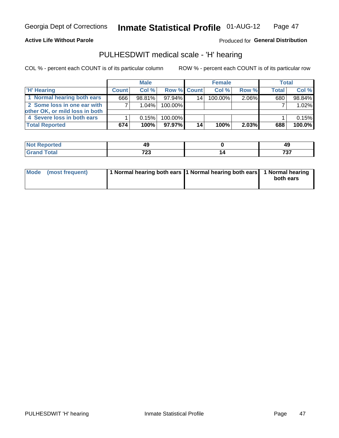**Active Life Without Parole** 

Produced for General Distribution

## PULHESDWIT medical scale - 'H' hearing

COL % - percent each COUNT is of its particular column

|                                | <b>Male</b>  |        | <b>Female</b>      |    |         | <b>Total</b> |       |        |
|--------------------------------|--------------|--------|--------------------|----|---------|--------------|-------|--------|
| <b>'H' Hearing</b>             | <b>Count</b> | Col %  | <b>Row % Count</b> |    | Col %   | Row %        | Total | Col %  |
| 1 Normal hearing both ears     | 666          | 98.81% | 97.94%             | 14 | 100.00% | 2.06%        | 680   | 98.84% |
| 2 Some loss in one ear with    |              | 1.04%  | 100.00%            |    |         |              |       | 1.02%  |
| other OK, or mild loss in both |              |        |                    |    |         |              |       |        |
| 4 Severe loss in both ears     |              | 0.15%  | 100.00%            |    |         |              |       | 0.15%  |
| <b>Total Reported</b>          | 674          | 100%   | 97.97%             | 14 | 100%    | $2.03\%$     | 688   | 100.0% |

| тео           | $\overline{\phantom{a}}$ | 49                     |
|---------------|--------------------------|------------------------|
| $f = 4 \pi f$ | 700<br>∠J<br>$\sim$      | $\sim$ $\sim$<br>1 J I |

| Mode (most frequent) | 1 Normal hearing both ears 11 Normal hearing both ears 1 Normal hearing |           |
|----------------------|-------------------------------------------------------------------------|-----------|
|                      |                                                                         | both ears |
|                      |                                                                         |           |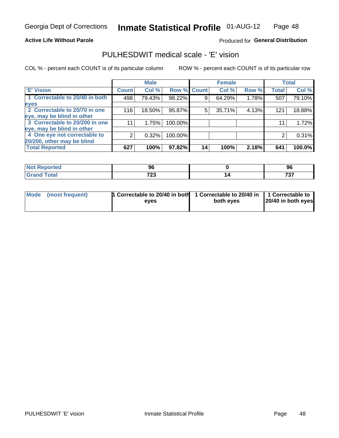#### **Active Life Without Parole**

#### Produced for General Distribution

## PULHESDWIT medical scale - 'E' vision

COL % - percent each COUNT is of its particular column

|                                |              | <b>Male</b> |             |    | <b>Female</b> |       |              | <b>Total</b> |
|--------------------------------|--------------|-------------|-------------|----|---------------|-------|--------------|--------------|
| <b>E' Vision</b>               | <b>Count</b> | Col %       | Row % Count |    | Col %         | Row % | <b>Total</b> | Col %        |
| 1 Correctable to 20/40 in both | 498          | 79.43%      | 98.22%      |    | 64.29%        | 1.78% | 507          | 79.10%       |
| eyes                           |              |             |             |    |               |       |              |              |
| 2 Correctable to 20/70 in one  | 116          | 18.50%      | 95.87%      | 5  | 35.71%        | 4.13% | 121          | 18.88%       |
| eye, may be blind in other     |              |             |             |    |               |       |              |              |
| 3 Correctable to 20/200 in one | 11           | 1.75%       | 100.00%     |    |               |       | 11           | 1.72%        |
| eye, may be blind in other     |              |             |             |    |               |       |              |              |
| 4 One eye not correctable to   | 2            | 0.32%       | 100.00%     |    |               |       | 2            | 0.31%        |
| 20/200, other may be blind     |              |             |             |    |               |       |              |              |
| <b>Total Reported</b>          | 627          | 100%        | 97.82%      | 14 | 100%          | 2.18% | 641          | 100.0%       |

| <b>Not Reported</b><br>. <b>.</b> | ◡                 | সং           |
|-----------------------------------|-------------------|--------------|
| <b>Total</b>                      | フヘク<br>ט בו<br>__ | ラヘラ<br>1 J I |

| Mode (most frequent) | 1 Correctable to 20/40 in both<br>eves | 1 Correctable to 20/40 in   1 Correctable to<br>both eyes | 20/40 in both eyes |
|----------------------|----------------------------------------|-----------------------------------------------------------|--------------------|
|                      |                                        |                                                           |                    |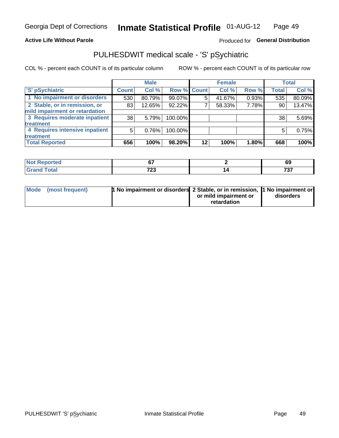#### **Active Life Without Parole**

### Produced for General Distribution

## PULHESDWIT medical scale - 'S' pSychiatric

COL % - percent each COUNT is of its particular column

|                                |              | <b>Male</b> |                    |    | <b>Female</b> |       |              | Total  |
|--------------------------------|--------------|-------------|--------------------|----|---------------|-------|--------------|--------|
| 'S' pSychiatric                | <b>Count</b> | Col %       | <b>Row % Count</b> |    | Col %         | Row % | <b>Total</b> | Col %  |
| 1 No impairment or disorders   | 530          | 80.79%      | 99.07%             | 5  | 41.67%        | 0.93% | 535          | 80.09% |
| 2 Stable, or in remission, or  | 83           | 12.65%      | 92.22%             |    | 58.33%        | 7.78% | 90           | 13.47% |
| mild impairment or retardation |              |             |                    |    |               |       |              |        |
| 3 Requires moderate inpatient  | 38           | 5.79%       | 100.00%            |    |               |       | 38           | 5.69%  |
| treatment                      |              |             |                    |    |               |       |              |        |
| 4 Requires intensive inpatient | 5            | 0.76%       | 100.00%            |    |               |       | 5            | 0.75%  |
| treatment                      |              |             |                    |    |               |       |              |        |
| <b>Total Reported</b>          | 656          | 100%        | 98.20%             | 12 | 100%          | 1.80% | 668          | 100%   |

| 11 – 10 | ~-           | 69                   |
|---------|--------------|----------------------|
|         | フヘク<br>1 L J | 707<br>. J<br>$\sim$ |

| Mode (most frequent) | <sup>1</sup> No impairment or disorders 2 Stable, or in remission, <sup>1</sup> No impairment or |                       |           |
|----------------------|--------------------------------------------------------------------------------------------------|-----------------------|-----------|
|                      |                                                                                                  | or mild impairment or | disorders |
|                      |                                                                                                  | retardation           |           |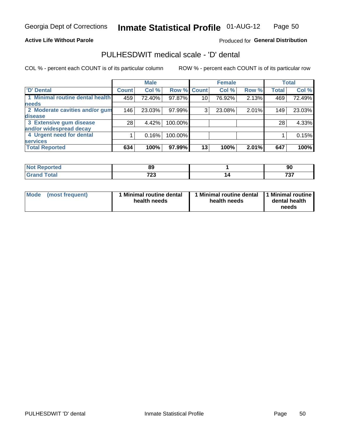#### **Active Life Without Parole**

#### Produced for General Distribution

## PULHESDWIT medical scale - 'D' dental

COL % - percent each COUNT is of its particular column

|                                 |                 | <b>Male</b> |                    |                 | <b>Female</b> |       |              | <b>Total</b> |
|---------------------------------|-----------------|-------------|--------------------|-----------------|---------------|-------|--------------|--------------|
| <b>D'</b> Dental                | <b>Count</b>    | Col %       | <b>Row % Count</b> |                 | Col %         | Row % | <b>Total</b> | Col %        |
| 1 Minimal routine dental health | 459             | 72.40%      | 97.87%             | 10 <sub>1</sub> | 76.92%        | 2.13% | 469          | 72.49%       |
| <b>needs</b>                    |                 |             |                    |                 |               |       |              |              |
| 2 Moderate cavities and/or gum  | 146             | 23.03%      | 97.99%             | 3               | 23.08%        | 2.01% | 149          | 23.03%       |
| disease                         |                 |             |                    |                 |               |       |              |              |
| 3 Extensive gum disease         | 28 <sub>1</sub> | 4.42%       | 100.00%            |                 |               |       | 28           | 4.33%        |
| and/or widespread decay         |                 |             |                    |                 |               |       |              |              |
| 4 Urgent need for dental        |                 | 0.16%       | 100.00%            |                 |               |       |              | 0.15%        |
| <b>services</b>                 |                 |             |                    |                 |               |       |              |              |
| <b>Total Reported</b>           | 634             | 100%        | 97.99%             | 13              | 100%          | 2.01% | 647          | 100%         |

| <b>Not Reported</b> | or.               | ດເ           |
|---------------------|-------------------|--------------|
|                     | ດະ                | っ            |
| <b>Total</b>        | フヘク<br>ט בו<br>__ | ラヘラ<br>1 J I |

| <b>Mode</b> | (most frequent) | Minimal routine dental<br>health needs | 1 Minimal routine dental 11 Minimal routine<br>health needs | dental health<br>needs |
|-------------|-----------------|----------------------------------------|-------------------------------------------------------------|------------------------|
|-------------|-----------------|----------------------------------------|-------------------------------------------------------------|------------------------|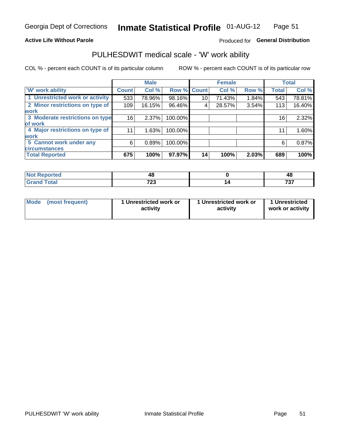#### **Active Life Without Parole**

### Produced for General Distribution

## PULHESDWIT medical scale - 'W' work ability

COL % - percent each COUNT is of its particular column

|                                 |              | <b>Male</b> |         |             | <b>Female</b> |       |              | <b>Total</b> |
|---------------------------------|--------------|-------------|---------|-------------|---------------|-------|--------------|--------------|
| <b>W' work ability</b>          | <b>Count</b> | Col %       |         | Row % Count | Col %         | Row % | <b>Total</b> | Col %        |
| 1 Unrestricted work or activity | 533          | 78.96%      | 98.16%  | 10          | 71.43%        | 1.84% | 543          | 78.81%       |
| 2 Minor restrictions on type of | 109          | 16.15%      | 96.46%  | 4           | 28.57%        | 3.54% | 113          | 16.40%       |
| <b>work</b>                     |              |             |         |             |               |       |              |              |
| 3 Moderate restrictions on type | 16           | 2.37%       | 100.00% |             |               |       | 16           | 2.32%        |
| of work                         |              |             |         |             |               |       |              |              |
| 4 Major restrictions on type of | 11           | 1.63%       | 100.00% |             |               |       | 11           | 1.60%        |
| <b>work</b>                     |              |             |         |             |               |       |              |              |
| 5 Cannot work under any         | 6            | 0.89%       | 100.00% |             |               |       | 6            | 0.87%        |
| <b>circumstances</b>            |              |             |         |             |               |       |              |              |
| <b>Total Reported</b>           | 675          | 100%        | 97.97%  | 14          | 100%          | 2.03% | 689          | 100%         |

| <b>Not Reported</b> | 46          | Δſ<br>᠇៶     |
|---------------------|-------------|--------------|
| <b>Grand Total</b>  | 700<br>ט בו | ラヘラ<br>I J I |

| <b>Mode</b>     | 1 Unrestricted work or | 1 Unrestricted work or | 1 Unrestricted   |
|-----------------|------------------------|------------------------|------------------|
| (most frequent) | activity               | activity               | work or activity |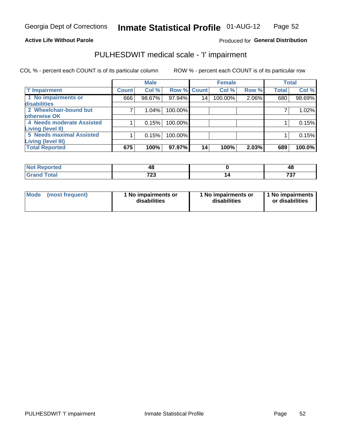#### **Active Life Without Parole**

#### Produced for General Distribution

## PULHESDWIT medical scale - 'I' impairment

|                           |              | <b>Male</b> |             |    | <b>Female</b> |       |              | <b>Total</b> |
|---------------------------|--------------|-------------|-------------|----|---------------|-------|--------------|--------------|
| <b>T' Impairment</b>      | <b>Count</b> | Col %       | Row % Count |    | Col %         | Row % | <b>Total</b> | Col %        |
| 1 No impairments or       | 666          | 98.67%      | 97.94%      | 14 | 100.00%       | 2.06% | 680          | 98.69%       |
| disabilities              |              |             |             |    |               |       |              |              |
| 2 Wheelchair-bound but    |              | 1.04%       | 100.00%     |    |               |       |              | 1.02%        |
| otherwise OK              |              |             |             |    |               |       |              |              |
| 4 Needs moderate Assisted |              | 0.15%       | 100.00%     |    |               |       |              | 0.15%        |
| Living (level II)         |              |             |             |    |               |       |              |              |
| 5 Needs maximal Assisted  |              | 0.15%       | 100.00%     |    |               |       |              | 0.15%        |
| Living (level III)        |              |             |             |    |               |       |              |              |
| <b>Total Reported</b>     | 675          | 100%        | 97.97%      | 14 | 100%          | 2.03% | 689          | 100.0%       |

| orted        | ΔS<br>∼       | 48       |
|--------------|---------------|----------|
| <b>Total</b> | っへへ<br>ں ہے ، | 707<br>ັ |

| Mode | (most frequent) | 1 No impairments or<br>disabilities | 1 No impairments or<br>disabilities | 1 No impairments  <br>or disabilities |
|------|-----------------|-------------------------------------|-------------------------------------|---------------------------------------|
|------|-----------------|-------------------------------------|-------------------------------------|---------------------------------------|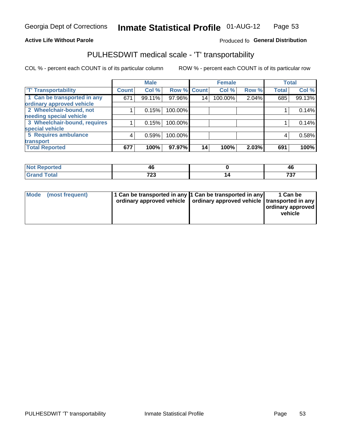#### **Active Life Without Parole**

#### Produced fo General Distribution

## PULHESDWIT medical scale - 'T' transportability

COL % - percent each COUNT is of its particular column

|                                                          |              | <b>Male</b> |         |             | <b>Female</b> |       |              | <b>Total</b> |
|----------------------------------------------------------|--------------|-------------|---------|-------------|---------------|-------|--------------|--------------|
| <b>T' Transportability</b>                               | <b>Count</b> | Col %       |         | Row % Count | Col %         | Row % | <b>Total</b> | Col %        |
| 1 Can be transported in any<br>ordinary approved vehicle | 671          | 99.11%      | 97.96%  | 14          | 100.00%       | 2.04% | 685          | 99.13%       |
| 2 Wheelchair-bound, not                                  |              | 0.15%       | 100.00% |             |               |       |              | 0.14%        |
| needing special vehicle                                  |              |             |         |             |               |       |              |              |
| 3 Wheelchair-bound, requires                             |              | 0.15%       | 100.00% |             |               |       |              | 0.14%        |
| special vehicle                                          |              |             |         |             |               |       |              |              |
| 5 Requires ambulance                                     | 4            | 0.59%       | 100.00% |             |               |       | 4            | 0.58%        |
| transport                                                |              |             |         |             |               |       |              |              |
| <b>Total Reported</b>                                    | 677          | 100%        | 97.97%  | 14          | 100%          | 2.03% | 691          | 100%         |

| тео | 40           | 711<br>TV |
|-----|--------------|-----------|
|     | 700<br>1 L J | 707<br>v  |

| <b>Mode</b> | (most frequent) | 1 Can be transported in any 1 Can be transported in any | ordinary approved vehicle   ordinary approved vehicle   transported in any | 1 Can be<br>  ordinary approved  <br>vehicle |
|-------------|-----------------|---------------------------------------------------------|----------------------------------------------------------------------------|----------------------------------------------|
|-------------|-----------------|---------------------------------------------------------|----------------------------------------------------------------------------|----------------------------------------------|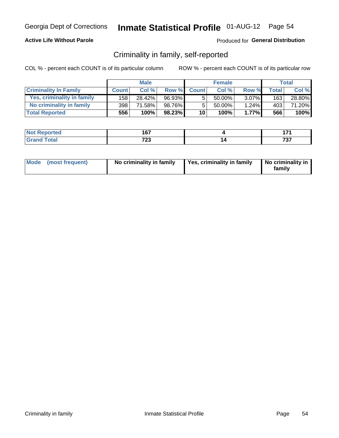#### **Active Life Without Parole**

#### Produced for General Distribution

## Criminality in family, self-reported

COL % - percent each COUNT is of its particular column

|                              |              | <b>Male</b> |        |              | <b>Female</b> |          |       | Total  |
|------------------------------|--------------|-------------|--------|--------------|---------------|----------|-------|--------|
| <b>Criminality In Family</b> | <b>Count</b> | Col %       | Row %  | <b>Count</b> | Col %         | Row %    | Total | Col %  |
| Yes, criminality in family   | 158          | 28.42%      | 96.93% | 5            | 50.00%        | $3.07\%$ | 163   | 28.80% |
| No criminality in family     | 398          | 71.58%      | 98.76% | 5            | 50.00%        | 1.24%    | 403   | 71.20% |
| <b>Total Reported</b>        | 556          | 100%        | 98.23% | 10           | 100%          | 1.77%    | 566   | 100%   |

| <b>Reported</b><br>NO | 1 C 7      | .            |
|-----------------------|------------|--------------|
| <b>otal</b>           | 700<br>ں ک | 707<br>1 J I |

|  | Mode (most frequent) | No criminality in family | Yes, criminality in family | No criminality in<br>family |
|--|----------------------|--------------------------|----------------------------|-----------------------------|
|--|----------------------|--------------------------|----------------------------|-----------------------------|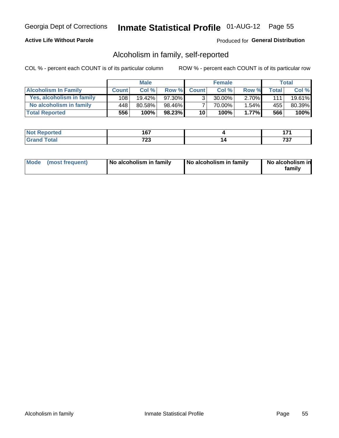#### **Active Life Without Parole**

#### Produced for General Distribution

## Alcoholism in family, self-reported

COL % - percent each COUNT is of its particular column

|                             |              | <b>Male</b> |           |                 | <b>Female</b> |          |              | Total   |
|-----------------------------|--------------|-------------|-----------|-----------------|---------------|----------|--------------|---------|
| <b>Alcoholism In Family</b> | <b>Count</b> | Col%        | Row %     | <b>Count</b>    | Col%          | Row %    | <b>Total</b> | Col %   |
| Yes, alcoholism in family   | 108          | 19.42%      | 97.30%    | 3 <sub>1</sub>  | $30.00\%$     | $2.70\%$ | 111          | 19.61%  |
| No alcoholism in family     | 448          | 80.58%      | 98.46%    |                 | 70.00%        | 1.54%    | 455          | 80.39%  |
| <b>Total Reported</b>       | 556          | 100%        | $98.23\%$ | 10 <sup>1</sup> | 100%          | 1.77%    | 566          | $100\%$ |

| المنتشر بالتعبير<br><b>keporteg</b> | 167                |               |
|-------------------------------------|--------------------|---------------|
| <b>otal</b>                         | 700<br>. د ه<br>__ | ,,,,<br>' J I |

|  | Mode (most frequent) | No alcoholism in family | No alcoholism in family | No alcoholism in<br>family |
|--|----------------------|-------------------------|-------------------------|----------------------------|
|--|----------------------|-------------------------|-------------------------|----------------------------|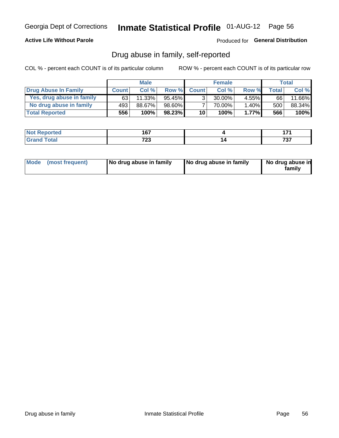#### **Active Life Without Parole**

Produced for General Distribution

## Drug abuse in family, self-reported

COL % - percent each COUNT is of its particular column

|                           |              | <b>Male</b> |           |                 | <b>Female</b> |          |       | Total  |
|---------------------------|--------------|-------------|-----------|-----------------|---------------|----------|-------|--------|
| Drug Abuse In Family      | <b>Count</b> | Col%        | Row %     | <b>Count</b>    | Col%          | Row %    | Total | Col %  |
| Yes, drug abuse in family | 63           | 11.33%      | $95.45\%$ | 3 <sub>1</sub>  | $30.00\%$     | $4.55\%$ | 66    | 11.66% |
| No drug abuse in family   | 493          | 88.67%      | 98.60%    |                 | 70.00%        | 1.40%    | 500   | 88.34% |
| <b>Total Reported</b>     | 556          | 100%        | $98.23\%$ | 10 <sub>1</sub> | 100%          | 1.77%    | 566   | 100%   |

| المنتشر بالتعبير<br><b>keporteg</b> | 167                |               |
|-------------------------------------|--------------------|---------------|
| <b>otal</b>                         | 700<br>. د ه<br>__ | ,,,,<br>' J I |

|  | Mode (most frequent) | No drug abuse in family | No drug abuse in family | No drug abuse in<br>family |
|--|----------------------|-------------------------|-------------------------|----------------------------|
|--|----------------------|-------------------------|-------------------------|----------------------------|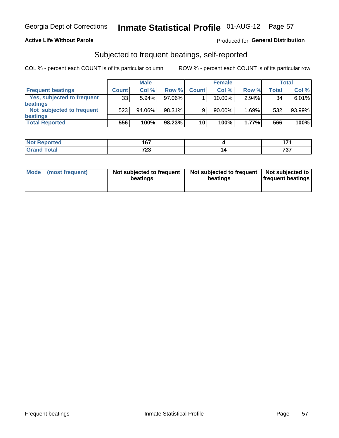#### **Active Life Without Parole**

### **Produced for General Distribution**

## Subjected to frequent beatings, self-reported

COL % - percent each COUNT is of its particular column

|                                   |              | <b>Male</b> |           |              | <b>Female</b> |          |       | Total  |
|-----------------------------------|--------------|-------------|-----------|--------------|---------------|----------|-------|--------|
| <b>Frequent beatings</b>          | <b>Count</b> | Col %       | Row %     | <b>Count</b> | Col %         | Row %    | Total | Col %  |
| <b>Yes, subjected to frequent</b> | 33           | 5.94%       | 97.06%    |              | 10.00%        | $2.94\%$ | 34    | 6.01%  |
| <b>beatings</b>                   |              |             |           |              |               |          |       |        |
| Not subjected to frequent         | 523          | 94.06%      | 98.31%    | 9            | 90.00%        | 1.69%    | 532   | 93.99% |
| <b>beatings</b>                   |              |             |           |              |               |          |       |        |
| <b>Total Reported</b>             | 556          | 100%        | $98.23\%$ | 10           | 100%          | 1.77%    | 566   | 100%   |

| <b>Not Reported</b> | 1 C 7<br>יש  | . .          |
|---------------------|--------------|--------------|
| <b>Total</b>        | フへへ<br>ں ے ا | ラヘラ<br>1 J I |

| Mode (most frequent) | Not subjected to frequent<br>beatings | Not subjected to frequent<br>beatings | Not subjected to<br><b>frequent beatings</b> |
|----------------------|---------------------------------------|---------------------------------------|----------------------------------------------|
|                      |                                       |                                       |                                              |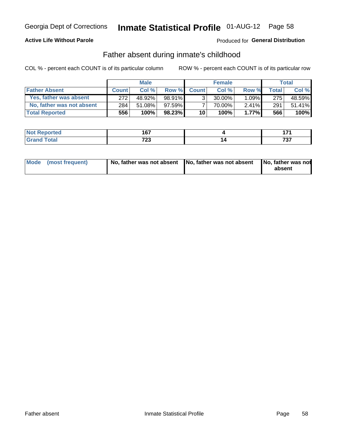#### **Active Life Without Parole**

### Produced for General Distribution

## Father absent during inmate's childhood

COL % - percent each COUNT is of its particular column

|                           |              | <b>Male</b> |           |                 | <b>Female</b> |          |              | Total   |
|---------------------------|--------------|-------------|-----------|-----------------|---------------|----------|--------------|---------|
| <b>Father Absent</b>      | <b>Count</b> | Col%        | Row %     | <b>Count</b>    | Col%          | Row %    | <b>Total</b> | Col %   |
| Yes, father was absent    | 272          | 48.92%      | 98.91%l   | 3 <sub>1</sub>  | $30.00\%$     | $1.09\%$ | 275          | 48.59%  |
| No, father was not absent | 284          | 51.08%      | $97.59\%$ |                 | 70.00%        | $2.41\%$ | 291          | 51.41%  |
| <b>Total Reported</b>     | 556          | 100%        | $98.23\%$ | 10 <sub>1</sub> | 100%          | $1.77\%$ | 566          | $100\%$ |

| <b>Not Reported</b>          | 1 C 7<br>v           |   | .                    |
|------------------------------|----------------------|---|----------------------|
| <b>Total</b><br><b>Grano</b> | 700<br>ں ک<br>$\sim$ | - | -20-2<br>, , ,<br>__ |

|  | Mode (most frequent) | No, father was not absent No, father was not absent |  | No, father was not<br>absent |
|--|----------------------|-----------------------------------------------------|--|------------------------------|
|--|----------------------|-----------------------------------------------------|--|------------------------------|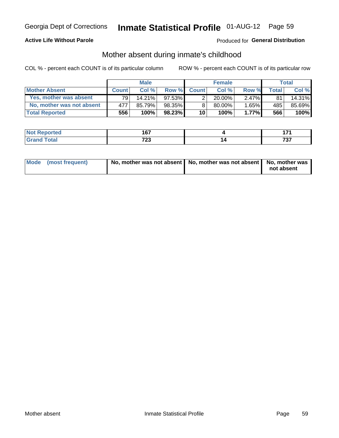#### **Active Life Without Parole**

### Produced for General Distribution

## Mother absent during inmate's childhood

COL % - percent each COUNT is of its particular column

|                           |              | <b>Male</b> |           |                       | <b>Female</b> |          |       | Total  |
|---------------------------|--------------|-------------|-----------|-----------------------|---------------|----------|-------|--------|
| <b>Mother Absent</b>      | <b>Count</b> | Col%        | Row %     | <b>Count</b>          | Col %         | Row %    | Total | Col %  |
| Yes, mother was absent    | 791          | $14.21\%$   | 97.53%I   | $\mathbf{2}^{\prime}$ | 20.00%        | $2.47\%$ | 81    | 14.31% |
| No, mother was not absent | 477          | 85.79%      | 98.35%    | 8                     | $80.00\%$     | $1.65\%$ | 485'  | 85.69% |
| <b>Total Reported</b>     | 556          | 100%        | $98.23\%$ | 10                    | 100%          | 1.77%    | 566   | 100%   |

| المنتشر بالتعبير<br><b>keporteg</b> | 167                |               |
|-------------------------------------|--------------------|---------------|
| <b>otal</b>                         | 700<br>. د ه<br>__ | ,,,,<br>' J I |

| Mode (most frequent) | No, mother was not absent   No, mother was not absent   No, mother was | not absent |
|----------------------|------------------------------------------------------------------------|------------|
|                      |                                                                        |            |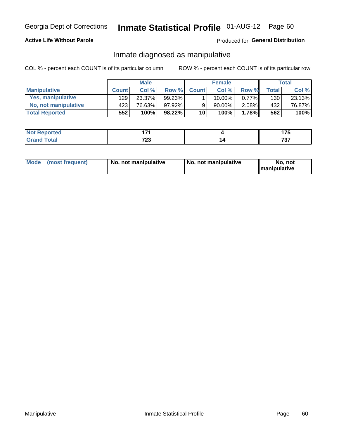#### **Active Life Without Parole**

#### Produced for General Distribution

## Inmate diagnosed as manipulative

COL % - percent each COUNT is of its particular column

|                          |                  | <b>Male</b> |           |              | <b>Female</b> |          |              | <b>Total</b> |
|--------------------------|------------------|-------------|-----------|--------------|---------------|----------|--------------|--------------|
| <b>Manipulative</b>      | <b>Count</b>     | Col%        | Row %     | <b>Count</b> | Col %         | Row %    | <b>Total</b> | Col %        |
| <b>Yes, manipulative</b> | 129              | 23.37%      | $99.23\%$ |              | 10.00%        | $0.77\%$ | 130          | 23.13%       |
| No, not manipulative     | 423 <sup>1</sup> | 76.63%      | 97.92%    | 9            | 90.00%        | 2.08%    | 432          | 76.87%       |
| <b>Total Reported</b>    | 552              | 100%        | $98.22\%$ | 10           | 100%          | 1.78%    | 562          | 100%         |

| ام کی شعب<br>-NO1<br>τeα | .                  | $\overline{\phantom{a}}$<br>$\cdots$ |
|--------------------------|--------------------|--------------------------------------|
| $\sim$                   | 700<br>ں ک<br>$ -$ | ラヘラ<br><u>,,,</u>                    |

| Mode | (most frequent) | No, not manipulative | No, not manipulative | No. not<br><b>I</b> manipulative |
|------|-----------------|----------------------|----------------------|----------------------------------|
|------|-----------------|----------------------|----------------------|----------------------------------|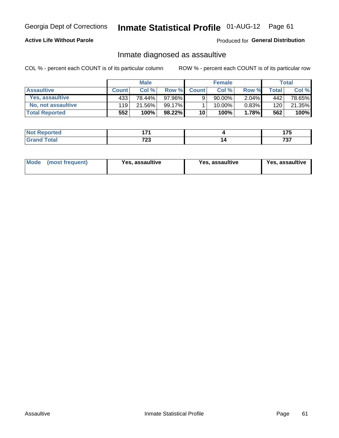# Inmate Statistical Profile 01-AUG-12 Page 61

#### **Active Life Without Parole**

Produced for General Distribution

## Inmate diagnosed as assaultive

COL % - percent each COUNT is of its particular column

|                       |              | <b>Male</b> |          |              | <b>Female</b> |          |       | Total  |
|-----------------------|--------------|-------------|----------|--------------|---------------|----------|-------|--------|
| <b>Assaultive</b>     | <b>Count</b> | Col%        | Row %    | <b>Count</b> | Col %         | Row %    | Total | Col %  |
| Yes, assaultive       | 433          | 78.44%      | 97.96% I | 9            | 90.00%        | $2.04\%$ | 442   | 78.65% |
| No, not assaultive    | 119          | 21.56%      | 99.17%   |              | 10.00%        | $0.83\%$ | 120   | 21.35% |
| <b>Total Reported</b> | 552          | 100%        | 98.22%   | 10           | 100%          | 1.78%    | 562   | 100%   |

| Reported<br><b>NO</b> | 4 7 A       | ---      |
|-----------------------|-------------|----------|
| <b>otal</b>           | 700<br>1 LJ | 707<br>. |

| Mode (most frequent)<br>Yes, assaultive | Yes, assaultive | <b>Yes, assaultive</b> |
|-----------------------------------------|-----------------|------------------------|
|-----------------------------------------|-----------------|------------------------|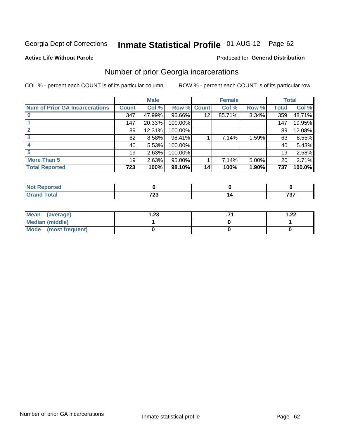# Inmate Statistical Profile 01-AUG-12 Page 62

#### **Active Life Without Parole**

#### Produced for General Distribution

## Number of prior Georgia incarcerations

COL % - percent each COUNT is of its particular column

|                                       | <b>Male</b>     |        |                    |                 | <b>Female</b> | <b>Total</b> |       |        |
|---------------------------------------|-----------------|--------|--------------------|-----------------|---------------|--------------|-------|--------|
| <b>Num of Prior GA Incarcerations</b> | <b>Count</b>    | Col %  | <b>Row % Count</b> |                 | Col %         | Row %        | Total | Col %  |
|                                       | 347             | 47.99% | 96.66%             | 12              | 85.71%        | 3.34%        | 359   | 48.71% |
|                                       | 147             | 20.33% | 100.00%            |                 |               |              | 147   | 19.95% |
|                                       | 89 <sup>1</sup> | 12.31% | 100.00%            |                 |               |              | 89    | 12.08% |
| 3                                     | 62              | 8.58%  | 98.41%             |                 | 7.14%         | 1.59%        | 63    | 8.55%  |
|                                       | 40              | 5.53%  | 100.00%            |                 |               |              | 40    | 5.43%  |
|                                       | 19              | 2.63%  | 100.00%            |                 |               |              | 19    | 2.58%  |
| <b>More Than 5</b>                    | 19              | 2.63%  | 95.00%             |                 | 7.14%         | 5.00%        | 20    | 2.71%  |
| <b>Total Reported</b>                 | 723             | 100%   | 98.10%             | 14 <sub>1</sub> | 100%          | 1.90%        | 737   | 100.0% |

| orted            |     |     |
|------------------|-----|-----|
| <b>otal</b>      | 700 | ラヘラ |
| $\mathbf{v}$ and | LJ  | ו ט |

| Mean (average)         | 1.23 | 1.22 |
|------------------------|------|------|
| <b>Median (middle)</b> |      |      |
| Mode (most frequent)   |      |      |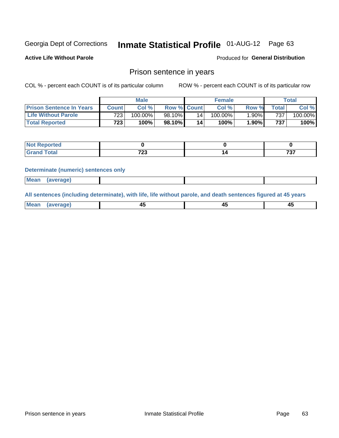## Inmate Statistical Profile 01-AUG-12 Page 63

**Active Life Without Parole** 

Produced for General Distribution

### Prison sentence in years

COL % - percent each COUNT is of its particular column

ROW % - percent each COUNT is of its particular row

|                                 | <b>Male</b> |            |                    |                 | <b>Female</b> | Total |                  |         |
|---------------------------------|-------------|------------|--------------------|-----------------|---------------|-------|------------------|---------|
| <b>Prison Sentence In Years</b> | Count l     | Col %      | <b>Row % Count</b> |                 | Col %         | Row % | $\tau$ otal      | Col %   |
| <b>Life Without Parole</b>      | 723         | $100.00\%$ | 98.10%             | 14 <sub>1</sub> | $100.00\%$    | 1.90% | 737              | 100.00% |
| <b>Total Reported</b>           | 723         | 100%       | 98.10%             | 14              | 100%          | 1.90% | 737 <sub>1</sub> | 100%    |

| Reported<br>1101110 |              |     |
|---------------------|--------------|-----|
| Total               | 700<br>ں ے ا | 707 |

#### **Determinate (numeric) sentences only**

| (average) |             |  |  |
|-----------|-------------|--|--|
|           | <b>Mean</b> |  |  |

All sentences (including determinate), with life, life without parole, and death sentences figured at 45 years

| l Mea<br>апе<br>. | -⊷ |  |
|-------------------|----|--|
|                   |    |  |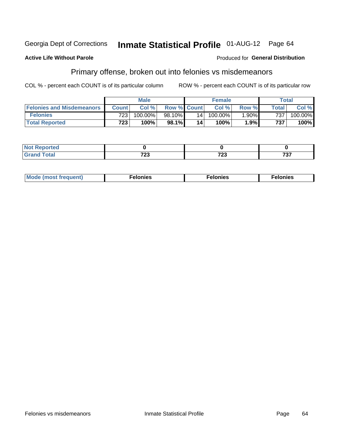#### **Active Life Without Parole**

#### Produced for General Distribution

## Primary offense, broken out into felonies vs misdemeanors

COL % - percent each COUNT is of its particular column

|                                  | <b>Male</b>      |            |                    | <b>Female</b>   |            |          | Total        |            |
|----------------------------------|------------------|------------|--------------------|-----------------|------------|----------|--------------|------------|
| <b>Felonies and Misdemeanors</b> | <b>Count</b>     | Col%       | <b>Row % Count</b> |                 | Col%       | Row %    | <b>Total</b> | Col %      |
| <b>Felonies</b>                  | 723              | $100.00\%$ | 98.10%             | 14 <sub>1</sub> | $100.00\%$ | $1.90\%$ | 737          | $100.00\%$ |
| <b>Total Reported</b>            | 723 <sub>1</sub> | $100\%$ .  | 98.1%              | 14              | 100%       | 1.9%     | 737          | $100\%$    |

| <b>Not Reported</b>                      |             |          |            |
|------------------------------------------|-------------|----------|------------|
| <b>Total</b><br>Gran<br>$\mathbf{v}$ and | 700<br>ט בו | 700<br>∼ | 707<br>ו כ |

| $Mc$<br>equent)<br>нез<br>$\sim$<br>. | onies<br>. | <b>onies</b><br>. |
|---------------------------------------|------------|-------------------|
|---------------------------------------|------------|-------------------|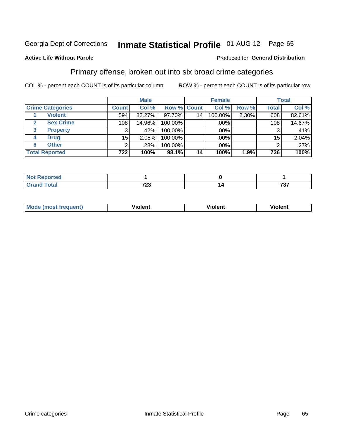#### **Inmate Statistical Profile 01-AUG-12** Page 65

#### **Active Life Without Parole**

#### Produced for General Distribution

## Primary offense, broken out into six broad crime categories

COL % - percent each COUNT is of its particular column

|                                  |                 | <b>Male</b> |             |                 | <b>Female</b> |       |                  | <b>Total</b> |
|----------------------------------|-----------------|-------------|-------------|-----------------|---------------|-------|------------------|--------------|
| <b>Crime Categories</b>          | <b>Count</b>    | Col %       | Row % Count |                 | Col %         | Row % | <b>Total</b>     | Col %        |
| <b>Violent</b>                   | 594             | 82.27%      | 97.70%      | 14 <sub>1</sub> | 100.00%       | 2.30% | 608              | 82.61%       |
| <b>Sex Crime</b><br>$\mathbf{2}$ | 108             | 14.96%      | 100.00%     |                 | .00%          |       | 108 <sub>1</sub> | 14.67%       |
| 3<br><b>Property</b>             | 3               | .42%        | 100.00%     |                 | .00%          |       | 3                | .41%         |
| <b>Drug</b><br>4                 | 15 <sub>2</sub> | 2.08%       | 100.00%     |                 | .00%          |       | 15               | 2.04%        |
| <b>Other</b><br>6                | 2               | .28%        | 100.00%     |                 | .00%          |       | 2                | .27%         |
| <b>Total Reported</b>            | 722             | 100%        | 98.1%       | 14 <sub>1</sub> | 100%          | 1.9%  | 736              | 100%         |

| <b>Not Reported</b> |             |             |
|---------------------|-------------|-------------|
| <b>Total</b>        | 700<br>ט בו | 707<br>וט ו |

| М | ,,, | - -- -<br>וחו | m |
|---|-----|---------------|---|
|   |     |               |   |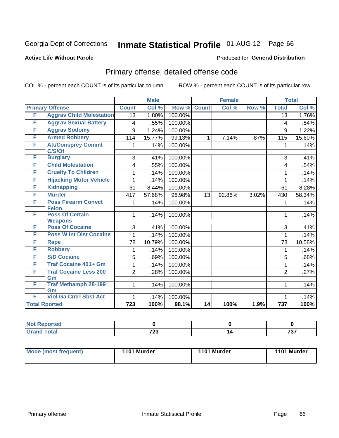## Inmate Statistical Profile 01-AUG-12 Page 66

#### **Active Life Without Parole**

#### Produced for General Distribution

## Primary offense, detailed offense code

COL % - percent each COUNT is of its particular column

|   |                                          |                  | <b>Male</b> |         |              | <b>Female</b> |       |                 | <b>Total</b> |
|---|------------------------------------------|------------------|-------------|---------|--------------|---------------|-------|-----------------|--------------|
|   | <b>Primary Offense</b>                   | <b>Count</b>     | Col %       | Row %   | <b>Count</b> | Col %         | Row % | <b>Total</b>    | Col %        |
| F | <b>Aggrav Child Molestation</b>          | $\overline{13}$  | 1.80%       | 100.00% |              |               |       | $\overline{13}$ | 1.76%        |
| F | <b>Aggrav Sexual Battery</b>             | 4                | .55%        | 100.00% |              |               |       | 4               | .54%         |
| F | <b>Aggrav Sodomy</b>                     | 9                | 1.24%       | 100.00% |              |               |       | 9               | 1.22%        |
| F | <b>Armed Robbery</b>                     | 114              | 15.77%      | 99.13%  | $\mathbf{1}$ | 7.14%         | .87%  | 115             | 15.60%       |
| F | <b>Att/Consprcy Commt</b><br>C/S/Of      | 1.               | .14%        | 100.00% |              |               |       | 1               | .14%         |
| F | <b>Burglary</b>                          | 3                | .41%        | 100.00% |              |               |       | 3               | .41%         |
| F | <b>Child Molestation</b>                 | 4                | .55%        | 100.00% |              |               |       | $\overline{4}$  | .54%         |
| F | <b>Cruelty To Children</b>               | 1                | .14%        | 100.00% |              |               |       | 1               | .14%         |
| F | <b>Hijacking Motor Vehicle</b>           | 1                | .14%        | 100.00% |              |               |       | 1               | .14%         |
| F | <b>Kidnapping</b>                        | 61               | 8.44%       | 100.00% |              |               |       | 61              | 8.28%        |
| F | <b>Murder</b>                            | 417              | 57.68%      | 96.98%  | 13           | 92.86%        | 3.02% | 430             | 58.34%       |
| F | <b>Poss Firearm Convct</b>               | 1                | .14%        | 100.00% |              |               |       | 1               | .14%         |
|   | <b>Felon</b>                             |                  |             |         |              |               |       |                 |              |
| F | <b>Poss Of Certain</b><br><b>Weapons</b> | 1                | .14%        | 100.00% |              |               |       | 1               | .14%         |
| F | <b>Poss Of Cocaine</b>                   | 3                | .41%        | 100.00% |              |               |       | 3               | .41%         |
| F | <b>Poss W Int Dist Cocaine</b>           | 1                | .14%        | 100.00% |              |               |       | 1               | .14%         |
| F | <b>Rape</b>                              | 78               | 10.79%      | 100.00% |              |               |       | 78              | 10.58%       |
| F | <b>Robbery</b>                           | 1                | .14%        | 100.00% |              |               |       | 1               | .14%         |
| F | <b>S/D Cocaine</b>                       | 5                | .69%        | 100.00% |              |               |       | 5               | .68%         |
| F | <b>Traf Cocaine 401+ Gm</b>              | 1                | .14%        | 100.00% |              |               |       | 1               | .14%         |
| F | <b>Traf Cocaine Less 200</b>             | $\overline{2}$   | .28%        | 100.00% |              |               |       | $\overline{2}$  | .27%         |
|   | Gm                                       |                  |             |         |              |               |       |                 |              |
| F | <b>Traf Methamph 28-199</b>              | $\mathbf{1}$     | .14%        | 100.00% |              |               |       | 1               | .14%         |
|   | Gm                                       |                  |             |         |              |               |       |                 |              |
| F | <b>Viol Ga Cntrl Sbst Act</b>            | 1                | .14%        | 100.00% |              |               |       | 1               | .14%         |
|   | <b>Total Rported</b>                     | $\overline{723}$ | 100%        | 98.1%   | 14           | 100%          | 1.9%  | 737             | 100%         |

| rted                   |              |                                                   |
|------------------------|--------------|---------------------------------------------------|
| $\sim$ $\sim$<br>_____ | 700<br>ن ۽ ا | $\overline{\phantom{m}}\phantom{a}$<br>וטו<br>$-$ |

| Mode (most frequent) | 1101 Murder | 1101 Murder | 1101 Murder |
|----------------------|-------------|-------------|-------------|
|                      |             |             |             |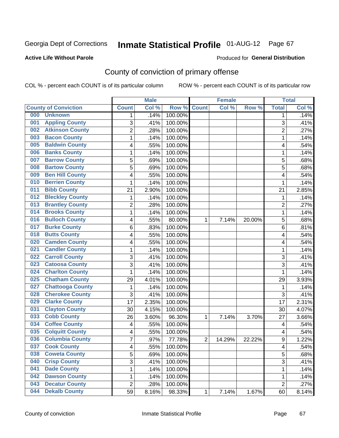#### **Active Life Without Parole**

#### Produced for **General Distribution**

## County of conviction of primary offense

|                                |                         | <b>Male</b> |         |                | <b>Female</b> |        |                | <b>Total</b> |
|--------------------------------|-------------------------|-------------|---------|----------------|---------------|--------|----------------|--------------|
| <b>County of Conviction</b>    | <b>Count</b>            | Col %       | Row %   | <b>Count</b>   | Col %         | Row %  | <b>Total</b>   | Col %        |
| 000<br><b>Unknown</b>          | 1                       | .14%        | 100.00% |                |               |        | 1              | .14%         |
| <b>Appling County</b><br>001   | 3                       | .41%        | 100.00% |                |               |        | 3              | .41%         |
| <b>Atkinson County</b><br>002  | $\overline{2}$          | .28%        | 100.00% |                |               |        | $\overline{2}$ | .27%         |
| <b>Bacon County</b><br>003     | 1                       | .14%        | 100.00% |                |               |        | $\mathbf 1$    | .14%         |
| <b>Baldwin County</b><br>005   | 4                       | .55%        | 100.00% |                |               |        | 4              | .54%         |
| <b>Banks County</b><br>006     | 1                       | .14%        | 100.00% |                |               |        | $\mathbf 1$    | .14%         |
| <b>Barrow County</b><br>007    | 5                       | .69%        | 100.00% |                |               |        | 5              | .68%         |
| <b>Bartow County</b><br>008    | 5                       | .69%        | 100.00% |                |               |        | 5              | .68%         |
| <b>Ben Hill County</b><br>009  | 4                       | .55%        | 100.00% |                |               |        | 4              | .54%         |
| <b>Berrien County</b><br>010   | 1                       | .14%        | 100.00% |                |               |        | 1              | .14%         |
| <b>Bibb County</b><br>011      | 21                      | 2.90%       | 100.00% |                |               |        | 21             | 2.85%        |
| <b>Bleckley County</b><br>012  | 1                       | .14%        | 100.00% |                |               |        | 1              | .14%         |
| <b>Brantley County</b><br>013  | 2                       | .28%        | 100.00% |                |               |        | $\overline{2}$ | .27%         |
| <b>Brooks County</b><br>014    | 1                       | .14%        | 100.00% |                |               |        | $\mathbf 1$    | .14%         |
| <b>Bulloch County</b><br>016   | 4                       | .55%        | 80.00%  | 1              | 7.14%         | 20.00% | 5              | .68%         |
| <b>Burke County</b><br>017     | 6                       | .83%        | 100.00% |                |               |        | 6              | .81%         |
| <b>Butts County</b><br>018     | 4                       | .55%        | 100.00% |                |               |        | 4              | .54%         |
| <b>Camden County</b><br>020    | 4                       | .55%        | 100.00% |                |               |        | 4              | .54%         |
| <b>Candler County</b><br>021   | 1                       | .14%        | 100.00% |                |               |        | 1              | .14%         |
| <b>Carroll County</b><br>022   | 3                       | .41%        | 100.00% |                |               |        | 3              | .41%         |
| <b>Catoosa County</b><br>023   | 3                       | .41%        | 100.00% |                |               |        | 3              | .41%         |
| <b>Charlton County</b><br>024  | 1                       | .14%        | 100.00% |                |               |        | 1              | .14%         |
| <b>Chatham County</b><br>025   | 29                      | 4.01%       | 100.00% |                |               |        | 29             | 3.93%        |
| <b>Chattooga County</b><br>027 | 1                       | .14%        | 100.00% |                |               |        | 1              | .14%         |
| <b>Cherokee County</b><br>028  | 3                       | .41%        | 100.00% |                |               |        | 3              | .41%         |
| <b>Clarke County</b><br>029    | 17                      | 2.35%       | 100.00% |                |               |        | 17             | 2.31%        |
| <b>Clayton County</b><br>031   | 30                      | 4.15%       | 100.00% |                |               |        | 30             | 4.07%        |
| <b>Cobb County</b><br>033      | 26                      | 3.60%       | 96.30%  | 1              | 7.14%         | 3.70%  | 27             | 3.66%        |
| <b>Coffee County</b><br>034    | $\overline{\mathbf{4}}$ | .55%        | 100.00% |                |               |        | $\overline{4}$ | .54%         |
| <b>Colquitt County</b><br>035  | 4                       | .55%        | 100.00% |                |               |        | 4              | .54%         |
| <b>Columbia County</b><br>036  | $\overline{7}$          | .97%        | 77.78%  | $\overline{2}$ | 14.29%        | 22.22% | 9              | 1.22%        |
| 037<br><b>Cook County</b>      | 4                       | .55%        | 100.00% |                |               |        | 4              | .54%         |
| <b>Coweta County</b><br>038    | 5                       | .69%        | 100.00% |                |               |        | 5              | .68%         |
| 040<br><b>Crisp County</b>     | 3                       | .41%        | 100.00% |                |               |        | 3              | .41%         |
| <b>Dade County</b><br>041      | 1                       | .14%        | 100.00% |                |               |        | $\mathbf{1}$   | .14%         |
| <b>Dawson County</b><br>042    | 1                       | .14%        | 100.00% |                |               |        | 1              | .14%         |
| <b>Decatur County</b><br>043   | $\overline{2}$          | .28%        | 100.00% |                |               |        | $\overline{2}$ | .27%         |
| <b>Dekalb County</b><br>044    | 59                      | 8.16%       | 98.33%  | 1              | 7.14%         | 1.67%  | 60             | 8.14%        |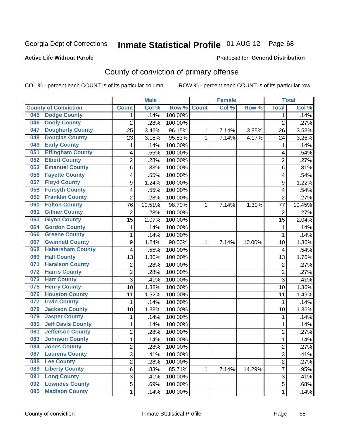#### **Active Life Without Parole**

#### Produced for **General Distribution**

## County of conviction of primary offense

|     |                             |                | <b>Male</b> |         |              | <b>Female</b> |        |                         | <b>Total</b> |
|-----|-----------------------------|----------------|-------------|---------|--------------|---------------|--------|-------------------------|--------------|
|     | <b>County of Conviction</b> | <b>Count</b>   | Col %       | Row %   | <b>Count</b> | Col %         | Row %  | <b>Total</b>            | Col %        |
| 045 | <b>Dodge County</b>         | 1              | .14%        | 100.00% |              |               |        | 1                       | .14%         |
| 046 | <b>Dooly County</b>         | $\overline{2}$ | .28%        | 100.00% |              |               |        | $\overline{2}$          | .27%         |
| 047 | <b>Dougherty County</b>     | 25             | 3.46%       | 96.15%  | 1            | 7.14%         | 3.85%  | 26                      | 3.53%        |
| 048 | <b>Douglas County</b>       | 23             | 3.18%       | 95.83%  | 1            | 7.14%         | 4.17%  | 24                      | 3.26%        |
| 049 | <b>Early County</b>         | 1              | .14%        | 100.00% |              |               |        | 1                       | .14%         |
| 051 | <b>Effingham County</b>     | 4              | .55%        | 100.00% |              |               |        | 4                       | .54%         |
| 052 | <b>Elbert County</b>        | $\overline{2}$ | .28%        | 100.00% |              |               |        | $\overline{2}$          | .27%         |
| 053 | <b>Emanuel County</b>       | 6              | .83%        | 100.00% |              |               |        | 6                       | .81%         |
| 056 | <b>Fayette County</b>       | 4              | .55%        | 100.00% |              |               |        | 4                       | .54%         |
| 057 | <b>Floyd County</b>         | 9              | 1.24%       | 100.00% |              |               |        | 9                       | 1.22%        |
| 058 | <b>Forsyth County</b>       | 4              | .55%        | 100.00% |              |               |        | 4                       | .54%         |
| 059 | <b>Franklin County</b>      | $\overline{2}$ | .28%        | 100.00% |              |               |        | $\overline{2}$          | .27%         |
| 060 | <b>Fulton County</b>        | 76             | 10.51%      | 98.70%  | $\mathbf 1$  | 7.14%         | 1.30%  | 77                      | 10.45%       |
| 061 | <b>Gilmer County</b>        | $\overline{2}$ | .28%        | 100.00% |              |               |        | $\overline{2}$          | .27%         |
| 063 | <b>Glynn County</b>         | 15             | 2.07%       | 100.00% |              |               |        | 15                      | 2.04%        |
| 064 | <b>Gordon County</b>        | 1              | .14%        | 100.00% |              |               |        | 1                       | .14%         |
| 066 | <b>Greene County</b>        | 1              | .14%        | 100.00% |              |               |        | 1                       | .14%         |
| 067 | <b>Gwinnett County</b>      | 9              | 1.24%       | 90.00%  | 1            | 7.14%         | 10.00% | 10                      | 1.36%        |
| 068 | <b>Habersham County</b>     | 4              | .55%        | 100.00% |              |               |        | 4                       | .54%         |
| 069 | <b>Hall County</b>          | 13             | 1.80%       | 100.00% |              |               |        | 13                      | 1.76%        |
| 071 | <b>Haralson County</b>      | $\overline{c}$ | .28%        | 100.00% |              |               |        | $\overline{2}$          | .27%         |
| 072 | <b>Harris County</b>        | $\overline{2}$ | .28%        | 100.00% |              |               |        | $\overline{2}$          | .27%         |
| 073 | <b>Hart County</b>          | $\overline{3}$ | .41%        | 100.00% |              |               |        | 3                       | .41%         |
| 075 | <b>Henry County</b>         | 10             | 1.38%       | 100.00% |              |               |        | 10                      | 1.36%        |
| 076 | <b>Houston County</b>       | 11             | 1.52%       | 100.00% |              |               |        | 11                      | 1.49%        |
| 077 | <b>Irwin County</b>         | 1              | .14%        | 100.00% |              |               |        | 1                       | .14%         |
| 078 | <b>Jackson County</b>       | 10             | 1.38%       | 100.00% |              |               |        | 10                      | 1.36%        |
| 079 | <b>Jasper County</b>        | 1              | .14%        | 100.00% |              |               |        | 1                       | .14%         |
| 080 | <b>Jeff Davis County</b>    | 1              | .14%        | 100.00% |              |               |        | 1                       | .14%         |
| 081 | <b>Jefferson County</b>     | 2              | .28%        | 100.00% |              |               |        | $\overline{2}$          | .27%         |
| 083 | <b>Johnson County</b>       | 1              | .14%        | 100.00% |              |               |        | 1                       | .14%         |
| 084 | <b>Jones County</b>         | 2              | .28%        | 100.00% |              |               |        | $\overline{\mathbf{c}}$ | .27%         |
| 087 | <b>Laurens County</b>       | $\overline{3}$ | .41%        | 100.00% |              |               |        | $\overline{3}$          | .41%         |
| 088 | <b>Lee County</b>           | $\overline{2}$ | .28%        | 100.00% |              |               |        | $\overline{2}$          | .27%         |
| 089 | <b>Liberty County</b>       | 6              | .83%        | 85.71%  | 1            | 7.14%         | 14.29% | $\overline{7}$          | .95%         |
| 091 | <b>Long County</b>          | 3              | .41%        | 100.00% |              |               |        | 3                       | .41%         |
| 092 | <b>Lowndes County</b>       | 5              | .69%        | 100.00% |              |               |        | 5                       | .68%         |
| 095 | <b>Madison County</b>       | 1              | .14%        | 100.00% |              |               |        | 1                       | .14%         |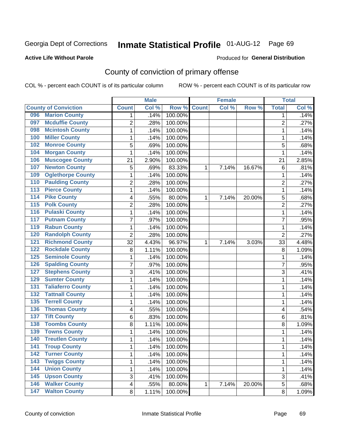#### **Active Life Without Parole**

#### Produced for **General Distribution**

## County of conviction of primary offense

|                                            |                | <b>Male</b> |         |              | <b>Female</b> |        |                | <b>Total</b> |
|--------------------------------------------|----------------|-------------|---------|--------------|---------------|--------|----------------|--------------|
| <b>County of Conviction</b>                | <b>Count</b>   | Col %       | Row %   | <b>Count</b> | Col %         | Row %  | <b>Total</b>   | Col %        |
| <b>Marion County</b><br>096                | 1              | .14%        | 100.00% |              |               |        | 1              | .14%         |
| <b>Mcduffie County</b><br>097              | $\overline{2}$ | .28%        | 100.00% |              |               |        | $\overline{2}$ | .27%         |
| <b>Mcintosh County</b><br>098              | 1              | .14%        | 100.00% |              |               |        | 1              | .14%         |
| <b>Miller County</b><br>100                | 1              | .14%        | 100.00% |              |               |        | 1              | .14%         |
| <b>Monroe County</b><br>102                | 5              | .69%        | 100.00% |              |               |        | 5              | .68%         |
| <b>Morgan County</b><br>104                | 1              | .14%        | 100.00% |              |               |        | 1              | .14%         |
| <b>Muscogee County</b><br>106              | 21             | 2.90%       | 100.00% |              |               |        | 21             | 2.85%        |
| <b>Newton County</b><br>107                | 5              | .69%        | 83.33%  | 1            | 7.14%         | 16.67% | 6              | .81%         |
| <b>Oglethorpe County</b><br>109            | 1              | .14%        | 100.00% |              |               |        | 1              | .14%         |
| <b>Paulding County</b><br>110              | $\overline{2}$ | .28%        | 100.00% |              |               |        | $\overline{2}$ | .27%         |
| <b>Pierce County</b><br>$\overline{113}$   | 1              | .14%        | 100.00% |              |               |        | $\mathbf 1$    | .14%         |
| <b>Pike County</b><br>114                  | 4              | .55%        | 80.00%  | 1            | 7.14%         | 20.00% | 5              | .68%         |
| <b>Polk County</b><br>115                  | $\overline{2}$ | .28%        | 100.00% |              |               |        | $\overline{2}$ | .27%         |
| <b>Pulaski County</b><br>116               | $\mathbf{1}$   | .14%        | 100.00% |              |               |        | $\mathbf{1}$   | .14%         |
| <b>Putnam County</b><br>117                | $\overline{7}$ | .97%        | 100.00% |              |               |        | $\overline{7}$ | .95%         |
| <b>Rabun County</b><br>119                 | 1              | .14%        | 100.00% |              |               |        | 1              | .14%         |
| <b>Randolph County</b><br>120              | $\overline{2}$ | .28%        | 100.00% |              |               |        | $\overline{2}$ | .27%         |
| <b>Richmond County</b><br>$\overline{121}$ | 32             | 4.43%       | 96.97%  | 1            | 7.14%         | 3.03%  | 33             | 4.48%        |
| <b>Rockdale County</b><br>122              | 8              | 1.11%       | 100.00% |              |               |        | 8              | 1.09%        |
| <b>Seminole County</b><br>125              | 1              | .14%        | 100.00% |              |               |        | 1              | .14%         |
| <b>Spalding County</b><br>126              | 7              | .97%        | 100.00% |              |               |        | 7              | .95%         |
| <b>Stephens County</b><br>127              | 3              | .41%        | 100.00% |              |               |        | 3              | .41%         |
| <b>Sumter County</b><br>129                | 1              | .14%        | 100.00% |              |               |        | 1              | .14%         |
| <b>Taliaferro County</b><br>131            | 1              | .14%        | 100.00% |              |               |        | 1              | .14%         |
| <b>Tattnall County</b><br>132              | 1              | .14%        | 100.00% |              |               |        | 1              | .14%         |
| <b>Terrell County</b><br>135               | 1              | .14%        | 100.00% |              |               |        | 1              | .14%         |
| <b>Thomas County</b><br>136                | 4              | .55%        | 100.00% |              |               |        | 4              | .54%         |
| <b>Tift County</b><br>137                  | 6              | .83%        | 100.00% |              |               |        | 6              | .81%         |
| <b>Toombs County</b><br>138                | 8              | 1.11%       | 100.00% |              |               |        | 8              | 1.09%        |
| <b>Towns County</b><br>139                 | 1              | .14%        | 100.00% |              |               |        | 1              | .14%         |
| <b>Treutlen County</b><br>140              | 1              | .14%        | 100.00% |              |               |        | 1              | .14%         |
| 141<br><b>Troup County</b>                 | 1              | .14%        | 100.00% |              |               |        | 1              | .14%         |
| <b>Turner County</b><br>142                | $\mathbf{1}$   | .14%        | 100.00% |              |               |        | $\mathbf{1}$   | .14%         |
| <b>Twiggs County</b><br>$\overline{143}$   | 1              | .14%        | 100.00% |              |               |        | $\mathbf{1}$   | .14%         |
| <b>Union County</b><br>144                 | 1              | .14%        | 100.00% |              |               |        | 1              | .14%         |
| <b>Upson County</b><br>145                 | 3              | .41%        | 100.00% |              |               |        | 3              | .41%         |
| <b>Walker County</b><br>146                | 4              | .55%        | 80.00%  | 1            | 7.14%         | 20.00% | 5              | .68%         |
| <b>Walton County</b><br>147                | 8              | 1.11%       | 100.00% |              |               |        | 8              | 1.09%        |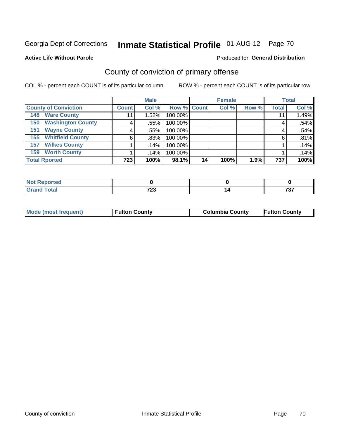#### **Active Life Without Parole**

#### Produced for **General Distribution**

## County of conviction of primary offense

|                                 |              | <b>Male</b> |             |    | <b>Female</b> |       |              | <b>Total</b> |
|---------------------------------|--------------|-------------|-------------|----|---------------|-------|--------------|--------------|
| <b>County of Conviction</b>     | <b>Count</b> | Col %       | Row % Count |    | Col %         | Row % | <b>Total</b> | Col %        |
| <b>Ware County</b><br>148       |              | 1.52%       | 100.00%     |    |               |       | 11           | 1.49%        |
| <b>Washington County</b><br>150 | 4            | $.55\%$     | 100.00%     |    |               |       | 4            | .54%         |
| <b>Wayne County</b><br>151      | 4            | .55%        | 100.00%     |    |               |       | 4            | .54%         |
| <b>Whitfield County</b><br>155  | 6            | $.83\%$     | 100.00%     |    |               |       | 6            | .81%         |
| <b>Wilkes County</b><br>157     |              | .14%        | 100.00%     |    |               |       |              | .14%         |
| <b>Worth County</b><br>159      |              | .14%        | 100.00%     |    |               |       |              | .14%         |
| <b>Total Rported</b>            | 723          | 100%        | 98.1%       | 14 | 100%          | 1.9%  | 737          | 100%         |

| ™tea<br>. |              |            |
|-----------|--------------|------------|
|           | フへへ<br>1 L J | ---<br>,,, |

|  | Mode (most frequent) | <b>Fulton County</b> | <b>Columbia County</b> | <b>Fulton County</b> |
|--|----------------------|----------------------|------------------------|----------------------|
|--|----------------------|----------------------|------------------------|----------------------|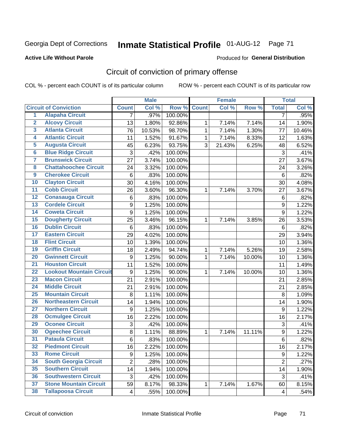#### **Active Life Without Parole**

#### Produced for **General Distribution**

## Circuit of conviction of primary offense

|                         |                                 |                         | <b>Male</b> |         |              | <b>Female</b> |        |                  | <b>Total</b> |
|-------------------------|---------------------------------|-------------------------|-------------|---------|--------------|---------------|--------|------------------|--------------|
|                         | <b>Circuit of Conviction</b>    | <b>Count</b>            | Col %       | Row %   | <b>Count</b> | Col %         | Row %  | <b>Total</b>     | Col %        |
| 1                       | <b>Alapaha Circuit</b>          | 7                       | .97%        | 100.00% |              |               |        | 7                | .95%         |
| $\overline{2}$          | <b>Alcovy Circuit</b>           | 13                      | 1.80%       | 92.86%  | 1            | 7.14%         | 7.14%  | 14               | 1.90%        |
| $\overline{\mathbf{3}}$ | <b>Atlanta Circuit</b>          | 76                      | 10.53%      | 98.70%  | $\mathbf{1}$ | 7.14%         | 1.30%  | 77               | 10.46%       |
| 4                       | <b>Atlantic Circuit</b>         | 11                      | 1.52%       | 91.67%  | 1            | 7.14%         | 8.33%  | 12               | 1.63%        |
| $\overline{5}$          | <b>Augusta Circuit</b>          | 45                      | 6.23%       | 93.75%  | 3            | 21.43%        | 6.25%  | 48               | 6.52%        |
| $\overline{6}$          | <b>Blue Ridge Circuit</b>       | $\sqrt{3}$              | .42%        | 100.00% |              |               |        | $\mathfrak{S}$   | .41%         |
| 7                       | <b>Brunswick Circuit</b>        | 27                      | 3.74%       | 100.00% |              |               |        | 27               | 3.67%        |
| 8                       | <b>Chattahoochee Circuit</b>    | 24                      | 3.32%       | 100.00% |              |               |        | 24               | 3.26%        |
| $\overline{9}$          | <b>Cherokee Circuit</b>         | $6\phantom{1}6$         | .83%        | 100.00% |              |               |        | 6                | .82%         |
| 10                      | <b>Clayton Circuit</b>          | 30                      | 4.16%       | 100.00% |              |               |        | 30               | 4.08%        |
| $\overline{11}$         | <b>Cobb Circuit</b>             | 26                      | 3.60%       | 96.30%  | 1            | 7.14%         | 3.70%  | 27               | 3.67%        |
| 12                      | <b>Conasauga Circuit</b>        | 6                       | .83%        | 100.00% |              |               |        | $\,6$            | .82%         |
| $\overline{13}$         | <b>Cordele Circuit</b>          | 9                       | 1.25%       | 100.00% |              |               |        | $\boldsymbol{9}$ | 1.22%        |
| $\overline{14}$         | <b>Coweta Circuit</b>           | 9                       | 1.25%       | 100.00% |              |               |        | $\boldsymbol{9}$ | 1.22%        |
| $\overline{15}$         | <b>Dougherty Circuit</b>        | 25                      | 3.46%       | 96.15%  | 1            | 7.14%         | 3.85%  | 26               | 3.53%        |
| 16                      | <b>Dublin Circuit</b>           | $6\phantom{1}6$         | .83%        | 100.00% |              |               |        | 6                | .82%         |
| $\overline{17}$         | <b>Eastern Circuit</b>          | 29                      | 4.02%       | 100.00% |              |               |        | 29               | 3.94%        |
| 18                      | <b>Flint Circuit</b>            | 10                      | 1.39%       | 100.00% |              |               |        | 10               | 1.36%        |
| 19                      | <b>Griffin Circuit</b>          | 18                      | 2.49%       | 94.74%  | 1            | 7.14%         | 5.26%  | 19               | 2.58%        |
| 20                      | <b>Gwinnett Circuit</b>         | 9                       | 1.25%       | 90.00%  | 1            | 7.14%         | 10.00% | 10               | 1.36%        |
| $\overline{21}$         | <b>Houston Circuit</b>          | 11                      | 1.52%       | 100.00% |              |               |        | 11               | 1.49%        |
| $\overline{22}$         | <b>Lookout Mountain Circuit</b> | 9                       | 1.25%       | 90.00%  | $\mathbf{1}$ | 7.14%         | 10.00% | 10               | 1.36%        |
| 23                      | <b>Macon Circuit</b>            | 21                      | 2.91%       | 100.00% |              |               |        | 21               | 2.85%        |
| $\overline{24}$         | <b>Middle Circuit</b>           | 21                      | 2.91%       | 100.00% |              |               |        | 21               | 2.85%        |
| $\overline{25}$         | <b>Mountain Circuit</b>         | 8                       | 1.11%       | 100.00% |              |               |        | 8                | 1.09%        |
| 26                      | <b>Northeastern Circuit</b>     | 14                      | 1.94%       | 100.00% |              |               |        | 14               | 1.90%        |
| $\overline{27}$         | <b>Northern Circuit</b>         | 9                       | 1.25%       | 100.00% |              |               |        | $\boldsymbol{9}$ | 1.22%        |
| 28                      | <b>Ocmulgee Circuit</b>         | 16                      | 2.22%       | 100.00% |              |               |        | 16               | 2.17%        |
| 29                      | <b>Oconee Circuit</b>           | 3                       | .42%        | 100.00% |              |               |        | 3                | .41%         |
| 30                      | <b>Ogeechee Circuit</b>         | 8                       | 1.11%       | 88.89%  | 1            | 7.14%         | 11.11% | $\boldsymbol{9}$ | 1.22%        |
| $\overline{31}$         | <b>Pataula Circuit</b>          | 6                       | .83%        | 100.00% |              |               |        | $\,6$            | .82%         |
| 32                      | <b>Piedmont Circuit</b>         | 16                      | 2.22%       | 100.00% |              |               |        | 16               | 2.17%        |
| 33                      | <b>Rome Circuit</b>             | 9                       | 1.25%       | 100.00% |              |               |        | 9                | 1.22%        |
| 34                      | <b>South Georgia Circuit</b>    | $\overline{2}$          | .28%        | 100.00% |              |               |        | $\overline{2}$   | .27%         |
| 35                      | <b>Southern Circuit</b>         | 14                      | 1.94%       | 100.00% |              |               |        | 14               | 1.90%        |
| 36                      | <b>Southwestern Circuit</b>     | $\sqrt{3}$              | .42%        | 100.00% |              |               |        | 3                | .41%         |
| 37                      | <b>Stone Mountain Circuit</b>   | 59                      | 8.17%       | 98.33%  | 1            | 7.14%         | 1.67%  | 60               | 8.15%        |
| 38                      | <b>Tallapoosa Circuit</b>       | $\overline{\mathbf{4}}$ | .55%        | 100.00% |              |               |        | $\overline{4}$   | .54%         |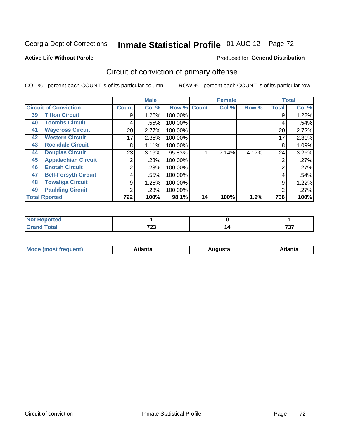#### **Active Life Without Parole**

#### Produced for **General Distribution**

## Circuit of conviction of primary offense

|    |                              |              | <b>Male</b> |         |              | <b>Female</b> |       |              | <b>Total</b> |
|----|------------------------------|--------------|-------------|---------|--------------|---------------|-------|--------------|--------------|
|    | <b>Circuit of Conviction</b> | <b>Count</b> | Col %       | Row %   | <b>Count</b> | Col %         | Row % | <b>Total</b> | Col %        |
| 39 | <b>Tifton Circuit</b>        | 9            | 1.25%       | 100.00% |              |               |       | 9            | 1.22%        |
| 40 | <b>Toombs Circuit</b>        | 4            | .55%        | 100.00% |              |               |       | 4            | .54%         |
| 41 | <b>Waycross Circuit</b>      | 20           | 2.77%       | 100.00% |              |               |       | 20           | 2.72%        |
| 42 | <b>Western Circuit</b>       | 17           | 2.35%       | 100.00% |              |               |       | 17           | 2.31%        |
| 43 | <b>Rockdale Circuit</b>      | 8            | 1.11%       | 100.00% |              |               |       | 8            | 1.09%        |
| 44 | <b>Douglas Circuit</b>       | 23           | 3.19%       | 95.83%  |              | 7.14%         | 4.17% | 24           | 3.26%        |
| 45 | <b>Appalachian Circuit</b>   | 2            | .28%        | 100.00% |              |               |       | 2            | .27%         |
| 46 | <b>Enotah Circuit</b>        | 2            | .28%        | 100.00% |              |               |       | 2            | .27%         |
| 47 | <b>Bell-Forsyth Circuit</b>  | 4            | .55%        | 100.00% |              |               |       | 4            | .54%         |
| 48 | <b>Towaliga Circuit</b>      | 9            | 1.25%       | 100.00% |              |               |       | 9            | 1.22%        |
| 49 | <b>Paulding Circuit</b>      | 2            | .28%        | 100.00% |              |               |       | 2            | .27%         |
|    | <b>Total Rported</b>         | 722          | 100%        | 98.1%   | 14           | 100%          | 1.9%  | 736          | 100%         |

| eported<br>TV.   |      |                                     |
|------------------|------|-------------------------------------|
| `otal            | フへへ  | $\overline{\phantom{m}}\phantom{a}$ |
| $\mathbf{v}$ and | 1 LJ | ו ש                                 |

| М<br>. In n tr<br>.<br>.<br>wanta<br>Πū<br>31.<br>$\sim$ $\sim$ $\sim$ |
|------------------------------------------------------------------------|
|------------------------------------------------------------------------|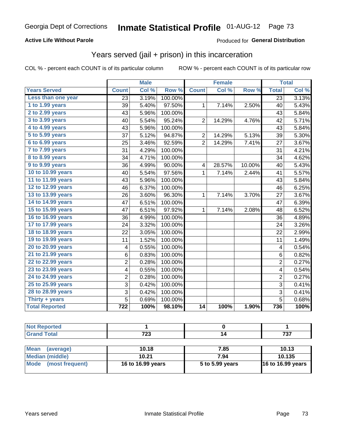### **Active Life Without Parole**

### Produced for **General Distribution**

## Years served (jail + prison) in this incarceration

|                       |                  | <b>Male</b> |         |                | <b>Female</b> |        |                 | <b>Total</b> |
|-----------------------|------------------|-------------|---------|----------------|---------------|--------|-----------------|--------------|
| <b>Years Served</b>   | <b>Count</b>     | Col %       | Row %   | <b>Count</b>   | Col %         | Row %  | <b>Total</b>    | Col %        |
| Less than one year    | 23               | 3.19%       | 100.00% |                |               |        | $\overline{23}$ | 3.13%        |
| 1 to 1.99 years       | 39               | 5.40%       | 97.50%  | 1              | 7.14%         | 2.50%  | 40              | 5.43%        |
| 2 to 2.99 years       | 43               | 5.96%       | 100.00% |                |               |        | 43              | 5.84%        |
| 3 to 3.99 years       | 40               | 5.54%       | 95.24%  | $\overline{2}$ | 14.29%        | 4.76%  | 42              | 5.71%        |
| 4 to 4.99 years       | 43               | 5.96%       | 100.00% |                |               |        | 43              | 5.84%        |
| 5 to 5.99 years       | 37               | 5.12%       | 94.87%  | $\overline{c}$ | 14.29%        | 5.13%  | 39              | 5.30%        |
| 6 to 6.99 years       | 25               | 3.46%       | 92.59%  | $\overline{2}$ | 14.29%        | 7.41%  | 27              | 3.67%        |
| 7 to 7.99 years       | 31               | 4.29%       | 100.00% |                |               |        | 31              | 4.21%        |
| 8 to 8.99 years       | 34               | 4.71%       | 100.00% |                |               |        | 34              | 4.62%        |
| 9 to 9.99 years       | 36               | 4.99%       | 90.00%  | 4              | 28.57%        | 10.00% | 40              | 5.43%        |
| 10 to 10.99 years     | 40               | 5.54%       | 97.56%  | 1              | 7.14%         | 2.44%  | 41              | 5.57%        |
| 11 to 11.99 years     | 43               | 5.96%       | 100.00% |                |               |        | 43              | 5.84%        |
| 12 to 12.99 years     | 46               | 6.37%       | 100.00% |                |               |        | 46              | 6.25%        |
| 13 to 13.99 years     | 26               | 3.60%       | 96.30%  | 1              | 7.14%         | 3.70%  | 27              | 3.67%        |
| 14 to 14.99 years     | 47               | 6.51%       | 100.00% |                |               |        | 47              | 6.39%        |
| 15 to 15.99 years     | 47               | 6.51%       | 97.92%  | 1              | 7.14%         | 2.08%  | 48              | 6.52%        |
| 16 to 16.99 years     | 36               | 4.99%       | 100.00% |                |               |        | 36              | 4.89%        |
| 17 to 17.99 years     | 24               | 3.32%       | 100.00% |                |               |        | 24              | 3.26%        |
| 18 to 18.99 years     | 22               | 3.05%       | 100.00% |                |               |        | 22              | 2.99%        |
| 19 to 19.99 years     | 11               | 1.52%       | 100.00% |                |               |        | 11              | 1.49%        |
| 20 to 20.99 years     | 4                | 0.55%       | 100.00% |                |               |        | 4               | 0.54%        |
| 21 to 21.99 years     | 6                | 0.83%       | 100.00% |                |               |        | 6               | 0.82%        |
| 22 to 22.99 years     | 2                | 0.28%       | 100.00% |                |               |        | $\overline{2}$  | 0.27%        |
| 23 to 23.99 years     | 4                | 0.55%       | 100.00% |                |               |        | 4               | 0.54%        |
| 24 to 24.99 years     | 2                | 0.28%       | 100.00% |                |               |        | $\overline{2}$  | 0.27%        |
| 25 to 25.99 years     | 3                | 0.42%       | 100.00% |                |               |        | 3               | 0.41%        |
| 28 to 28.99 years     | 3                | 0.42%       | 100.00% |                |               |        | 3               | 0.41%        |
| Thirty + years        | 5                | 0.69%       | 100.00% |                |               |        | $\overline{5}$  | 0.68%        |
| <b>Total Reported</b> | $\overline{722}$ | 100%        | 98.10%  | 14             | 100%          | 1.90%  | 736             | 100%         |

| ____ | 700<br>ن ۽ ا | ---<br>$\cdot$ |
|------|--------------|----------------|

| <b>Mean</b><br>(average) | 10.18             | 7.85            | 10.13                    |
|--------------------------|-------------------|-----------------|--------------------------|
| Median (middle)          | 10.21             | 7.94            | 10.135                   |
| Mode (most frequent)     | 16 to 16.99 years | 5 to 5.99 years | <b>16 to 16.99 years</b> |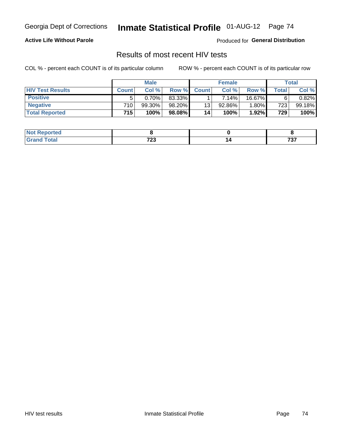#### **Active Life Without Parole**

Produced for **General Distribution**

## Results of most recent HIV tests

|                         |                  | <b>Male</b> |           |              | <b>Female</b> |          |             | Total     |
|-------------------------|------------------|-------------|-----------|--------------|---------------|----------|-------------|-----------|
| <b>HIV Test Results</b> | <b>Count</b>     | Col%        | Row %I    | <b>Count</b> | Col%          | Row %    | $\tau$ otal | Col %     |
| <b>Positive</b>         | 5                | 0.70%       | 83.33%    |              | $7.14\%$      | 16.67%   | 6           | $0.82\%$  |
| <b>Negative</b>         | 710 <sub>1</sub> | 99.30%      | 98.20%    | 13           | 92.86%        | $1.80\%$ | 723         | $99.18\%$ |
| <b>Total Reported</b>   | 715              | 100%        | $98.08\%$ | 14           | 100%          | 1.92%    | 729         | 100%      |

| oorted<br>. NOT |       |                             |
|-----------------|-------|-----------------------------|
| $int^{\bullet}$ | 700   | $\rightarrow$ $\rightarrow$ |
| $\sim$          | ט ביו | ,,,                         |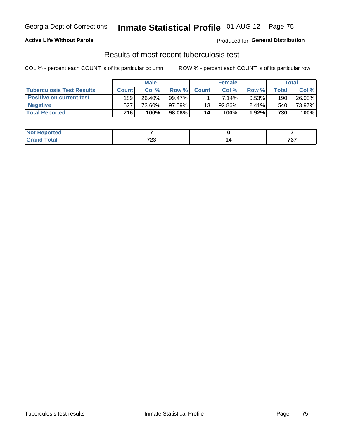### **Active Life Without Parole**

Produced for **General Distribution**

## Results of most recent tuberculosis test

|                                  |              | <b>Male</b> |           |              | <b>Female</b> |          |         | Total  |
|----------------------------------|--------------|-------------|-----------|--------------|---------------|----------|---------|--------|
| <b>Tuberculosis Test Results</b> | <b>Count</b> | Col%        | Row %I    | <b>Count</b> | Col%          | Row %    | Total i | Col %  |
| <b>Positive on current test</b>  | 189          | 26.40%      | $99.47\%$ |              | 7.14%         | 0.53%    | 190     | 26.03% |
| <b>Negative</b>                  | 527          | 73.60%」     | 97.59%    | 13           | 92.86%        | $2.41\%$ | 540     | 73.97% |
| <b>Total Reported</b>            | 716          | 100%        | 98.08%    | 14           | <b>100%</b>   | 1.92%    | 730     | 100%   |

| <b>Not Reported</b>   |              |                                 |
|-----------------------|--------------|---------------------------------|
| $f \wedge f \wedge f$ | 700<br>1 L J | $\overline{\phantom{a}}$<br>,,, |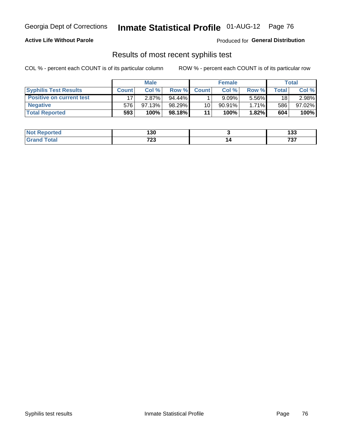#### **Active Life Without Parole**

Produced for **General Distribution**

### Results of most recent syphilis test

|                                 | <b>Male</b>  |        |         | <b>Female</b> |           |          | Total |        |
|---------------------------------|--------------|--------|---------|---------------|-----------|----------|-------|--------|
| <b>Syphilis Test Results</b>    | <b>Count</b> | Col %  | Row %   | <b>Count</b>  | Col %     | Row %I   | Total | Col %  |
| <b>Positive on current test</b> |              | 2.87%  | 94.44%  |               | 9.09%     | 5.56%    | 18    | 2.98%  |
| <b>Negative</b>                 | 576          | 97.13% | 98.29%  | 10            | $90.91\%$ | $1.71\%$ | 586   | 97.02% |
| <b>Total Reported</b>           | 593          | 100%   | 98.18%I | 11            | 100%      | 1.82%    | 604   | 100%   |

| <b>Not Reported</b> | 130                    | ,<br>נים     |
|---------------------|------------------------|--------------|
| <b>Total</b>        | 700<br>ن ۽ ا<br>$\sim$ | 707<br>1 J I |